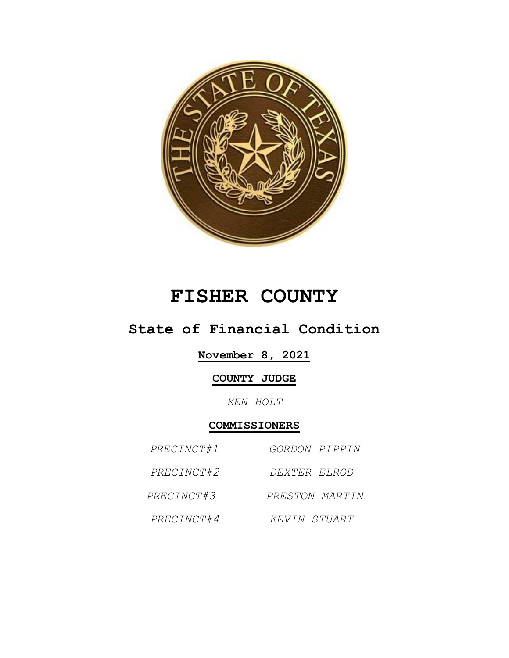

# **FISHER COUNTY**

# **State of Financial Condition**

### **November 8, 2021**

### **COUNTY JUDGE**

*KEN HOLT*

## **COMMISSIONERS**

| PRECINCT#1 | <i>GORDON PIPPIN</i> |
|------------|----------------------|
| PRECINCT#2 | DEXTER ELROD         |
| PRECINCT#3 | PRESTON MARTIN       |
| PRECINCT#4 | KEVIN STUART         |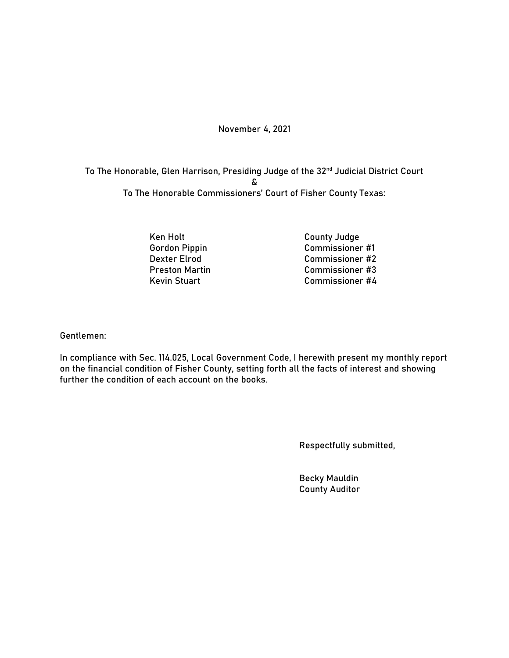#### November 4, 2021

To The Honorable, Glen Harrison, Presiding Judge of the 32nd Judicial District Court & To The Honorable Commissioners' Court of Fisher County Texas:

Ken Holt County Judge

Gordon Pippin Commissioner #1 Dexter Elrod Commissioner #2 Preston Martin Commissioner #3 Kevin Stuart Commissioner #4

Gentlemen:

In compliance with Sec. 114.025, Local Government Code, I herewith present my monthly report on the financial condition of Fisher County, setting forth all the facts of interest and showing further the condition of each account on the books.

Respectfully submitted,

Becky Mauldin County Auditor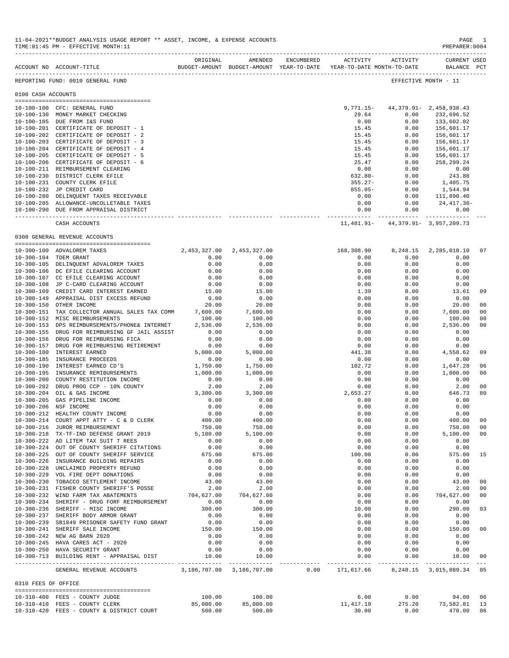|                     | ${\tt ACCOUNT-NOTE} \label{eq:RUC} {\tt BUDGET-AMOUNT-BUDGET-AMOUNT} \label{eq:RUCOUNT} {\tt BUDGET-AMOUNT} \label{eq:RUCOUNT} {\tt BUDGET-AMOUNT} \label{eq:RUCOUNT} {\tt BUDGET-AMOUNT} \label{eq:RUCOUNT} {\tt BUDGET-AMOUNT} \label{eq:RUCOUNT} {\tt BUDGET-AMOUNT} \label{eq:RUCOUNT}$ | ORIGINAL                      | AMENDED      | ENCUMBERED | ACTIVITY                         | ACTIVITY | <b>CURRENT USED</b><br>BALANCE PCT         |                |
|---------------------|---------------------------------------------------------------------------------------------------------------------------------------------------------------------------------------------------------------------------------------------------------------------------------------------|-------------------------------|--------------|------------|----------------------------------|----------|--------------------------------------------|----------------|
|                     | REPORTING FUND: 0010 GENERAL FUND                                                                                                                                                                                                                                                           |                               |              |            |                                  |          | EFFECTIVE MONTH - 11                       |                |
| 0100 CASH ACCOUNTS  |                                                                                                                                                                                                                                                                                             |                               |              |            |                                  |          |                                            |                |
|                     |                                                                                                                                                                                                                                                                                             |                               |              |            |                                  |          |                                            |                |
|                     | 10-100-100 CFC: GENERAL FUND                                                                                                                                                                                                                                                                |                               |              |            | $9,771.15-$                      |          | 44, 379. 91 - 2, 458, 938. 43              |                |
|                     | 10-100-130 MONEY MARKET CHECKING                                                                                                                                                                                                                                                            |                               |              |            | 29.64                            | 0.00     | 232,696.52                                 |                |
|                     | 10-100-185 DUE FROM I&S FUND                                                                                                                                                                                                                                                                |                               |              |            | 0.00                             | 0.00     | 133,602.02                                 |                |
|                     | 10-100-201 CERTIFICATE OF DEPOSIT - 1                                                                                                                                                                                                                                                       |                               |              |            | 15.45                            | 0.00     | 156,601.17                                 |                |
|                     | 10-100-202 CERTIFICATE OF DEPOSIT - 2                                                                                                                                                                                                                                                       |                               |              |            | 15.45                            | 0.00     | 156,601.17                                 |                |
|                     | 10-100-203 CERTIFICATE OF DEPOSIT - 3                                                                                                                                                                                                                                                       |                               |              |            | 15.45                            | 0.00     | 156,601.17                                 |                |
|                     | 10-100-204 CERTIFICATE OF DEPOSIT - 4                                                                                                                                                                                                                                                       |                               |              |            | 15.45                            | 0.00     | 156,601.17                                 |                |
|                     |                                                                                                                                                                                                                                                                                             |                               |              |            |                                  |          |                                            |                |
|                     | 10-100-205 CERTIFICATE OF DEPOSIT - 5                                                                                                                                                                                                                                                       |                               |              |            | 15.45                            | 0.00     | 156,601.17                                 |                |
| $10 - 100 - 206$    | CERTIFICATE OF DEPOSIT - 6                                                                                                                                                                                                                                                                  |                               |              |            | 25.47                            | 0.00     | 258,299.24                                 |                |
|                     | 10-100-211 REIMBURSEMENT CLEARING                                                                                                                                                                                                                                                           |                               |              |            | 0.00                             | 0.00     | 0.00                                       |                |
| $10 - 100 - 230$    | DISTRICT CLERK EFILE                                                                                                                                                                                                                                                                        |                               |              |            | $632.80 -$                       | 0.00     | 243.88                                     |                |
|                     | 10-100-231 COUNTY CLERK EFILE                                                                                                                                                                                                                                                               |                               |              |            | $355.27 -$                       | 0.00     | 1,405.75                                   |                |
|                     | 10-100-232 JP CREDIT CARD                                                                                                                                                                                                                                                                   |                               |              |            | $855.05 -$                       | 0.00     | 1,544.94                                   |                |
|                     | 10-100-280 DELINQUENT TAXES RECEIVABLE                                                                                                                                                                                                                                                      |                               |              |            | 0.00                             | 0.00     | 111,890.40                                 |                |
|                     | 10-100-285 ALLOWANCE-UNCOLLETABLE TAXES                                                                                                                                                                                                                                                     |                               |              |            | 0.00                             | 0.00     | 24, 417.30-                                |                |
|                     |                                                                                                                                                                                                                                                                                             |                               |              |            |                                  |          |                                            |                |
|                     | 10-100-290 DUE FROM APPRAISAL DISTRICT                                                                                                                                                                                                                                                      |                               |              |            | 0.00                             | 0.00     | 0.00                                       |                |
|                     | CASH ACCOUNTS                                                                                                                                                                                                                                                                               |                               |              |            |                                  |          | $11,481.91 - 44,379.91 - 3,957,209.73$     |                |
|                     | 0300 GENERAL REVENUE ACCOUNTS                                                                                                                                                                                                                                                               |                               |              |            |                                  |          |                                            |                |
|                     |                                                                                                                                                                                                                                                                                             |                               |              |            |                                  |          |                                            |                |
|                     | 10-300-100 ADVALOREM TAXES                                                                                                                                                                                                                                                                  | 2,453,327.00                  | 2,453,327.00 |            | 168,308.90                       | 8,248.15 | 2,285,018.10                               | 07             |
|                     | 10-300-104 TDEM GRANT                                                                                                                                                                                                                                                                       | 0.00                          | 0.00         |            | 0.00                             | 0.00     | 0.00                                       |                |
|                     |                                                                                                                                                                                                                                                                                             |                               |              |            |                                  |          |                                            |                |
|                     | 10-300-105 DELINQUENT ADVALOREM TAXES                                                                                                                                                                                                                                                       | 0.00                          | 0.00         |            | 0.00                             | 0.00     | 0.00                                       |                |
|                     | 10-300-106 DC EFILE CLEARING ACCOUNT                                                                                                                                                                                                                                                        | 0.00                          | 0.00         |            | 0.00                             | 0.00     | 0.00                                       |                |
|                     | 10-300-107 CC EFILE CLEARING ACCOUNT                                                                                                                                                                                                                                                        | 0.00                          | 0.00         |            | 0.00                             | 0.00     | 0.00                                       |                |
|                     | 10-300-108 JP C-CARD CLEARING ACCOUNT                                                                                                                                                                                                                                                       | 0.00                          | 0.00         |            | 0.00                             | 0.00     | 0.00                                       |                |
| 10-300-109          | CREDIT CARD INTEREST EARNED                                                                                                                                                                                                                                                                 | 15.00                         | 15.00        |            | 1.39                             | 0.00     | 13.61                                      | 09             |
|                     | 10-300-149 APPRAISAL DIST EXCESS REFUND                                                                                                                                                                                                                                                     | 0.00                          | 0.00         |            | 0.00                             | 0.00     | 0.00                                       |                |
|                     | 10-300-150 OTHER INCOME                                                                                                                                                                                                                                                                     | 20.00                         | 20.00        |            | 0.00                             | 0.00     | 20.00                                      | 00             |
| $10 - 300 - 151$    | TAX COLLECTOR ANNUAL SALES TAX COMM                                                                                                                                                                                                                                                         | 7,600.00                      | 7,600.00     |            | 0.00                             | 0.00     | 7,600.00                                   | 00             |
|                     |                                                                                                                                                                                                                                                                                             |                               |              |            |                                  |          |                                            |                |
|                     | 10-300-152 MISC REIMBURSEMENTS                                                                                                                                                                                                                                                              | 100.00                        | 100.00       |            | 0.00                             | 0.00     | 100.00                                     | 0 <sub>0</sub> |
| $10 - 300 - 153$    | DPS REIMBURSEMENTS/PHONE& INTERNET                                                                                                                                                                                                                                                          | 2,536.00                      | 2,536.00     |            | 0.00                             | 0.00     | 2,536.00                                   | 00             |
| $10 - 300 - 155$    | DRUG FOR REIMBURSING GF JAIL ASSIST                                                                                                                                                                                                                                                         | 0.00                          | 0.00         |            | 0.00                             | 0.00     | 0.00                                       |                |
| $10 - 300 - 156$    | DRUG FOR REIMBURSING FICA                                                                                                                                                                                                                                                                   | 0.00                          | 0.00         |            | 0.00                             | 0.00     | 0.00                                       |                |
| $10 - 300 - 157$    | DRUG FOR REIMBURSING RETIREMENT                                                                                                                                                                                                                                                             | 0.00                          | 0.00         |            | 0.00                             | 0.00     | 0.00                                       |                |
| $10 - 300 - 180$    | <b>INTEREST EARNED</b>                                                                                                                                                                                                                                                                      | 5,000.00                      | 5,000.00     |            | 441.38                           | 0.00     | 4,558.62                                   | 09             |
| $10 - 300 - 185$    | INSURANCE PROCEEDS                                                                                                                                                                                                                                                                          | 0.00                          | 0.00         |            | 0.00                             | 0.00     | 0.00                                       |                |
| $10 - 300 - 190$    | INTEREST EARNED CD'S                                                                                                                                                                                                                                                                        | 1,750.00                      | 1,750.00     |            | 102.72                           | 0.00     | 1,647.28                                   | 06             |
|                     |                                                                                                                                                                                                                                                                                             |                               |              |            |                                  |          |                                            |                |
| $10 - 300 - 195$    | INSURANCE REMIBURSEMENTS                                                                                                                                                                                                                                                                    | 1,000.00                      | 1,000.00     |            | 0.00                             | 0.00     | 1,000.00                                   | 00             |
| $10 - 300 - 200$    | COUNTY RESTITUTION INCOME                                                                                                                                                                                                                                                                   | 0.00                          | 0.00         |            | 0.00                             | 0.00     | 0.00                                       |                |
| $10 - 300 - 202$    | DRUG PROG CCP - 10% COUNTY                                                                                                                                                                                                                                                                  | 2.00                          | 2.00         |            | 0.00                             | 0.00     | 2.00                                       | 0 <sup>0</sup> |
| $10 - 300 - 204$    | OIL & GAS INCOME                                                                                                                                                                                                                                                                            | 3,300.00                      | 3,300.00     |            | 2,653.27                         | 0.00     | 646.73                                     | 80             |
| $10 - 300 - 205$    | GAS PIPELINE INCOME                                                                                                                                                                                                                                                                         | 0.00                          | 0.00         |            | 0.00                             | 0.00     | 0.00                                       |                |
| $10 - 300 - 206$    | NSF INCOME                                                                                                                                                                                                                                                                                  | 0.00                          | 0.00         |            | 0.00                             | 0.00     | 0.00                                       |                |
| $10 - 300 - 212$    | HEALTHY COUNTY INCOME                                                                                                                                                                                                                                                                       | 0.00                          | 0.00         |            | 0.00                             | 0.00     | 0.00                                       |                |
| $10 - 300 - 214$    | COURT APPT ATTY - C & D CLERK                                                                                                                                                                                                                                                               | 400.00                        | 400.00       |            | 0.00                             | 0.00     | 400.00                                     | 00             |
|                     |                                                                                                                                                                                                                                                                                             |                               |              |            |                                  |          |                                            |                |
|                     | 10-300-216 JUROR REIMBURSEMENT                                                                                                                                                                                                                                                              | 750.00                        | 750.00       |            | 0.00                             | 0.00     | 750.00                                     | 00             |
|                     | 10-300-218 TX-TF-IND DEFENSE GRANT 2019                                                                                                                                                                                                                                                     | 5,100.00                      | 5,100.00     |            | 0.00                             | 0.00     | 5,100.00                                   | 0 <sub>0</sub> |
|                     | 10-300-222 AD LITEM TAX SUIT T REES                                                                                                                                                                                                                                                         | 0.00                          | 0.00         |            | 0.00                             | 0.00     | 0.00                                       |                |
|                     | 10-300-224 OUT OF COUNTY SHERIFF CITATIONS                                                                                                                                                                                                                                                  | 0.00                          | 0.00         |            | 0.00                             | 0.00     | 0.00                                       |                |
|                     | 10-300-225 OUT OF COUNTY SHERIFF SERVICE                                                                                                                                                                                                                                                    | 675.00                        | 675.00       |            | 100.00                           | 0.00     | 575.00                                     | 15             |
|                     | 10-300-226 INSURANCE BUILDING REPAIRS                                                                                                                                                                                                                                                       | 0.00                          | 0.00         |            | 0.00                             | 0.00     | 0.00                                       |                |
|                     | 10-300-228 UNCLAIMED PROPERTY REFUND                                                                                                                                                                                                                                                        | 0.00                          | 0.00         |            | 0.00                             | 0.00     | 0.00                                       |                |
|                     | 10-300-229 VOL FIRE DEPT DONATIONS                                                                                                                                                                                                                                                          | 0.00                          | 0.00         |            | 0.00                             | 0.00     | 0.00                                       |                |
|                     |                                                                                                                                                                                                                                                                                             |                               |              |            |                                  |          |                                            |                |
|                     | 10-300-230 TOBACCO SETTLEMENT INCOME                                                                                                                                                                                                                                                        | 43.00                         | 43.00        |            | 0.00                             | 0.00     | 43.00                                      | 0 <sup>0</sup> |
|                     | 10-300-231 FISHER COUNTY SHERIFF'S POSSE                                                                                                                                                                                                                                                    | 2.00                          | 2.00         |            | 0.00                             | 0.00     | 2.00                                       | 0 <sub>0</sub> |
|                     | 10-300-232 WIND FARM TAX ABATEMENTS                                                                                                                                                                                                                                                         | 704,627.00                    | 704,627.00   |            | 0.00                             | 0.00     | 704,627.00                                 | 0 <sub>0</sub> |
|                     | 10-300-234 SHERIFF - DRUG FORF REIMBURSEMENT                                                                                                                                                                                                                                                | 0.00                          | 0.00         |            | 0.00                             | 0.00     | 0.00                                       |                |
|                     | 10-300-236 SHERIFF - MISC INCOME                                                                                                                                                                                                                                                            | 300.00                        | 300.00       |            | 10.00                            | 0.00     | 290.00                                     | 03             |
|                     | 10-300-237 SHERIFF BODY ARMOR GRANT                                                                                                                                                                                                                                                         | 0.00                          | 0.00         |            | 0.00                             | 0.00     | 0.00                                       |                |
|                     |                                                                                                                                                                                                                                                                                             | 0.00                          | 0.00         |            | 0.00                             | 0.00     | 0.00                                       |                |
|                     | 10-300-239 SB1849 PRISONER SAFETY FUND GRANT                                                                                                                                                                                                                                                |                               |              |            |                                  |          |                                            |                |
|                     | 10-300-241 SHERIFF SALE INCOME                                                                                                                                                                                                                                                              | 150.00                        | 150.00       |            | 0.00                             | 0.00     | 150.00                                     | 0 <sub>0</sub> |
|                     | 10-300-242 NEW AG BARN 2020                                                                                                                                                                                                                                                                 | 0.00                          | 0.00         |            | 0.00                             | 0.00     | 0.00                                       |                |
|                     | 10-300-245 HAVA CARES ACT - 2020                                                                                                                                                                                                                                                            | 0.00                          | 0.00         |            | 0.00                             | 0.00     | 0.00                                       |                |
|                     | 10-300-250 HAVA SECURITY GRANT                                                                                                                                                                                                                                                              | 0.00                          | 0.00         |            | 0.00                             | 0.00     | 0.00                                       |                |
|                     | 10-300-713 BUILDING RENT - APPRAISAL DIST                                                                                                                                                                                                                                                   | 10.00                         | 10.00        |            | 0.00                             | 0.00     | 10.00                                      | 00             |
|                     | GENERAL REVENUE ACCOUNTS                                                                                                                                                                                                                                                                    | 3, 186, 707.00 3, 186, 707.00 |              |            | -----------<br>$0.00$ 171,617.66 | -------- | -----------<br>8, 248.15 3, 015, 089.34 05 | $- - -$        |
|                     |                                                                                                                                                                                                                                                                                             |                               |              |            |                                  |          |                                            |                |
| 0310 FEES OF OFFICE |                                                                                                                                                                                                                                                                                             |                               |              |            |                                  |          |                                            |                |
|                     |                                                                                                                                                                                                                                                                                             |                               |              |            |                                  |          |                                            |                |
|                     | 10-310-400 FEES - COUNTY JUDGE                                                                                                                                                                                                                                                              | 100.00                        | 100.00       |            | 6.00                             | 0.00     | 94.00                                      | 06             |
|                     | 10-310-410 FEES - COUNTY CLERK                                                                                                                                                                                                                                                              | 85,000.00                     | 85,000.00    |            | 11, 417.19                       | 275.20   | 73,582.81                                  | 13             |
|                     | 10-310-420 FEES - COUNTY & DISTRICT COURT                                                                                                                                                                                                                                                   | 500.00                        | 500.00       |            | 30.00                            | 0.00     | 470.00                                     | 06             |

11-04-2021\*\*BUDGET ANALYSIS USAGE REPORT \*\* ASSET, INCOME, & EXPENSE ACCOUNTS PAGE 1  $TIME:01:45 PM - EFFECTIVE MOMTH:11$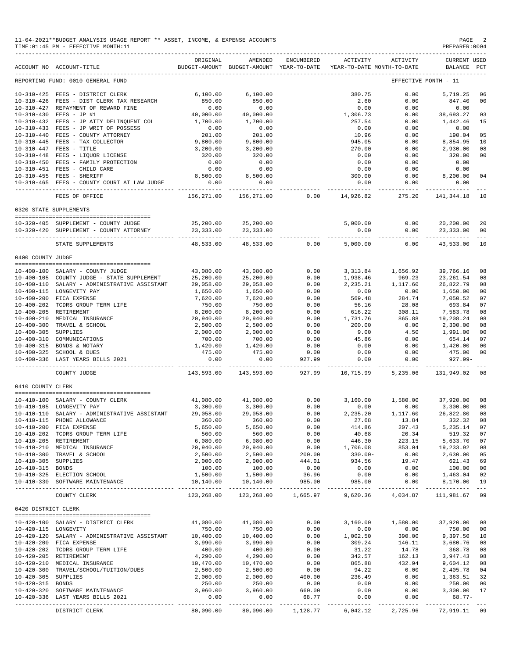|                      | 11-04-2021**BUDGET ANALYSIS USAGE REPORT ** ASSET, INCOME, & EXPENSE ACCOUNTS<br>TIME: 01:45 PM - EFFECTIVE MONTH: 11                                                                                                                              |                            |                                                                                |                                       |                        |                                             | PAGE<br>PREPARER: 0004                                  |                |
|----------------------|----------------------------------------------------------------------------------------------------------------------------------------------------------------------------------------------------------------------------------------------------|----------------------------|--------------------------------------------------------------------------------|---------------------------------------|------------------------|---------------------------------------------|---------------------------------------------------------|----------------|
|                      | ACCOUNT NO ACCOUNT-TITLE                                                                                                                                                                                                                           | ORIGINAL                   | AMENDED<br>BUDGET-AMOUNT BUDGET-AMOUNT YEAR-TO-DATE YEAR-TO-DATE MONTH-TO-DATE | ENCUMBERED                            | ACTIVITY               | ACTIVITY                                    | CURRENT USED<br>BALANCE PCT                             |                |
|                      | REPORTING FUND: 0010 GENERAL FUND                                                                                                                                                                                                                  |                            |                                                                                |                                       |                        |                                             | EFFECTIVE MONTH - 11                                    |                |
|                      | 10-310-425 FEES - DISTRICT CLERK                                                                                                                                                                                                                   | 6,100.00                   | 6,100.00                                                                       |                                       | 380.75                 | 0.00                                        | 5,719.25                                                | 06             |
|                      | 10-310-426 FEES - DIST CLERK TAX RESEARCH                                                                                                                                                                                                          | 850.00                     | 850.00                                                                         |                                       | 2.60                   | 0.00                                        | 847.40                                                  | 00             |
|                      | 10-310-427 REPAYMENT OF REWARD FINE                                                                                                                                                                                                                | 0.00                       | 0.00                                                                           |                                       | 0.00                   | 0.00                                        | 0.00                                                    |                |
|                      |                                                                                                                                                                                                                                                    |                            | 40,000.00                                                                      |                                       | 1,306.73               | 0.00                                        | 38,693.27 03                                            |                |
|                      | $10-310-430 \quad \text{FEES} - \text{JP} \; \text{\#1} \qquad \qquad 40\, ,000\, .00 \\ 10-310-432 \quad \text{FEES} - \text{JP} \; \text{ATTY} \; \text{DELINQUENT} \; \text{COL} \qquad \qquad 1\, ,700\, .00$                                  |                            | 1,700.00                                                                       |                                       | 257.54                 | 0.00                                        | 1,442.46                                                | 15             |
|                      | 10-310-433 FEES - JP WRIT OF POSSESS                                                                                                                                                                                                               | 0.00                       | 0.00                                                                           |                                       | 0.00                   | 0.00                                        | 0.00                                                    |                |
|                      |                                                                                                                                                                                                                                                    |                            | 201.00                                                                         |                                       | 10.96                  | 0.00                                        | 190.04                                                  | 05             |
|                      |                                                                                                                                                                                                                                                    |                            | 9,800.00                                                                       |                                       | 945.05                 | 0.00                                        | 8,854.95                                                | 10             |
|                      |                                                                                                                                                                                                                                                    |                            | 3,200.00                                                                       |                                       | 270.00                 | 0.00                                        | 2,930.00                                                | 08             |
|                      |                                                                                                                                                                                                                                                    |                            | 320.00                                                                         |                                       | 0.00                   | 0.00                                        | 320.00                                                  | 0 <sub>0</sub> |
|                      |                                                                                                                                                                                                                                                    |                            | 0.00                                                                           |                                       | 0.00                   | 0.00                                        | 0.00                                                    |                |
|                      | 10-310-451 FEES - CHILD CARE<br>$\mathbf{E}$ and $\mathbf{E}$ and $\mathbf{E}$ and $\mathbf{E}$                                                                                                                                                    |                            | 0.00                                                                           |                                       | 0.00                   | 0.00                                        | 0.00                                                    |                |
|                      | 10-310-455 FEES - SHERIFF                                                                                                                                                                                                                          |                            | 8,500.00                                                                       |                                       | 300.00                 |                                             | $0.00$ 8,200.00                                         | 04             |
|                      | 10-310-465 FEES - COUNTY COURT AT LAW JUDGE                                                                                                                                                                                                        | $0.02$<br>8,500.00<br>0.00 | 0.00<br>------------                                                           |                                       | 0.00<br>------------ - | 0.00<br>----------- -                       | 0.00<br>-----------                                     |                |
|                      | FEES OF OFFICE                                                                                                                                                                                                                                     | 156,271.00                 | 156,271.00                                                                     | 0.00                                  |                        |                                             | 14,926.82 275.20 141,344.18 10                          |                |
|                      | 0320 STATE SUPPLEMENTS                                                                                                                                                                                                                             |                            |                                                                                |                                       |                        |                                             |                                                         |                |
|                      |                                                                                                                                                                                                                                                    |                            |                                                                                |                                       |                        |                                             |                                                         |                |
|                      | 10-320-405 SUPPLEMENT - COUNTY JUDGE<br>10-320-420 SUPPLEMENT - COUNTY ATTORNEY                                                                                                                                                                    |                            | 25, 200.00<br>23, 333.00<br>23, 333.00<br>23, 333.00                           |                                       | 5,000.00               | 0.00<br>0.00                                | 20,200.00 20<br>$0.00$ 23,333.00 00                     |                |
|                      | STATE SUPPLEMENTS                                                                                                                                                                                                                                  | 48,533.00                  |                                                                                | 48,533.00 0.00                        |                        |                                             | ---------- ------------- ---<br>5,000.00 0.00 43,533.00 | 10             |
| 0400 COUNTY JUDGE    |                                                                                                                                                                                                                                                    |                            |                                                                                |                                       |                        |                                             |                                                         |                |
|                      |                                                                                                                                                                                                                                                    |                            |                                                                                |                                       |                        |                                             |                                                         |                |
|                      | 10-400-100 SALARY - COUNTY JUDGE                                                                                                                                                                                                                   | 43,080.00                  | 43,080.00                                                                      | 0.00                                  |                        | 3, 313.84 1, 656.92                         | 39,766.16                                               | 08             |
|                      | 10-400-105 COUNTY JUDGE - STATE SUPPLEMENT                                                                                                                                                                                                         | 25,200.00                  | 25,200.00                                                                      | 0.00                                  | 1,938.46               | 969.23                                      | 23, 261.54                                              | 08             |
|                      | 10-400-110 SALARY - ADMINISTRATIVE ASSISTANT                                                                                                                                                                                                       | 29,058.00                  | 29,058.00                                                                      | 0.00                                  |                        | $2\,,235\,.21 \qquad \quad \  1\,,117\,.60$ | 26,822.79                                               | 08             |
|                      | 10-400-115 LONGEVITY PAY                                                                                                                                                                                                                           | 1,650.00                   | 1,650.00                                                                       | 0.00                                  | 0.00                   | 0.00                                        | 1,650.00                                                | 00             |
|                      | 10-400-200 FICA EXPENSE                                                                                                                                                                                                                            | 7,620.00                   | 7,620.00                                                                       | 0.00                                  | 569.48                 | 284.74                                      | 7,050.52                                                | 07             |
|                      | 10-400-202 TCDRS GROUP TERM LIFE                                                                                                                                                                                                                   | 750.00                     | 750.00                                                                         | 0.00                                  | 56.16                  | 28.08                                       | 693.84                                                  | 07             |
|                      | 10-400-205 RETIREMENT                                                                                                                                                                                                                              | 8,200.00                   | 8,200.00                                                                       | 0.00                                  | 616.22                 | 308.11                                      | 7,583.78                                                | 08             |
|                      | 10-400-210 MEDICAL INSURANCE                                                                                                                                                                                                                       | 20,940.00                  | 20,940.00                                                                      | 0.00                                  | 1,731.76               | 865.88                                      | 19,208.24                                               | 08             |
|                      | 10-400-300 TRAVEL & SCHOOL<br>10-400-305 SUPPLIES<br>10-400-310 COMMUNICATIONS<br>10-400-315 BONDS & NOTARY<br>10-400-325 SCHOOL<br>10-400-325 SCHOOL<br>10-400-325 SCHOOL<br>10-400-325 SCHOOL<br>10-400-325 SCHOOL<br>10-400-325 SCHOOL<br>10-40 |                            | 2,500.00                                                                       | 0.00                                  | 200.00                 | 0.00                                        | 2,300.00                                                | 08             |
|                      |                                                                                                                                                                                                                                                    |                            | 2,000.00                                                                       | 0.00                                  | 9.00                   | 4.50                                        | 1,991.00                                                | 00             |
|                      |                                                                                                                                                                                                                                                    |                            | 700.00                                                                         | 0.00                                  | 45.86                  | 0.00                                        | 654.14                                                  | 07             |
|                      |                                                                                                                                                                                                                                                    |                            | 1,420.00                                                                       | 0.00                                  | 0.00                   | 0.00                                        | 1,420.00                                                | 00             |
|                      |                                                                                                                                                                                                                                                    |                            | 475.00                                                                         | 0.00                                  | 0.00                   | 0.00                                        | 475.00                                                  | 00             |
|                      | 10-400-336 LAST YEARS BILLS 2021                                                                                                                                                                                                                   | 0.00<br>______________     | 0.00                                                                           | 927.99<br>----------- ------------ -- | 0.00                   | 0.00                                        | 927.99-                                                 |                |
|                      | COUNTY JUDGE                                                                                                                                                                                                                                       |                            | 143,593.00 143,593.00                                                          |                                       |                        |                                             | 927.99    10,715.99    5,235.06    131,949.02    08     |                |
| 0410 COUNTY CLERK    |                                                                                                                                                                                                                                                    |                            |                                                                                |                                       |                        |                                             |                                                         |                |
|                      | 10-410-100 SALARY - COUNTY CLERK                                                                                                                                                                                                                   |                            | 41,080.00 41,080.00                                                            | 0.00                                  | 3,160.00               |                                             | 1,580.00 37,920.00                                      | 08             |
|                      | 10-410-105 LONGEVITY PAY                                                                                                                                                                                                                           |                            | 3,300.00 3,300.00                                                              | 0.00                                  |                        |                                             | $0.00$ $0.00$ $3,300.00$ $00$                           |                |
|                      | 10-410-110 SALARY - ADMINISTRATIVE ASSISTANT                                                                                                                                                                                                       | 29,058.00                  | 29,058.00                                                                      | 0.00                                  | 2,235.20               | 1,117.60                                    | 26,822.80 08                                            |                |
|                      | 10-410-115 PHONE ALLOWANCE                                                                                                                                                                                                                         | 360.00                     | 360.00                                                                         | 0.00                                  | 27.68                  | 13.84                                       |                                                         |                |
|                      | 10-410-200 FICA EXPENSE                                                                                                                                                                                                                            | 5,650.00                   | 5,650.00                                                                       | 0.00                                  | 414.86                 |                                             | $13.84$ $332.32$ 08<br>$207.43$ $5,235.14$ 07           |                |
|                      | 10-410-202 TCDRS GROUP TERM LIFE                                                                                                                                                                                                                   | 560.00                     | 560.00                                                                         | 0.00                                  | 40.68                  | 20.34                                       | 519.32 07                                               |                |
|                      | 10-410-205 RETIREMENT                                                                                                                                                                                                                              | 6,080.00                   | 6,080.00                                                                       | 0.00                                  | 446.30                 |                                             | 223.15 5,633.70 07                                      |                |
|                      | 10-410-210 MEDICAL INSURANCE                                                                                                                                                                                                                       | 20,940.00                  | 20,940.00                                                                      | 0.00                                  | 1,706.08               | 853.04                                      | 19,233.92                                               | 08             |
|                      | 10-410-300 TRAVEL & SCHOOL                                                                                                                                                                                                                         | 2,500.00                   | 2,500.00                                                                       |                                       | $330.00 -$             |                                             | 2,630.00 05                                             |                |
| 10-410-305 SUPPLIES  |                                                                                                                                                                                                                                                    | 2,000.00                   | 2,000.00                                                                       | $200.00$<br>$444.01$                  | 934.56                 | $0.00$<br>$19.47$                           | 621.43 69                                               |                |
| 10-410-315 BONDS     |                                                                                                                                                                                                                                                    | 100.00                     | 100.00                                                                         | 0.00                                  | 0.00                   | 0.00                                        | 100.00 00                                               |                |
|                      | 10-410-325 ELECTION SCHOOL                                                                                                                                                                                                                         | 1,500.00                   | 1,500.00                                                                       | 36.96                                 | 0.00                   |                                             | $1,463.04$ 02                                           |                |
|                      | 10-410-330 SOFTWARE MAINTENANCE                                                                                                                                                                                                                    | 10,140.00                  | 10,140.00                                                                      | 985.00                                | 985.00                 | $0.00$<br>$0.00$                            | 8,170.00 19                                             |                |
|                      | COUNTY CLERK                                                                                                                                                                                                                                       | 123,268.00                 | 123,268.00                                                                     | 1,665.97                              | 9,620.36               | 4,034.87                                    | 111,981.67 09                                           |                |
| 0420 DISTRICT CLERK  |                                                                                                                                                                                                                                                    |                            |                                                                                |                                       |                        |                                             |                                                         |                |
|                      |                                                                                                                                                                                                                                                    |                            |                                                                                |                                       |                        |                                             |                                                         |                |
|                      | 10-420-100 SALARY - DISTRICT CLERK                                                                                                                                                                                                                 |                            | 41,080.00 41,080.00                                                            | 0.00                                  |                        |                                             | 3,160.00  1,580.00  37,920.00  08                       |                |
| 10-420-115 LONGEVITY | 10-420-120 SALARY - ADMINISTRATIVE ASSISTANT                                                                                                                                                                                                       | 750.00<br>10,400.00        | 750.00<br>10,400.00                                                            | 0.00<br>0.00                          | 0.00<br>1,002.50       |                                             | $0.00$ $750.00$ $00$<br>390.00 $9,397.50$ $10$          |                |
|                      | 10-420-200 FICA EXPENSE                                                                                                                                                                                                                            | 3,990.00                   | 3,990.00                                                                       | 0.00                                  | 309.24                 | 146.11                                      | 3,680.76 08                                             |                |
|                      | 10-420-202 TCDRS GROUP TERM LIFE                                                                                                                                                                                                                   | 400.00                     | 400.00                                                                         | 0.00                                  | 31.22                  |                                             | 368.78 08                                               |                |
|                      | 10-420-205 RETIREMENT                                                                                                                                                                                                                              | 4,290.00                   | 4,290.00                                                                       | 0.00                                  | 342.57                 | $14.78$<br>$162.13$<br>$432.94$             | 3,947.43 08                                             |                |
|                      | 10-420-210 MEDICAL INSURANCE                                                                                                                                                                                                                       | 10,470.00                  | 10,470.00                                                                      | 0.00                                  | 865.88                 |                                             | 9,604.12 08                                             |                |
|                      | 10-420-300 TRAVEL/SCHOOL/TUITION/DUES                                                                                                                                                                                                              | 2,500.00                   | 2,500.00                                                                       | 0.00                                  | 94.22                  | 0.00                                        |                                                         |                |
| 10-420-305 SUPPLIES  |                                                                                                                                                                                                                                                    | 2,000.00                   | 2,000.00                                                                       | 400.00                                | 236.49                 | 0.00                                        |                                                         |                |
| 10-420-315 BONDS     |                                                                                                                                                                                                                                                    | 250.00                     | 250.00                                                                         | 0.00                                  | 0.00                   | 0.00                                        | 2,405.76<br>1,363.51 32<br>250.00 00                    |                |
|                      | 10-420-320 SOFTWARE MAINTENANCE                                                                                                                                                                                                                    | 3,960.00                   | 3,960.00                                                                       | 660.00                                | 0.00                   |                                             | $0.00$ $3,300.00$ $17$                                  |                |
|                      | 10-420-336 LAST YEARS BILLS 2021                                                                                                                                                                                                                   | 0.00                       | 0.00                                                                           | 68.77                                 | 0.00                   | 0.00                                        | 68.77-                                                  |                |
|                      |                                                                                                                                                                                                                                                    | __________                 | ______________                                                                 |                                       |                        |                                             |                                                         |                |
|                      | DISTRICT CLERK                                                                                                                                                                                                                                     | 80,090.00                  | 80,090.00                                                                      | 1,128.77                              | 6,042.12               | 2,725.96                                    | 72,919.11 09                                            |                |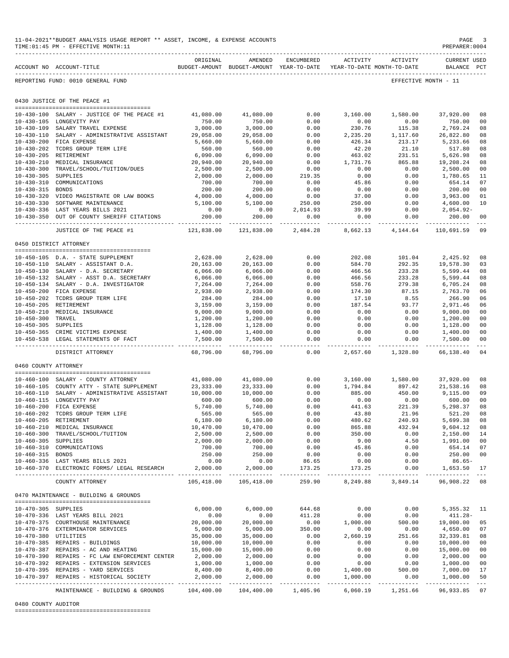| 11-04-2021**BUDGET ANALYSIS USAGE REPORT ** ASSET, INCOME, & EXPENSE ACCOUNTS<br>TIME: 01:45 PM - EFFECTIVE MONTH: 11 |           |         |            |          |          | PAGE<br>PREPARER:0004 |
|-----------------------------------------------------------------------------------------------------------------------|-----------|---------|------------|----------|----------|-----------------------|
|                                                                                                                       | OR TGTNAL | AMENDED | ENCUMBERED | ACTIVITY | ACTIVITY | CURRENT USED          |

|                                      | ACCOUNT NO ACCOUNT-TITLE                                                         | ORIGINAL                   | AMENDED<br>BUDGET-AMOUNT BUDGET-AMOUNT YEAR-TO-DATE | ENCUMBERED                | ACTIVITY                 | ACTIVITY<br>YEAR-TO-DATE MONTH-TO-DATE | <b>CURRENT USED</b><br>BALANCE | PCT            |
|--------------------------------------|----------------------------------------------------------------------------------|----------------------------|-----------------------------------------------------|---------------------------|--------------------------|----------------------------------------|--------------------------------|----------------|
|                                      | REPORTING FUND: 0010 GENERAL FUND                                                |                            |                                                     |                           |                          |                                        | EFFECTIVE MONTH - 11           |                |
|                                      | 0430 JUSTICE OF THE PEACE #1                                                     |                            |                                                     |                           |                          |                                        |                                |                |
|                                      | 10-430-100 SALARY - JUSTICE OF THE PEACE #1                                      | 41,080.00                  | 41,080.00                                           | 0.00                      | 3,160.00                 | 1,580.00                               | 37,920.00                      | 08             |
|                                      | 10-430-105 LONGEVITY PAY                                                         | 750.00                     | 750.00                                              | 0.00                      | 0.00                     | 0.00                                   | 750.00                         | 00             |
| $10 - 430 - 109$                     | SALARY TRAVEL EXPENSE                                                            | 3,000.00                   | 3,000.00                                            | 0.00                      | 230.76                   | 115.38                                 | 2,769.24                       | 08             |
|                                      | 10-430-110 SALARY - ADMINISTRATIVE ASSISTANT                                     | 29,058.00                  | 29,058.00                                           | 0.00                      | 2,235.20                 | 1,117.60                               | 26,822.80                      | 08             |
|                                      | 10-430-200 FICA EXPENSE                                                          | 5,660.00                   | 5,660.00                                            | 0.00                      | 426.34                   | 213.17                                 | 5,233.66                       | 08             |
|                                      | 10-430-202 TCDRS GROUP TERM LIFE                                                 | 560.00                     | 560.00                                              | 0.00                      | 42.20                    | 21.10                                  | 517.80                         | 08             |
| $10 - 430 - 205$                     | RETIREMENT                                                                       | 6,090.00                   | 6,090.00                                            | 0.00                      | 463.02                   | 231.51                                 | 5,626.98                       | 08             |
| $10 - 430 - 210$                     | MEDICAL INSURANCE                                                                | 20,940.00                  | 20,940.00                                           | 0.00                      | 1,731.76                 | 865.88                                 | 19,208.24                      | 08             |
| $10 - 430 - 300$                     | TRAVEL/SCHOOL/TUITION/DUES                                                       | 2,500.00                   | 2,500.00                                            | 0.00                      | 0.00                     | 0.00                                   | 2,500.00                       | 00             |
| $10 - 430 - 305$<br>$10 - 430 - 310$ | SUPPLIES<br>COMMUNICATIONS                                                       | 2,000.00<br>700.00         | 2,000.00<br>700.00                                  | 219.35<br>0.00            | 0.00<br>45.86            | 0.00<br>0.00                           | 1,780.65<br>654.14             | 11<br>07       |
| $10 - 430 - 315$                     | <b>BONDS</b>                                                                     | 200.00                     | 200.00                                              | 0.00                      | 0.00                     | 0.00                                   | 200.00                         | 0 <sub>0</sub> |
|                                      | 10-430-320 VIDEO MAGISTRATE OR LAW BOOKS                                         | 4,000.00                   | 4,000.00                                            | 0.00                      | 37.00                    | 0.00                                   | 3,963.00                       | 01             |
|                                      | 10-430-330 SOFTWARE MAINTENANCE                                                  | 5,100.00                   | 5,100.00                                            | 250.00                    | 250.00                   | 0.00                                   | 4,600.00                       | 10             |
|                                      | 10-430-336 LAST YEARS BILLS 2021                                                 | 0.00                       | 0.00                                                | 2,014.93                  | 39.99                    | 0.00                                   | $2,054.92-$                    |                |
| $10 - 430 - 350$                     | OUT OF COUNTY SHERIFF CITATIONS                                                  | 200.00                     | 200.00                                              | 0.00                      | 0.00                     | 0.00                                   | 200.00                         | 00             |
|                                      | JUSTICE OF THE PEACE #1                                                          | ------------<br>121,838.00 | -----------<br>121,838.00                           | $- - - - - -$<br>2,484.28 | -------<br>8,662.13      | .<br>4,144.64                          | 110,691.59                     | $- - -$<br>09  |
| 0450 DISTRICT ATTORNEY               |                                                                                  |                            |                                                     |                           |                          |                                        |                                |                |
|                                      |                                                                                  |                            |                                                     |                           |                          |                                        |                                |                |
|                                      | 10-450-105 D.A. - STATE SUPPLEMENT                                               | 2,628.00                   | 2,628.00                                            | 0.00                      | 202.08                   | 101.04                                 | 2,425.92                       | 08             |
|                                      | 10-450-110 SALARY - ASSISTANT D.A.                                               | 20,163.00                  | 20,163.00                                           | 0.00                      | 584.70                   | 292.35                                 | 19,578.30                      | 03             |
|                                      | 10-450-130 SALARY - D.A. SECRETARY                                               | 6,066.00                   | 6,066.00                                            | 0.00                      | 466.56                   | 233.28                                 | 5,599.44                       | 08             |
|                                      | 10-450-132 SALARY - ASST D.A. SECRETARY                                          | 6,066.00                   | 6,066.00                                            | 0.00                      | 466.56                   | 233.28                                 | 5,599.44                       | 08             |
|                                      | 10-450-134 SALARY - D.A. INVESTIGATOR                                            | 7,264.00                   | 7,264.00                                            | 0.00                      | 558.76                   | 279.38                                 | 6,705.24                       | 08             |
|                                      | 10-450-200 FICA EXPENSE                                                          | 2,938.00                   | 2,938.00                                            | 0.00                      | 174.30                   | 87.15                                  | 2,763.70                       | 06             |
|                                      | 10-450-202 TCDRS GROUP TERM LIFE                                                 | 284.00                     | 284.00                                              | 0.00                      | 17.10                    | 8.55                                   | 266.90                         | 06             |
| 10-450-205 RETIREMENT                |                                                                                  | 3,159.00                   | 3,159.00                                            | 0.00                      | 187.54                   | 93.77                                  | 2,971.46                       | 06             |
| 10-450-300 TRAVEL                    | 10-450-210 MEDICAL INSURANCE                                                     | 9,000.00<br>1,200.00       | 9,000.00                                            | 0.00<br>0.00              | 0.00<br>0.00             | 0.00<br>0.00                           | 9,000.00<br>1,200.00           | 00<br>00       |
| 10-450-305 SUPPLIES                  |                                                                                  | 1,128.00                   | 1,200.00<br>1,128.00                                | 0.00                      | 0.00                     | 0.00                                   | 1,128.00                       | 0 <sub>0</sub> |
|                                      | 10-450-365 CRIME VICTIMS EXPENSE                                                 | 1,400.00                   | 1,400.00                                            | 0.00                      | 0.00                     | 0.00                                   | 1,400.00                       | 00             |
|                                      | 10-450-538 LEGAL STATEMENTS OF FACT                                              | 7,500.00                   | 7,500.00<br>-----------                             | 0.00<br>$\frac{1}{2}$     | 0.00                     | 0.00                                   | 7,500.00                       | 0 <sub>0</sub> |
|                                      | DISTRICT ATTORNEY                                                                | ----------<br>68,796.00    | 68,796.00                                           | 0.00                      | ---------<br>2,657.60    | ----------<br>1,328.80                 | 66,138.40                      | $---$<br>04    |
| 0460 COUNTY ATTORNEY                 |                                                                                  |                            |                                                     |                           |                          |                                        |                                |                |
|                                      |                                                                                  |                            |                                                     |                           |                          |                                        |                                |                |
|                                      | 10-460-100 SALARY - COUNTY ATTORNEY<br>10-460-105 COUNTY ATTY - STATE SUPPLEMENT | 41,080.00<br>23, 333.00    | 41,080.00<br>23, 333.00                             | 0.00<br>0.00              | 3,160.00<br>1,794.84     | 1,580.00<br>897.42                     | 37,920.00<br>21,538.16         | 08<br>08       |
|                                      | 10-460-110 SALARY - ADMINISTRATIVE ASSISTANT                                     | 10,000.00                  | 10,000.00                                           | 0.00                      | 885.00                   | 450.00                                 | 9,115.00                       | 09             |
|                                      | 10-460-115 LONGEVITY PAY                                                         | 600.00                     | 600.00                                              | 0.00                      | 0.00                     | 0.00                                   | 600.00                         | 00             |
|                                      | 10-460-200 FICA EXPENSE                                                          | 5,740.00                   | 5,740.00                                            | 0.00                      | 441.63                   | 221.39                                 | 5,298.37                       | 08             |
| $10 - 460 - 202$                     | TCDRS GROUP TERM LIFE                                                            | 565.00                     | 565.00                                              | 0.00                      | 43.80                    | 21.96                                  | 521.20                         | 08             |
| 10-460-205 RETIREMENT                |                                                                                  | 6,180.00                   | 6,180.00                                            | 0.00                      | 480.62                   | 240.93                                 | 5,699.38                       | 08             |
|                                      | 10-460-210 MEDICAL INSURANCE                                                     | 10,470.00                  | 10,470.00                                           | 0.00                      | 865.88                   | 432.94                                 | 9,604.12                       | 08             |
|                                      | 10-460-300 TRAVEL/SCHOOL/TUITION                                                 | 2,500.00                   | 2,500.00                                            | 0.00                      | 350.00                   | 0.00                                   | 2,150.00 14                    |                |
| 10-460-305 SUPPLIES                  |                                                                                  | 2,000.00                   | 2,000.00                                            | 0.00                      | 9.00                     | 4.50                                   | 1,991.00                       | 00             |
|                                      | 10-460-310 COMMUNICATIONS                                                        | 700.00                     | 700.00                                              | 0.00                      | 45.86                    | 0.00                                   | 654.14                         | 07             |
| 10-460-315 BONDS                     |                                                                                  | 250.00                     | 250.00                                              | 0.00                      | $0.00$<br>$0.00$         | 0.00                                   | 250.00                         | 0 <sub>0</sub> |
|                                      | 10-460-336 LAST YEARS BILLS 2021<br>10-460-370 ELECTRONIC FORMS/ LEGAL RESEARCH  | 0.00<br>2,000.00           | 0.00<br>2,000.00                                    | 86.65<br>173.25           | 173.25                   | 0.00<br>0.00                           | $86.65 -$<br>1,653.50          | 17             |
|                                      | COUNTY ATTORNEY                                                                  | 105,418.00                 | . <u>.</u><br>105,418.00                            | 259.90                    | ---------- -<br>8,249.88 | 3,849.14                               | 96,908.22 08                   |                |
|                                      | 0470 MAINTENANCE - BUILDING & GROUNDS                                            |                            |                                                     |                           |                          |                                        |                                |                |
|                                      |                                                                                  |                            |                                                     |                           |                          |                                        |                                |                |
| 10-470-305 SUPPLIES                  |                                                                                  | 6,000.00                   | 6,000.00                                            | 644.68                    | 0.00                     | 0.00                                   | 5, 355. 32 11                  |                |
|                                      | 10-470-336 LAST YEARS BILL 2021                                                  | 0.00                       | 0.00                                                | 411.28                    | 0.00                     | 0.00                                   | $411.28 -$                     |                |
|                                      | 10-470-375 COURTHOUSE MAINTENANCE                                                | 20,000.00                  | 20,000.00                                           | 0.00                      | 1,000.00                 | 500.00                                 | 19,000.00 05                   |                |
|                                      | 10-470-376 EXTERMINATOR SERVICES                                                 | 5,000.00                   | 5,000.00                                            | 350.00                    | 0.00                     | 0.00                                   | 4,650.00                       | 07             |
| 10-470-380 UTILITIES                 | 10-470-385 REPAIRS - BUILDINGS                                                   | 35,000.00<br>10,000.00     | 35,000.00<br>10,000.00                              | 0.00<br>0.00              | 2,660.19<br>0.00         | 251.66<br>0.00                         | 32,339.81<br>10,000.00         | 08<br>00       |
|                                      | 10-470-387 REPAIRS - AC AND HEATING                                              | 15,000.00                  | 15,000.00                                           | 0.00                      | 0.00                     | 0.00                                   | 15,000.00                      | 00             |
|                                      | 10-470-390 REPAIRS - FC LAW ENFORCEMENT CENTER                                   | 2,000.00                   | 2,000.00                                            | 0.00                      | 0.00                     | 0.00                                   | 2,000.00                       | 0 <sub>0</sub> |
|                                      | 10-470-392 REPAIRS - EXTENSION SERVICES                                          | 1,000.00                   |                                                     | 0.00                      | 0.00                     | 0.00                                   | 1,000.00                       | 00             |
|                                      | 10-470-395 REPAIRS - YARD SERVICES                                               | 8,400.00                   | 1,000.00<br>8,400.00                                | 0.00                      | 1,400.00                 | 500.00                                 | 7,000.00                       | 17             |
|                                      | 10-470-397 REPAIRS - HISTORICAL SOCIETY                                          | 2,000.00                   | 2,000.00                                            | 0.00                      | 1,000.00                 | 0.00                                   | 1,000.00                       | 50             |
|                                      | MAINTENANCE - BUILDING & GROUNDS 104,400.00 104,400.00 1,405.96                  |                            | ______________                                      |                           |                          | 6,060.19 1,251.66                      | 96,933.85 07                   |                |

#### 0480 COUNTY AUDITOR

========================================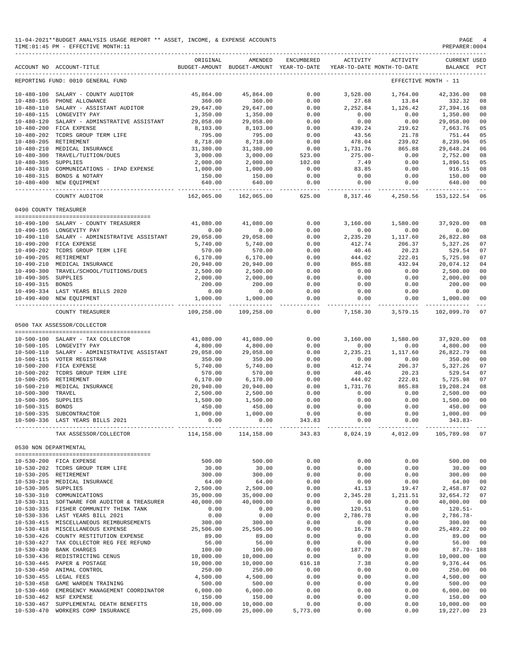|                       | 11-04-2021**BUDGET ANALYSIS USAGE REPORT ** ASSET, INCOME, & EXPENSE ACCOUNTS<br>TIME: 01:45 PM - EFFECTIVE MONTH: 11 |                       |                                                                                |                       |                      |                     | PAGE<br>PREPARER: 0004         | 4                          |
|-----------------------|-----------------------------------------------------------------------------------------------------------------------|-----------------------|--------------------------------------------------------------------------------|-----------------------|----------------------|---------------------|--------------------------------|----------------------------|
|                       | ACCOUNT NO ACCOUNT-TITLE                                                                                              | ORIGINAL              | AMENDED<br>BUDGET-AMOUNT BUDGET-AMOUNT YEAR-TO-DATE YEAR-TO-DATE MONTH-TO-DATE | ENCUMBERED            | ACTIVITY             | ACTIVITY            | <b>CURRENT USED</b><br>BALANCE | PCT                        |
|                       | REPORTING FUND: 0010 GENERAL FUND                                                                                     |                       |                                                                                |                       |                      |                     | EFFECTIVE MONTH - 11           |                            |
|                       | 10-480-100 SALARY - COUNTY AUDITOR                                                                                    | 45,864.00             | 45,864.00                                                                      | 0.00                  | 3,528.00             | 1,764.00            | 42,336.00                      | 08                         |
|                       | 10-480-105 PHONE ALLOWANCE                                                                                            | 360.00                | 360.00                                                                         | 0.00                  | 27.68                | 13.84               | 332.32                         | 08                         |
|                       | 10-480-110 SALARY - ASSISTANT AUDITOR                                                                                 | 29,647.00             | 29,647.00                                                                      | 0.00                  | 2,252.84             | 1,126.42            | 27,394.16                      | 08                         |
|                       | 10-480-115 LONGEVITY PAY                                                                                              | 1,350.00              | 1,350.00                                                                       | 0.00                  | 0.00                 | 0.00                | 1,350.00                       | 00                         |
|                       | 10-480-120 SALARY - ADMINSTRATIVE ASSISTANT                                                                           | 29,058.00             | 29,058.00                                                                      | 0.00                  | 0.00                 | 0.00                | 29,058.00                      | 00                         |
|                       | 10-480-200 FICA EXPENSE<br>10-480-202 TCDRS GROUP TERM LIFE                                                           | 8,103.00<br>795.00    | 8,103.00<br>795.00                                                             | 0.00<br>0.00          | 439.24<br>43.56      | 219.62<br>21.78     | 7,663.76<br>751.44             | 05<br>05                   |
| 10-480-205 RETIREMENT |                                                                                                                       | 8,718.00              | 8,718.00                                                                       | 0.00                  | 478.04               | 239.02              | 8,239.96                       | 05                         |
|                       | 10-480-210 MEDICAL INSURANCE                                                                                          | 31,380.00             | 31,380.00                                                                      | 0.00                  | 1,731.76             | 865.88              | 29,648.24                      | 06                         |
|                       | 10-480-300 TRAVEL/TUITION/DUES                                                                                        | 3,000.00              | 3,000.00                                                                       | 523.00                | $275.00 -$           | 0.00                | 2,752.00                       | 08                         |
| 10-480-305 SUPPLIES   |                                                                                                                       | 2,000.00              | 2,000.00                                                                       | 102.00                | 7.49                 | 0.00                | 1,890.51                       | 05                         |
|                       | 10-480-310 COMMUNICATIONS - IPAD EXPENSE                                                                              | 1,000.00              | 1,000.00                                                                       | 0.00                  | 83.85                | 0.00                | 916.15                         | 08                         |
|                       | 10-480-315 BONDS & NOTARY                                                                                             | 150.00                | 150.00                                                                         | 0.00                  | 0.00                 | 0.00                | 150.00                         | 00                         |
|                       | 10-480-400 NEW EQUIPMENT                                                                                              | 640.00<br>.           | 640.00<br>-------------                                                        | 0.00<br>----------    | 0.00<br>---------- - | 0.00<br>----------- | 640.00<br>--------------       | 00<br>$\sim$ $\sim$ $\sim$ |
|                       | COUNTY AUDITOR                                                                                                        | 162,065.00            | 162,065.00                                                                     | 625.00                | 8,317.46             | 4,250.56            | 153,122.54                     | 06                         |
| 0490 COUNTY TREASURER |                                                                                                                       |                       |                                                                                |                       |                      |                     |                                |                            |
|                       | 10-490-100 SALARY - COUNTY TREASURER                                                                                  | 41,080.00             | 41,080.00                                                                      | 0.00                  | 3,160.00             | 1,580.00            | 37,920.00                      | 08                         |
|                       | 10-490-105 LONGEVITY PAY                                                                                              | 0.00                  | 0.00                                                                           | 0.00                  | 0.00                 | 0.00                | 0.00                           |                            |
|                       | 10-490-110 SALARY - ADMINISTRATIVE ASSISTANT                                                                          | 29,058.00             | 29,058.00                                                                      | 0.00                  | 2,235.20             | 1,117.60            | 26,822.80                      | 08                         |
|                       | 10-490-200 FICA EXPENSE                                                                                               | 5,740.00              | 5,740.00                                                                       | 0.00                  | 412.74               | 206.37              | 5,327.26                       | 07                         |
|                       | 10-490-202 TCDRS GROUP TERM LIFE                                                                                      | 570.00                | 570.00                                                                         | 0.00                  | 40.46                | 20.23               | 529.54                         | 07                         |
| 10-490-205 RETIREMENT |                                                                                                                       | 6,170.00              | 6,170.00                                                                       | 0.00                  | 444.02               | 222.01              | 5,725.98                       | 07                         |
|                       | 10-490-210 MEDICAL INSURANCE                                                                                          | 20,940.00             | 20,940.00                                                                      | 0.00                  | 865.88               | 432.94              | 20,074.12                      | 04                         |
| 10-490-305 SUPPLIES   | 10-490-300 TRAVEL/SCHOOL/TUITIONS/DUES                                                                                | 2,500.00<br>2,000.00  | 2,500.00<br>2,000.00                                                           | 0.00<br>0.00          | 0.00<br>0.00         | 0.00<br>0.00        | 2,500.00<br>2,000.00           | 00<br>00                   |
| 10-490-315 BONDS      |                                                                                                                       | 200.00                | 200.00                                                                         | 0.00                  | 0.00                 | 0.00                | 200.00                         | 00                         |
|                       | 10-490-334 LAST YEARS BILLS 2020                                                                                      | 0.00                  | 0.00                                                                           | 0.00                  | 0.00                 | 0.00                | 0.00                           |                            |
|                       | 10-490-400 NEW EQUIPMENT                                                                                              | 1,000.00              | 1,000.00<br>______________                                                     | 0.00<br>----------- - | 0.00                 | 0.00                | 1,000.00                       | 00                         |
|                       | COUNTY TREASURER                                                                                                      | 109,258.00            | 109,258.00                                                                     | 0.00                  | 7,158.30             | 3,579.15            | 102,099.70                     | 07                         |
|                       | 0500 TAX ASSESSOR/COLLECTOR                                                                                           |                       |                                                                                |                       |                      |                     |                                |                            |
|                       | 10-500-100 SALARY - TAX COLLECTOR                                                                                     | 41,080.00             | 41,080.00                                                                      | 0.00                  | 3,160.00             | 1,580.00            | 37,920.00                      | 08                         |
|                       | 10-500-105 LONGEVITY PAY                                                                                              | 4,800.00              | 4,800.00                                                                       | 0.00                  | 0.00                 | 0.00                | 4,800.00                       | 00                         |
|                       | 10-500-110 SALARY - ADMINISTRATIVE ASSISTANT                                                                          | 29,058.00             | 29,058.00                                                                      | 0.00                  | 2,235.21             | 1,117.60            | 26,822.79                      | 08                         |
|                       | 10-500-115 VOTER REGISTRAR                                                                                            | 350.00                | 350.00                                                                         | 0.00                  | 0.00                 | 0.00                | 350.00                         | 00                         |
|                       | 10-500-200 FICA EXPENSE                                                                                               | 5,740.00              | 5,740.00                                                                       | 0.00                  | 412.74               | 206.37              | 5,327.26                       | 07                         |
|                       | 10-500-202 TCDRS GROUP TERM LIFE                                                                                      | 570.00                | 570.00                                                                         | 0.00                  | 40.46                | 20.23               | 529.54                         | 07                         |
| 10-500-205 RETIREMENT |                                                                                                                       | 6,170.00              | 6, 170.00                                                                      | 0.00                  | 444.02               | 222.01              | 5,725.98                       | 07                         |
| 10-500-300 TRAVEL     | 10-500-210 MEDICAL INSURANCE                                                                                          | 20,940.00<br>2,500.00 | 20,940.00<br>2,500.00                                                          | 0.00<br>0.00          | 1,731.76<br>0.00     | 865.88<br>0.00      | 19,208.24<br>2,500.00          | 08<br>00                   |
| 10-500-305 SUPPLIES   |                                                                                                                       | 1,500.00              | 1,500.00                                                                       | 0.00                  | 0.00                 | 0.00                | 1,500.00                       | 0 <sup>0</sup>             |
| 10-500-315 BONDS      |                                                                                                                       | 450.00                | 450.00                                                                         | 0.00                  | 0.00                 | 0.00                | 450.00 00                      |                            |
|                       | 10-500-335 SUBCONTRACTOR                                                                                              | 1,000.00              | 1,000.00                                                                       | 0.00                  | 0.00                 | 0.00                | 1,000.00 00                    |                            |
|                       | 10-500-336 LAST YEARS BILLS 2021                                                                                      | 0.00                  | 0.00                                                                           | 343.83                | 0.00                 | 0.00                | $343.83-$                      |                            |
|                       | TAX ASSESSOR/COLLECTOR                                                                                                | 114,158.00            | 114,158.00                                                                     | 343.83                |                      | 8,024.19 4,012.09   | 105,789.98 07                  |                            |
| 0530 NON DEPARTMENTAL |                                                                                                                       |                       |                                                                                |                       |                      |                     |                                |                            |
|                       |                                                                                                                       |                       |                                                                                |                       |                      |                     |                                |                            |
|                       | 10-530-200 FICA EXPENSE                                                                                               | 500.00                | 500.00                                                                         | 0.00                  | 0.00                 | 0.00                | 500.00                         | 00                         |
|                       | 10-530-202 TCDRS GROUP TERM LIFE<br>10-530-205 RETIREMENT                                                             | 30.00                 | 30.00                                                                          | 0.00                  | 0.00                 | 0.00                | 30.00                          | 00                         |
|                       | 10-530-210 MEDICAL INSURANCE                                                                                          | 300.00<br>64.00       | 300.00<br>64.00                                                                | 0.00<br>0.00          | 0.00<br>0.00         | 0.00<br>0.00        | 300.00<br>64.00                | 00<br>00                   |
| 10-530-305 SUPPLIES   |                                                                                                                       | 2,500.00              | 2,500.00                                                                       | 0.00                  | 41.13                | 19.47               | 2,458.87 02                    |                            |
|                       | 10-530-310 COMMUNICATIONS                                                                                             | 35,000.00             | 35,000.00                                                                      | 0.00                  | 2,345.28             | 1,211.51            | 32,654.72 07                   |                            |
|                       | 10-530-311 SOFTWARE FOR AUDITOR & TREASURER                                                                           | 40,000.00             | 40,000.00                                                                      | 0.00                  | 0.00                 | 0.00                | 40,000.00 00                   |                            |
|                       | 10-530-335 FISHER COMMUNITY THINK TANK                                                                                | 0.00                  | 0.00                                                                           | 0.00                  | 120.51               | 0.00                | $120.51-$                      |                            |
|                       | 10-530-336 LAST YEARS BILL 2021                                                                                       | 0.00                  | 0.00                                                                           | 0.00                  | 2,786.78             | 0.00                | 2,786.78-                      |                            |
|                       | 10-530-415 MISCELLANEOUS REIMBURSEMENTS                                                                               | 300.00                | 300.00                                                                         | 0.00                  | 0.00                 | 0.00                | 300.00                         | 00                         |
|                       | 10-530-418 MISCELLANEOUS EXPENSE<br>10-530-426 COUNTY RESTITUTION EXPENSE                                             | 25,506.00<br>89.00    | 25,506.00<br>89.00                                                             | 0.00<br>0.00          | 16.78<br>0.00        | 0.00<br>0.00        | 25,489.22<br>89.00             | 00<br>00                   |
|                       | 10-530-427 TAX COLLECTOR REG FEE REFUND                                                                               | 56.00                 | 56.00                                                                          | 0.00                  | 0.00                 | 0.00                | 56.00                          | 00                         |
|                       | 10-530-430 BANK CHARGES                                                                                               | 100.00                | 100.00                                                                         | 0.00                  | 187.70               | 0.00                | $87.70 - 188$                  |                            |
|                       | 10-530-436 REDISTRICTING CENUS                                                                                        | 10,000.00             | 10,000.00                                                                      | 0.00                  | 0.00                 | 0.00                | 10,000.00                      | 00                         |
|                       | 10-530-445 PAPER & POSTAGE                                                                                            | 10,000.00             | 10,000.00                                                                      | 616.18                | 7.38                 | 0.00                | 9,376.44                       | 06                         |
|                       | 10-530-450 ANIMAL CONTROL                                                                                             | 250.00                | 250.00                                                                         | 0.00                  | 0.00                 | 0.00                | 250.00                         | 00                         |
|                       | 10-530-455 LEGAL FEES                                                                                                 | 4,500.00              | 4,500.00                                                                       | 0.00                  | 0.00                 | 0.00                | 4,500.00                       | 00                         |
|                       | 10-530-458 GAME WARDEN TRAINING<br>10-530-460 EMERGENCY MANAGEMENT COORDINATOR                                        | 500.00<br>6,000.00    | 500.00<br>6,000.00                                                             | 0.00<br>0.00          | 0.00<br>0.00         | 0.00<br>0.00        | 500.00<br>6,000.00             | 00                         |
|                       | 10-530-462 NSF EXPENSE                                                                                                | 150.00                | 150.00                                                                         | 0.00                  | 0.00                 | 0.00                | 150.00                         | 00<br>00                   |
|                       | 10-530-467 SUPPLEMENTAL DEATH BENEFITS                                                                                | 10,000.00             | 10,000.00                                                                      | 0.00                  | 0.00                 | 0.00                | 10,000.00 00                   |                            |

10-530-470 WORKERS COMP INSURANCE 25,000.00 25,000.00 5,773.00 0.00 0.00 19,227.00 23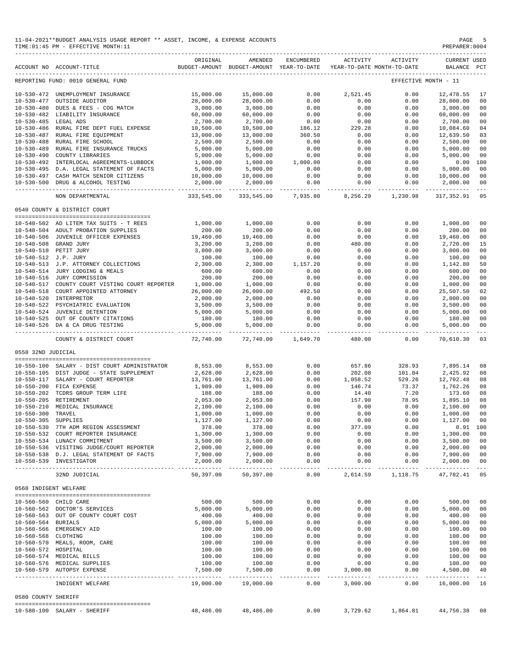|                       | 11-04-2021**BUDGET ANALYSIS USAGE REPORT ** ASSET, INCOME, & EXPENSE ACCOUNTS<br>TIME: 01:45 PM - EFFECTIVE MONTH: 11 |                       |                                                                                |                      |                           |                            | PREPARER: 0004                     | PAGE 5                                                                                                                                                                                                                                                                                                                                                                                             |
|-----------------------|-----------------------------------------------------------------------------------------------------------------------|-----------------------|--------------------------------------------------------------------------------|----------------------|---------------------------|----------------------------|------------------------------------|----------------------------------------------------------------------------------------------------------------------------------------------------------------------------------------------------------------------------------------------------------------------------------------------------------------------------------------------------------------------------------------------------|
|                       | ACCOUNT NO ACCOUNT-TITLE                                                                                              | ORIGINAL              | AMENDED<br>BUDGET-AMOUNT BUDGET-AMOUNT YEAR-TO-DATE YEAR-TO-DATE MONTH-TO-DATE | ENCUMBERED           | <b>ACTIVITY</b>           | ACTIVITY                   | <b>CURRENT USED</b><br>BALANCE PCT |                                                                                                                                                                                                                                                                                                                                                                                                    |
|                       | REPORTING FUND: 0010 GENERAL FUND                                                                                     |                       |                                                                                |                      |                           |                            | EFFECTIVE MONTH - 11               |                                                                                                                                                                                                                                                                                                                                                                                                    |
|                       | 10-530-472 UNEMPLOYMENT INSURANCE                                                                                     | 15,000.00             | 15,000.00                                                                      | 0.00                 | 2,521.45                  | 0.00                       | 12,478.55                          | 17                                                                                                                                                                                                                                                                                                                                                                                                 |
|                       | 10-530-477 OUTSIDE AUDITOR                                                                                            | 28,000.00             | 28,000.00                                                                      | 0.00                 | 0.00                      | 0.00                       | 28,000.00                          | 00                                                                                                                                                                                                                                                                                                                                                                                                 |
|                       | 10-530-480 DUES & FEES - COG MATCH                                                                                    | 3,000.00              | 3,000.00                                                                       | 0.00                 | 0.00                      | 0.00                       | 3,000.00                           | 00                                                                                                                                                                                                                                                                                                                                                                                                 |
|                       | 10-530-482 LIABILITY INSURANCE                                                                                        | 60,000.00             | 60,000.00                                                                      | 0.00                 | 0.00                      | 0.00                       | 60,000.00                          | 00                                                                                                                                                                                                                                                                                                                                                                                                 |
| 10-530-485 LEGAL ADS  |                                                                                                                       | 2,700.00              | 2,700.00                                                                       | 0.00                 | 0.00                      | 0.00                       | 2,700.00                           | 00                                                                                                                                                                                                                                                                                                                                                                                                 |
|                       | 10-530-486 RURAL FIRE DEPT FUEL EXPENSE                                                                               | 10,500.00             | 10,500.00                                                                      | 186.12               | 229.28                    | 0.00                       | 10,084.60                          | 04                                                                                                                                                                                                                                                                                                                                                                                                 |
|                       | 10-530-487 RURAL FIRE EQUIPMENT<br>10-530-488 RURAL FIRE SCHOOL                                                       | 13,000.00<br>2,500.00 | 13,000.00<br>2,500.00                                                          | 360.50<br>0.00       | 0.00<br>0.00              | 0.00<br>0.00               | 12,639.50<br>2,500.00              | 03<br>00                                                                                                                                                                                                                                                                                                                                                                                           |
|                       | 10-530-489 RURAL FIRE INSURANCE TRUCKS                                                                                | 5,000.00              | 5,000.00                                                                       | 0.00                 | 0.00                      | 0.00                       | 5,000.00                           | 00                                                                                                                                                                                                                                                                                                                                                                                                 |
|                       | 10-530-490 COUNTY LIBRARIES                                                                                           | 5,000.00              | 5,000.00                                                                       | 0.00                 | 0.00                      | 0.00                       | 5,000.00                           | 0 <sub>0</sub>                                                                                                                                                                                                                                                                                                                                                                                     |
|                       | 10-530-492 INTERLOCAL AGREEMENTS-LUBBOCK                                                                              | 1,000.00              | 1,000.00                                                                       | 1,000.00             | 0.00                      | 0.00                       | 0.00                               | 100                                                                                                                                                                                                                                                                                                                                                                                                |
|                       | 10-530-495 D.A. LEGAL STATEMENT OF FACTS                                                                              | 5,000.00              | 5,000.00                                                                       | 0.00                 | 0.00                      | 0.00                       | 5,000.00                           | 00                                                                                                                                                                                                                                                                                                                                                                                                 |
|                       | 10-530-497 CASH MATCH SENIOR CITIZENS                                                                                 | 10,000.00             | 10,000.00                                                                      | 0.00                 | 0.00                      | 0.00                       | 10,000.00                          | 00                                                                                                                                                                                                                                                                                                                                                                                                 |
|                       | 10-530-500 DRUG & ALCOHOL TESTING                                                                                     | 2,000.00              | 2,000.00                                                                       | 0.00                 | 0.00                      | 0.00                       | 2,000.00                           | 00<br>$- - -$                                                                                                                                                                                                                                                                                                                                                                                      |
|                       | NON DEPARTMENTAL                                                                                                      | 333,545.00            | 333,545.00                                                                     |                      |                           | 7,935.80 8,256.29 1,230.98 | 317,352.91                         | 05                                                                                                                                                                                                                                                                                                                                                                                                 |
|                       | 0540 COUNTY & DISTRICT COURT                                                                                          |                       |                                                                                |                      |                           |                            |                                    |                                                                                                                                                                                                                                                                                                                                                                                                    |
|                       | 10-540-502 AD LITEM TAX SUITS - T REES                                                                                | 1,000.00              | 1,000.00                                                                       | 0.00                 | 0.00                      | 0.00                       | 1,000.00                           | 00                                                                                                                                                                                                                                                                                                                                                                                                 |
|                       | 10-540-504 ADULT PROBATION SUPPLIES                                                                                   | 200.00                | 200.00                                                                         | 0.00                 | 0.00                      | 0.00                       | 200.00                             | 00                                                                                                                                                                                                                                                                                                                                                                                                 |
|                       | 10-540-506 JUVENILE OFFICER EXPENSES                                                                                  | 19,460.00             | 19,460.00                                                                      | 0.00                 | 0.00                      | 0.00                       | 19,460.00                          | 00                                                                                                                                                                                                                                                                                                                                                                                                 |
|                       | 10-540-508 GRAND JURY                                                                                                 | 3,200.00              | 3,200.00                                                                       | 0.00                 | 480.00                    | 0.00                       | 2,720.00                           | 15                                                                                                                                                                                                                                                                                                                                                                                                 |
|                       | 10-540-510 PETIT JURY                                                                                                 | 3,000.00              | 3,000.00                                                                       | 0.00                 | 0.00                      | 0.00                       | 3,000.00                           | 00                                                                                                                                                                                                                                                                                                                                                                                                 |
| 10-540-512 J.P. JURY  |                                                                                                                       | 100.00                | 100.00                                                                         | 0.00                 | 0.00                      | 0.00                       | 100.00                             | 00                                                                                                                                                                                                                                                                                                                                                                                                 |
|                       | 10-540-513 J.P. ATTORNEY COLLECTIONS                                                                                  | 2,300.00              | 2,300.00                                                                       | 1,157.20             | 0.00                      | 0.00                       | 1,142.80                           | 50                                                                                                                                                                                                                                                                                                                                                                                                 |
|                       | 10-540-514 JURY LODGING & MEALS                                                                                       | 600.00                | 600.00                                                                         | 0.00                 | 0.00                      | 0.00                       | 600.00                             | 00                                                                                                                                                                                                                                                                                                                                                                                                 |
|                       | 10-540-516 JURY COMMISSION                                                                                            | 200.00                | 200.00                                                                         | 0.00                 | 0.00                      | 0.00                       | 200.00                             | 00                                                                                                                                                                                                                                                                                                                                                                                                 |
|                       | 10-540-517 COUNTY COURT VISTING COURT REPORTER 1,000.00                                                               |                       | 1,000.00                                                                       | 0.00                 | 0.00                      | 0.00                       | 1,000.00                           | 00                                                                                                                                                                                                                                                                                                                                                                                                 |
|                       | 10-540-518 COURT APPOINTED ATTORNEY                                                                                   | 26,000.00             | 26,000.00                                                                      | 492.50               | 0.00                      | 0.00                       | 25,507.50                          | 02                                                                                                                                                                                                                                                                                                                                                                                                 |
|                       | 10-540-520 INTERPRETOR                                                                                                | 2,000.00<br>3,500.00  | 2,000.00<br>3,500.00                                                           | 0.00<br>0.00         | 0.00<br>0.00              | 0.00<br>0.00               | 2,000.00<br>3,500.00               | 00<br>00                                                                                                                                                                                                                                                                                                                                                                                           |
|                       |                                                                                                                       | 5,000.00              | 5,000.00                                                                       | 0.00                 | 0.00                      | 0.00                       | 5,000.00                           | 00                                                                                                                                                                                                                                                                                                                                                                                                 |
|                       | 10-540-525 OUT OF COUNTY CITATIONS                                                                                    | 180.00                | 180.00                                                                         | 0.00                 | 0.00                      | 0.00                       | 180.00                             | 00                                                                                                                                                                                                                                                                                                                                                                                                 |
|                       | 10-540-526 DA & CA DRUG TESTING                                                                                       | 5,000.00              | 5,000.00                                                                       | 0.00                 | 0.00                      | 0.00<br>------------       | 5,000.00<br>-------------          | 00<br>$\frac{1}{2} \frac{1}{2} \frac{1}{2} \frac{1}{2} \frac{1}{2} \frac{1}{2} \frac{1}{2} \frac{1}{2} \frac{1}{2} \frac{1}{2} \frac{1}{2} \frac{1}{2} \frac{1}{2} \frac{1}{2} \frac{1}{2} \frac{1}{2} \frac{1}{2} \frac{1}{2} \frac{1}{2} \frac{1}{2} \frac{1}{2} \frac{1}{2} \frac{1}{2} \frac{1}{2} \frac{1}{2} \frac{1}{2} \frac{1}{2} \frac{1}{2} \frac{1}{2} \frac{1}{2} \frac{1}{2} \frac{$ |
|                       | COUNTY & DISTRICT COURT                                                                                               | 72,740.00             | 72,740.00                                                                      | 1,649.70             | 480.00                    | 0.00                       | 70,610.30                          | 03                                                                                                                                                                                                                                                                                                                                                                                                 |
| 0550 32ND JUDICIAL    |                                                                                                                       |                       |                                                                                |                      |                           |                            |                                    |                                                                                                                                                                                                                                                                                                                                                                                                    |
|                       |                                                                                                                       |                       |                                                                                |                      |                           |                            |                                    |                                                                                                                                                                                                                                                                                                                                                                                                    |
|                       | 10-550-100 SALARY - DIST COURT ADMINISTRATOR<br>10-550-105 DIST JUDGE - STATE SUPPLEMENT                              | 8,553.00<br>2,628.00  | 8,553.00<br>2,628.00                                                           | 0.00<br>0.00         | 657.86<br>202.08          | 328.93<br>101.04           | 7,895.14<br>2,425.92               | 08<br>08                                                                                                                                                                                                                                                                                                                                                                                           |
|                       | 10-550-117 SALARY - COURT REPORTER                                                                                    | 13,761.00             | 13,761.00                                                                      | 0.00                 | 1,058.52                  | 529.26                     | 12,702.48                          | 08                                                                                                                                                                                                                                                                                                                                                                                                 |
|                       | 10-550-200 FICA EXPENSE                                                                                               | 1,909.00              | 1,909.00                                                                       | 0.00                 | 146.74                    | 73.37                      | 1,762.26                           | 08                                                                                                                                                                                                                                                                                                                                                                                                 |
|                       | 10-550-202 TCDRS GROUP TERM LIFE                                                                                      | 188.00                | 188.00                                                                         | 0.00                 | 14.40                     | 7.20                       | 173.60                             | 08                                                                                                                                                                                                                                                                                                                                                                                                 |
|                       | 10-550-205 RETIREMENT                                                                                                 | 2,053.00              | 2,053.00                                                                       | 0.00                 | 157.90                    | 78.95                      | 1,895.10                           | 08                                                                                                                                                                                                                                                                                                                                                                                                 |
|                       | 10-550-210 MEDICAL INSURANCE                                                                                          | 2,100.00              | 2,100.00                                                                       | 0.00                 | 0.00                      | 0.00                       | 2,100.00                           | 00                                                                                                                                                                                                                                                                                                                                                                                                 |
| 10-550-300 TRAVEL     |                                                                                                                       | 1,000.00              | 1,000.00                                                                       | 0.00                 | 0.00                      | 0.00                       | 1,000.00                           | 00                                                                                                                                                                                                                                                                                                                                                                                                 |
| 10-550-305 SUPPLIES   |                                                                                                                       | 1,127.00              | 1,127.00                                                                       | 0.00                 | 0.00                      | 0.00                       | 1,127.00                           | 00                                                                                                                                                                                                                                                                                                                                                                                                 |
|                       | 10-550-530 7TH ADM REGION ASSESSMENT                                                                                  | 378.00                | 378.00                                                                         | 0.00                 | 377.09                    | 0.00                       | $0.91$ 100                         |                                                                                                                                                                                                                                                                                                                                                                                                    |
|                       | 10-550-532 COURT REPORTER INSURANCE                                                                                   | 1,300.00              | 1,300.00                                                                       | 0.00                 | 0.00                      | 0.00                       | 1,300.00                           | 00                                                                                                                                                                                                                                                                                                                                                                                                 |
|                       | 10-550-534 LUNACY COMMITMENT                                                                                          | 3,500.00              | 3,500.00                                                                       | 0.00                 | 0.00                      | 0.00                       | 3,500.00                           | 00                                                                                                                                                                                                                                                                                                                                                                                                 |
|                       | 10-550-536 VISITING JUDGE/COURT REPORTER                                                                              | 2,000.00              | 2,000.00                                                                       | 0.00                 | 0.00                      | 0.00                       | 2,000.00                           | 00                                                                                                                                                                                                                                                                                                                                                                                                 |
|                       | 10-550-538 D.J. LEGAL STATEMENT OF FACTS<br>10-550-539 INVESTIGATOR                                                   | 7,900.00<br>2,000.00  | 7,900.00<br>2,000.00                                                           | 0.00<br>0.00         | 0.00<br>0.00              | 0.00<br>0.00               | 7,900.00<br>2,000.00               | 00<br>00                                                                                                                                                                                                                                                                                                                                                                                           |
|                       | 32ND JUDICIAL                                                                                                         | 50,397.00             | -------------<br>50,397.00                                                     | ------------<br>0.00 | -------------<br>2,614.59 | ------------<br>1,118.75   | --------------<br>47,782.41        | $- - - -$<br>05                                                                                                                                                                                                                                                                                                                                                                                    |
| 0560 INDIGENT WELFARE |                                                                                                                       |                       |                                                                                |                      |                           |                            |                                    |                                                                                                                                                                                                                                                                                                                                                                                                    |
|                       |                                                                                                                       |                       |                                                                                |                      |                           |                            |                                    |                                                                                                                                                                                                                                                                                                                                                                                                    |
|                       | 10-560-560 CHILD CARE                                                                                                 | 500.00                | 500.00                                                                         | 0.00                 | 0.00                      | 0.00                       | 500.00                             | 00                                                                                                                                                                                                                                                                                                                                                                                                 |
|                       | 10-560-562 DOCTOR'S SERVICES                                                                                          | 5,000.00              | 5,000.00                                                                       | 0.00                 | 0.00                      | 0.00                       | 5,000.00                           | 00                                                                                                                                                                                                                                                                                                                                                                                                 |
|                       | 10-560-563 OUT OF COUNTY COURT COST                                                                                   | 400.00                | 400.00                                                                         | 0.00                 | 0.00                      | 0.00                       | 400.00                             | 00                                                                                                                                                                                                                                                                                                                                                                                                 |
| 10-560-564 BURIALS    |                                                                                                                       | 5,000.00              | 5,000.00                                                                       | 0.00                 | 0.00                      | 0.00                       | 5,000.00                           | 00                                                                                                                                                                                                                                                                                                                                                                                                 |
| 10-560-568 CLOTHING   | 10-560-566 EMERGENCY AID                                                                                              | 100.00<br>100.00      | 100.00<br>100.00                                                               | 0.00<br>0.00         | 0.00<br>0.00              | 0.00<br>0.00               | 100.00<br>100.00                   | 00<br>00                                                                                                                                                                                                                                                                                                                                                                                           |
|                       | 10-560-570 MEALS, ROOM, CARE                                                                                          | 100.00                | 100.00                                                                         | 0.00                 | 0.00                      | 0.00                       | 100.00                             | 00                                                                                                                                                                                                                                                                                                                                                                                                 |
| 10-560-572 HOSPITAL   |                                                                                                                       | 100.00                | 100.00                                                                         | 0.00                 | 0.00                      | 0.00                       | 100.00                             | 00                                                                                                                                                                                                                                                                                                                                                                                                 |
|                       | 10-560-574 MEDICAL BILLS                                                                                              | 100.00                | 100.00                                                                         | 0.00                 | 0.00                      | 0.00                       | 100.00                             | 00                                                                                                                                                                                                                                                                                                                                                                                                 |
|                       | 10-560-576 MEDICAL SUPPLIES                                                                                           | 100.00                | 100.00                                                                         | 0.00                 | 0.00                      | 0.00                       | 100.00                             | 00                                                                                                                                                                                                                                                                                                                                                                                                 |
|                       | 10-560-579 AUTOPSY EXPENSE                                                                                            | 7,500.00              | 7,500.00<br>-------------                                                      | 0.00<br>---------    | 3,000.00<br>. <u>.</u>    | 0.00<br>----------         | 4,500.00<br>-----------            | 40<br>$\qquad \qquad - -$                                                                                                                                                                                                                                                                                                                                                                          |
|                       | INDIGENT WELFARE                                                                                                      | 19,000.00             | 19,000.00                                                                      | 0.00                 | 3,000.00                  | 0.00                       | 16,000.00                          | 16                                                                                                                                                                                                                                                                                                                                                                                                 |
| 0580 COUNTY SHERIFF   |                                                                                                                       |                       |                                                                                |                      |                           |                            |                                    |                                                                                                                                                                                                                                                                                                                                                                                                    |
|                       | 10-580-100 SALARY - SHERIFF                                                                                           | 48,486.00             | 48,486.00                                                                      | 0.00                 | 3,729.62                  | 1,864.81                   | 44,756.38 08                       |                                                                                                                                                                                                                                                                                                                                                                                                    |
|                       |                                                                                                                       |                       |                                                                                |                      |                           |                            |                                    |                                                                                                                                                                                                                                                                                                                                                                                                    |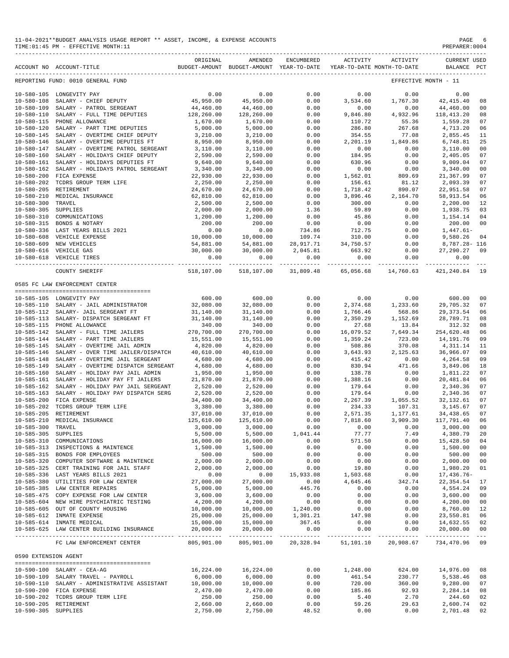#### 11-04-2021\*\*BUDGET ANALYSIS USAGE REPORT \*\* ASSET, INCOME, & EXPENSE ACCOUNTS PAGE 6  $TIME:01:45 PM - EFFECTIVE MOMTH:11$

|                      | ACCOUNT NO ACCOUNT-TITLE                                                | ORIGINAL               | AMENDED<br>BUDGET-AMOUNT BUDGET-AMOUNT YEAR-TO-DATE | ENCUMBERED                 | ACTIVITY          | ACTIVITY<br>YEAR-TO-DATE MONTH-TO-DATE   | <b>CURRENT USED</b><br>BALANCE PCT |                |
|----------------------|-------------------------------------------------------------------------|------------------------|-----------------------------------------------------|----------------------------|-------------------|------------------------------------------|------------------------------------|----------------|
|                      | REPORTING FUND: 0010 GENERAL FUND                                       |                        |                                                     |                            |                   |                                          | EFFECTIVE MONTH - 11               |                |
|                      | 10-580-105 LONGEVITY PAY                                                | 0.00                   | 0.00                                                | 0.00                       | 0.00              | 0.00                                     | 0.00                               |                |
| $10 - 580 - 108$     | SALARY - CHIEF DEPUTY                                                   | 45,950.00              | 45,950.00                                           | 0.00                       | 3,534.60          | 1,767.30                                 | 42, 415.40                         | 08             |
| $10 - 580 - 109$     | SALARY - PATROL SERGEANT                                                | 44,460.00              | 44,460.00                                           | 0.00                       | 0.00              | 0.00                                     | 44,460.00                          | 00             |
| $10 - 580 - 110$     | SALARY - FULL TIME DEPUTIES                                             | 128,260.00             | 128,260.00                                          | 0.00                       | 9,846.80          | 4,932.96                                 | 118,413.20                         | 08             |
| $10 - 580 - 115$     | PHONE ALLOWANCE                                                         | 1,670.00               | 1,670.00                                            | 0.00                       | 110.72            | 55.36                                    | 1,559.28                           | 07             |
| $10 - 580 - 120$     | SALARY - PART TIME DEPUTIES                                             | 5,000.00               | 5,000.00                                            | 0.00                       | 286.80            | 267.68                                   | 4,713.20                           | 06             |
| $10 - 580 - 145$     | SALARY - OVERTIME CHIEF DEPUTY                                          | 3,210.00               | 3,210.00                                            | 0.00                       | 354.55            | 77.08                                    | 2,855.45                           | 11             |
| $10 - 580 - 146$     | SALARY - OVERTIME DEPUTIES FT                                           | 8,950.00               | 8,950.00                                            | 0.00                       | 2,201.19          | 1,849.86                                 | 6,748.81                           | 25             |
| $10 - 580 - 147$     | SALARY - OVERTIME PATROL SERGEANT                                       | 3,110.00               | 3,110.00                                            | 0.00                       | 0.00              | 0.00                                     | 3,110.00                           | 00             |
| $10 - 580 - 160$     | SALARY - HOLIDAYS CHIEF DEPUTY                                          | 2,590.00               | 2,590.00                                            | 0.00                       | 184.95            | 0.00                                     | 2,405.05                           | 07             |
| $10 - 580 - 161$     | SALARY - HOLIDAYS DEPUTIES FT                                           | 9,640.00               | 9,640.00                                            | 0.00                       | 630.96            | 0.00                                     | 9,009.04                           | 07             |
| $10 - 580 - 162$     | SALARY - HOLIDAYS PATROL SERGEANT                                       | 3,340.00               | 3,340.00                                            | 0.00                       | 0.00              | 0.00                                     | 3,340.00                           | 00             |
| $10 - 580 - 200$     | FICA EXPENSE                                                            | 22,930.00              | 22,930.00                                           | 0.00                       | 1,562.01          | 809.69                                   | 21,367.99                          | 07             |
| $10 - 580 - 202$     | TCDRS GROUP TERM LIFE                                                   | 2,250.00               | 2,250.00                                            | 0.00                       | 156.61            | 81.12                                    | 2,093.39                           | 07             |
| $10 - 580 - 205$     | RETIREMENT                                                              | 24,670.00              | 24,670.00                                           | 0.00                       | 1,718.42          | 890.07                                   | 22,951.58                          | 07             |
| $10 - 580 - 210$     | MEDICAL INSURANCE                                                       | 62,810.00              | 62,810.00                                           | 0.00                       | 3,896.46          | 2,164.70                                 | 58, 913.54                         | 06             |
| $10 - 580 - 300$     | TRAVEL                                                                  | 2,500.00               | 2,500.00                                            | 0.00                       | 300.00            | 0.00                                     | 2,200.00                           | 12             |
| $10 - 580 - 305$     | SUPPLIES                                                                | 2,000.00               | 2,000.00                                            | 1.36                       | 59.89             | 0.00                                     | 1,938.75                           | 03             |
| $10 - 580 - 310$     | COMMUNICATIONS                                                          | 1,200.00               | 1,200.00                                            | 0.00                       | 45.86             | 0.00                                     | 1,154.14                           | 04             |
| $10 - 580 - 315$     | BONDS & NOTARY                                                          | 200.00                 | 200.00                                              | 0.00                       | 0.00              | 0.00                                     | 200.00                             | 00             |
|                      | 10-580-336 LAST YEARS BILLS 2021                                        | 0.00                   | 0.00                                                | 734.86                     | 712.75            | 0.00                                     | $1,447.61-$                        |                |
| $10 - 580 - 608$     | VEHICLE EXPENSE                                                         | 10,000.00              | 10,000.00                                           | 109.74                     | 310.00            | 0.00                                     | 9,580.26                           | 04             |
| $10 - 580 - 609$     | NEW VEHICLES                                                            | 54,881.00              | 54,881.00                                           | 28,917.71                  | 34,750.57         | 0.00                                     | 8,787.28- 116                      |                |
|                      | 10-580-616 VEHICLE GAS                                                  | 30,000.00              | 30,000.00                                           | 2,045.81                   | 663.92            | 0.00                                     | 27,290.27                          | 09             |
|                      | 10-580-618 VEHICLE TIRES                                                | 0.00                   | 0.00                                                | 0.00                       | 0.00              | 0.00                                     | 0.00                               |                |
|                      | COUNTY SHERIFF                                                          | 518,107.00             | ______________<br>518,107.00                        | _____________<br>31,809.48 | 65,056.68         | -------------- ------------<br>14,760.63 | -----------<br>421,240.84          | 19             |
|                      | 0585 FC LAW ENFORCEMENT CENTER                                          |                        |                                                     |                            |                   |                                          |                                    |                |
|                      |                                                                         |                        |                                                     |                            |                   |                                          |                                    |                |
|                      | 10-585-105 LONGEVITY PAY                                                | 600.00                 | 600.00                                              | 0.00                       | 0.00              | 0.00                                     | 600.00                             | 0 <sub>0</sub> |
|                      | 10-585-110 SALARY - JAIL ADMINISTRATOR                                  | 32,080.00              | 32,080.00                                           | 0.00                       | 2,374.68          | 1,233.60                                 | 29,705.32                          | 07             |
|                      | 10-585-112 SALARY- JAIL SERGEANT FT                                     | 31,140.00              | 31,140.00                                           | 0.00                       | 1,766.46          | 568.86                                   | 29, 373.54                         | 06             |
|                      | 10-585-113 SALARY- DISPATCH SERGEANT FT                                 | 31,140.00              | 31,140.00                                           | 0.00                       | 2,350.29          | 1,152.69                                 | 28,789.71                          | 08             |
|                      | 10-585-115 PHONE ALLOWANCE                                              | 340.00                 | 340.00                                              | 0.00                       | 27.68             | 13.84                                    | 312.32                             | 08             |
|                      | 10-585-142 SALARY - FULL TIME JAILERS                                   | 270,700.00             | 270,700.00                                          | 0.00                       | 16,079.52         | 7,649.34                                 | 254,620.48                         | 06             |
| $10 - 585 - 144$     | SALARY - PART TIME JAILERS                                              | 15,551.00              | 15,551.00                                           | 0.00                       | 1,359.24          | 723.00                                   | 14, 191. 76                        | 09             |
| $10 - 585 - 145$     | SALARY - OVERTIME JAIL ADMIN                                            | 4,820.00               | 4,820.00                                            | 0.00                       | 508.86            | 370.08                                   | 4,311.14                           | 11             |
| $10 - 585 - 146$     | SALARY - OVER TIME JAILER/DISPATCH                                      | 40,610.00              | 40,610.00                                           | 0.00                       | 3,643.93          | 2,125.63                                 | 36,966.07                          | 09             |
| $10 - 585 - 148$     | SALARY - OVERTIME JAIL SERGEANT                                         | 4,680.00               | 4,680.00                                            | 0.00                       | 415.42            | 0.00                                     | 4,264.58                           | 09             |
| $10 - 585 - 149$     | SALARY - OVERTIME DISPATCH SERGEANT                                     | 4,680.00               | 4,680.00                                            | 0.00                       | 830.94            | 471.66                                   | 3,849.06                           | 18             |
| $10 - 585 - 160$     | SALARY - HOLIDAY PAY JAIL ADMIN                                         | 1,950.00               | 1,950.00                                            | 0.00                       | 138.78            | 0.00                                     | 1,811.22                           | 07             |
| $10 - 585 - 161$     | SALARY - HOLIDAY PAY FT JAILERS                                         | 21,870.00              | 21,870.00                                           | 0.00                       | 1,388.16          | 0.00                                     | 20, 481.84                         | 06             |
| $10 - 585 - 162$     | SALARY - HOLIDAY PAY JAIL SERGEANT                                      | 2,520.00               | 2,520.00                                            | 0.00                       | 179.64            | 0.00                                     | 2,340.36                           | 07             |
| $10 - 585 - 163$     | SALARY - HOLIDAY PAY DISPATCH SERG                                      | 2,520.00               | 2,520.00                                            | 0.00                       | 179.64            | 0.00                                     | 2,340.36                           | 07             |
| $10 - 585 - 200$     | FICA EXPENSE                                                            | 34,400.00              | 34,400.00                                           | 0.00                       | 2,267.39          | 1,055.52                                 | 32, 132.61                         | 07             |
| $10 - 585 - 202$     | TCDRS GROUP TERM LIFE                                                   | 3,380.00               | 3,380.00                                            | 0.00                       | 234.33            | 107.31                                   | 3,145.67                           | 07             |
| $10 - 585 - 205$     | RETIREMENT                                                              | 37,010.00              | 37,010.00                                           | 0.00                       | 2,571.35          | 1,177.61                                 | 34, 438.65                         | 07             |
| 10-585-210           | MEDICAL INSURANCE                                                       | 125,610.00             | 125,610.00                                          | 0.00                       | 7,818.60          | 3,909.30                                 | 117,791.40                         | 06             |
| 10-585-300 TRAVEL    |                                                                         | 3,000.00               | 3,000.00                                            | 0.00                       | 0.00              | 0.00                                     | 3,000.00                           | 00             |
| 10-585-305 SUPPLIES  |                                                                         | 5,500.00               | 5,500.00                                            | 1,041.44                   | 77.77             | 7.49                                     | 4,380.79                           | 20             |
|                      | 10-585-310 COMMUNICATIONS                                               | 16,000.00              | 16,000.00                                           | 0.00                       | 571.50            | 0.00                                     | 15,428.50                          | 04             |
|                      | 10-585-313 INSPECTIONS & MAINTENCE<br>10-585-315 BONDS FOR EMPLOYEES    | 1,500.00               | 1,500.00                                            | 0.00                       | 0.00              | 0.00                                     | 1,500.00                           | 00             |
|                      | 10-585-320 COMPUTER SOFTWARE & MAINTENCE                                | 500.00<br>2,000.00     | 500.00                                              | 0.00                       | 0.00              | 0.00                                     | 500.00                             | 00             |
|                      | 10-585-325 CERT TRAINING FOR JAIL STAFF                                 |                        | 2,000.00                                            | 0.00                       | 0.00              | 0.00                                     | 2,000.00                           | 00             |
|                      | 10-585-336 LAST YEARS BILLS 2021                                        | 2,000.00<br>0.00       | 2,000.00                                            | 0.00<br>15,933.08          | 19.80<br>1,503.68 | 0.00                                     | 1,980.20<br>17,436.76-             | 01             |
|                      |                                                                         |                        | 0.00                                                |                            |                   | 0.00                                     |                                    |                |
|                      | 10-585-380 UTILITIES FOR LAW CENTER                                     | 27,000.00              | 27,000.00                                           | 0.00                       | 4,645.46          | 342.74                                   | 22,354.54                          | 17             |
|                      | 10-585-385 LAW CENTER REPAIRS<br>10-585-475 COPY EXPENSE FOR LAW CENTER | 5,000.00               | 5,000.00                                            | 445.76                     | 0.00<br>0.00      | 0.00                                     | 4,554.24<br>3,600.00               | 09             |
|                      |                                                                         | 3,600.00               | 3,600.00                                            | 0.00                       |                   | 0.00                                     |                                    | 00             |
|                      | 10-585-604 NEW HIRE PSYCHIATRIC TESTING                                 | 4,200.00               | 4,200.00<br>10,000.00                               | 0.00                       | 0.00              | 0.00                                     | 4,200.00                           | 00             |
|                      | 10-585-605 OUT OF COUNTY HOUSING<br>10-585-612 INMATE EXPENSE           | 10,000.00<br>25,000.00 | 25,000.00                                           | 1,240.00<br>1,301.21       | 0.00<br>147.98    | 0.00<br>0.00                             | 8,760.00<br>23,550.81              | 12<br>06       |
|                      |                                                                         |                        |                                                     | 367.45                     |                   |                                          |                                    |                |
|                      | 10-585-614 INMATE MEDICAL                                               | 15,000.00<br>20,000.00 | 15,000.00                                           |                            | 0.00              | 0.00                                     | 14,632.55                          | 02             |
|                      | 10-585-625 LAW CENTER BUILDING INSURANCE                                |                        | 20,000.00                                           | 0.00                       | 0.00              | 0.00                                     | 20,000.00                          | 00             |
|                      | FC LAW ENFORCEMENT CENTER                                               | 805,901.00             |                                                     |                            |                   | 805,901.00 20,328.94 51,101.10 20,908.67 | 734,470.96 09                      |                |
| 0590 EXTENSION AGENT | --------------------------------------                                  |                        |                                                     |                            |                   |                                          |                                    |                |
|                      | 10-590-100 SALARY - CEA-AG                                              | 16,224.00              | 16,224.00                                           | 0.00                       | 1,248.00          | 624.00                                   | 14,976.00                          | 08             |
|                      | 10-590-109 SALARY TRAVEL - PAYROLL                                      | 6,000.00               | 6,000.00                                            | 0.00                       | 461.54            | 230.77                                   | 5,538.46                           | 08             |
|                      | 10-590-110 SALARY - ADMINISTRATIVE ASSISTANT                            | 10,000.00              | 10,000.00                                           | 0.00                       | 720.00            | 360.00                                   | 9,280.00                           | 07             |
|                      | 10-590-200 FICA EXPENSE                                                 | 2,470.00               | 2,470.00                                            | 0.00                       | 185.86            | 92.93                                    | 2,284.14                           | 08             |
|                      | 10-590-202 TCDRS GROUP TERM LIFE                                        | 250.00                 | 250.00                                              | 0.00                       | 5.40              | 2.70                                     | 244.60                             | 02             |
|                      | 10-590-205 RETIREMENT                                                   | 2,660.00               | 2,660.00                                            | 0.00                       | 59.26             | 29.63                                    | 2,600.74                           | 02             |
| 10-590-305 SUPPLIES  |                                                                         | 2,750.00               | 2,750.00                                            | 48.52                      | 0.00              | 0.00                                     | 2,701.48                           | 02             |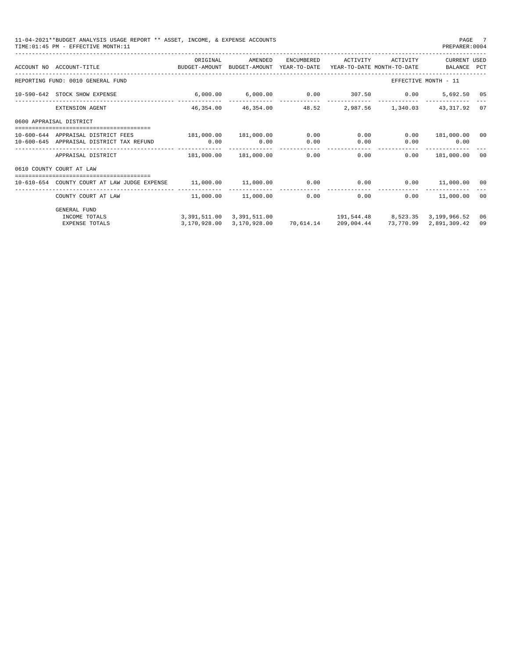| 11-04-2021**BUDGET ANALYSIS USAGE REPORT ** ASSET, INCOME, & EXPENSE ACCOUNTS<br>TIME: 01:45 PM - EFFECTIVE MONTH: 11 |          |         |                                                                    | PAGE 7<br>PREPARER:0004          |    |
|-----------------------------------------------------------------------------------------------------------------------|----------|---------|--------------------------------------------------------------------|----------------------------------|----|
| ACCOUNT NO ACCOUNT-TITLE CONTROL TO BUDGET-AMOUNT BUDGET-AMOUNT YEAR-TO-DATE YEAR-TO-DATE MONTH-TO-DATE BALANCE PCT   | ORIGINAL | AMENDED | ENCUMBERED ACTIVITY ACTIVITY CURRENT USED                          |                                  |    |
| REPORTING FUND: 0010 GENERAL FUND                                                                                     |          |         |                                                                    | EFFECTIVE MONTH - 11             |    |
| 10-590-642 STOCK SHOW EXPENSE                                                                                         |          |         | $6,000.00$ $6,000.00$ $0.00$ $307.50$ $0.00$ $5,692.50$ $05$       |                                  |    |
| EXTENSION AGENT                                                                                                       |          |         | 46,354.00 46,354.00 48.52 2,987.56 1,340.03 43,317.92 07           |                                  |    |
| 0600 APPRAISAL DISTRICT                                                                                               |          |         |                                                                    |                                  |    |
| 10-600-644 APPRAISAL DISTRICT FEES 181,000.00 181,000.00 0.00 0.00 0.00<br>10-600-645 APPRAISAL DISTRICT TAX REFUND   | 0.00     | 0.00    | $0.00$ 0.00                                                        | $0.00$ 181,000.00<br>$0.00$ 0.00 | 00 |
|                                                                                                                       |          |         |                                                                    | $0.00$ 181,000.00                | 00 |
| 0610 COUNTY COURT AT LAW                                                                                              |          |         |                                                                    |                                  |    |
| 10-610-654 COUNTY COURT AT LAW JUDGE EXPENSE                                                                          |          |         | $11,000.00$ $11,000.00$ $0.00$ $0.00$ $0.00$ $0.00$ $11,000.00$    |                                  | 00 |
| COUNTY COURT AT LAW                                                                                                   |          |         | $11.000.00$ $11.000.00$ 0.00 0.00                                  | $0.00$ 11,000.00                 | 00 |
| <b>GENERAL FUND</b><br>INCOME TOTALS                                                                                  |          |         | 3, 391, 511.00 3, 391, 511.00 191, 544.48 8, 523.35 3, 199, 966.52 |                                  | 06 |
| <b>EXPENSE TOTALS</b>                                                                                                 |          |         | 3,170,928.00 3,170,928.00 70,614.14 209,004.44 73,770.99           | 2,891,309.42                     | 09 |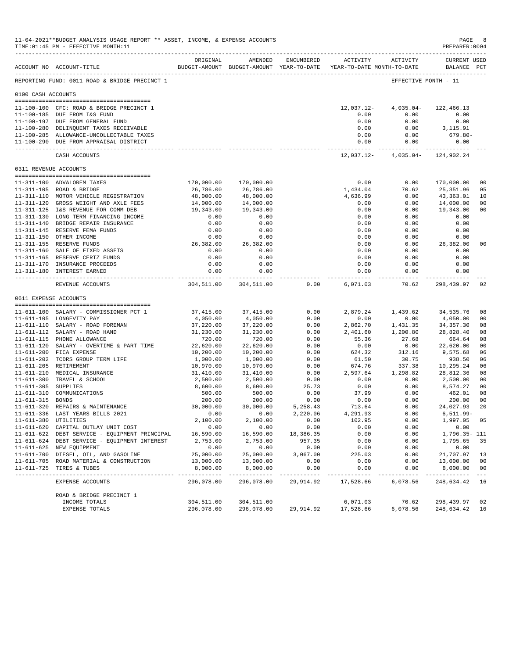|                     | 11-04-2021**BUDGET ANALYSIS USAGE REPORT ** ASSET, INCOME, & EXPENSE ACCOUNTS<br>TIME: 01:45 PM - EFFECTIVE MONTH: 11 |                         |                                      |                                    |                                                                                                                                                                                                                                                                                                                                                                                                      |                       | PAGE<br>PREPARER: 0004             | 8                    |
|---------------------|-----------------------------------------------------------------------------------------------------------------------|-------------------------|--------------------------------------|------------------------------------|------------------------------------------------------------------------------------------------------------------------------------------------------------------------------------------------------------------------------------------------------------------------------------------------------------------------------------------------------------------------------------------------------|-----------------------|------------------------------------|----------------------|
|                     | ACCOUNT NO ACCOUNT-TITLE                                                                                              | ORIGINAL                | AMENDED                              | ENCUMBERED                         | BUDGET-AMOUNT BUDGET-AMOUNT YEAR-TO-DATE YEAR-TO-DATE MONTH-TO-DATE                                                                                                                                                                                                                                                                                                                                  | ACTIVITY ACTIVITY     | <b>CURRENT USED</b><br>BALANCE PCT |                      |
|                     | REPORTING FUND: 0011 ROAD & BRIDGE PRECINCT 1                                                                         |                         |                                      |                                    |                                                                                                                                                                                                                                                                                                                                                                                                      |                       | EFFECTIVE MONTH - 11               |                      |
| 0100 CASH ACCOUNTS  |                                                                                                                       |                         |                                      |                                    |                                                                                                                                                                                                                                                                                                                                                                                                      |                       |                                    |                      |
|                     |                                                                                                                       |                         |                                      |                                    |                                                                                                                                                                                                                                                                                                                                                                                                      |                       |                                    |                      |
|                     | 11-100-100 CFC: ROAD & BRIDGE PRECINCT 1                                                                              |                         |                                      |                                    | 12,037.12-                                                                                                                                                                                                                                                                                                                                                                                           | $4,035.04-$           | 122,466.13                         |                      |
|                     | 11-100-185 DUE FROM I&S FUND                                                                                          |                         |                                      |                                    | 0.00                                                                                                                                                                                                                                                                                                                                                                                                 | 0.00                  | 0.00                               |                      |
|                     | 11-100-197 DUE FROM GENERAL FUND<br>11-100-280 DELINQUENT TAXES RECEIVABLE                                            |                         |                                      |                                    | 0.00<br>0.00                                                                                                                                                                                                                                                                                                                                                                                         | 0.00<br>0.00          | 0.00<br>3,115.91                   |                      |
|                     | 11-100-285 ALLOWANCE-UNCOLLECTABLE TAXES                                                                              |                         |                                      |                                    | 0.00                                                                                                                                                                                                                                                                                                                                                                                                 | 0.00                  | 679.80-                            |                      |
|                     | 11-100-290 DUE FROM APPRAISAL DISTRICT                                                                                |                         |                                      |                                    | 0.00                                                                                                                                                                                                                                                                                                                                                                                                 | 0.00                  | 0.00                               |                      |
|                     | CASH ACCOUNTS                                                                                                         |                         |                                      |                                    | ------------<br>12,037.12-                                                                                                                                                                                                                                                                                                                                                                           | . <b>.</b> .          | .<br>$4,035.04 - 124,902.24$       |                      |
|                     | 0311 REVENUE ACCOUNTS                                                                                                 |                         |                                      |                                    |                                                                                                                                                                                                                                                                                                                                                                                                      |                       |                                    |                      |
|                     |                                                                                                                       |                         |                                      |                                    |                                                                                                                                                                                                                                                                                                                                                                                                      |                       |                                    |                      |
|                     | 11-311-100 ADVALOREM TAXES                                                                                            | 170,000.00              | 170,000.00                           |                                    | 0.00                                                                                                                                                                                                                                                                                                                                                                                                 | 0.00                  | 170,000.00                         | 0 <sub>0</sub>       |
|                     | 11-311-105 ROAD & BRIDGE                                                                                              | 26,786.00               | 26,786.00                            |                                    | 1,434.04                                                                                                                                                                                                                                                                                                                                                                                             | 70.62                 | 25,351.96                          | 05                   |
|                     | 11-311-110 MOTOR VEHICLE REGISTRATION                                                                                 | 48,000.00               | 48,000.00                            |                                    | 4,636.99                                                                                                                                                                                                                                                                                                                                                                                             | 0.00                  | 43,363.01                          | 10                   |
|                     | 11-311-120 GROSS WEIGHT AND AXLE FEES                                                                                 | 14,000.00               | 14,000.00                            |                                    | 0.00                                                                                                                                                                                                                                                                                                                                                                                                 | 0.00                  | 14,000.00                          | 00                   |
|                     | 11-311-125 I&S REVENUE FOR COMM DEB                                                                                   | 19,343.00               | 19,343.00                            |                                    | 0.00                                                                                                                                                                                                                                                                                                                                                                                                 | 0.00                  | 19,343.00                          | 0 <sub>0</sub>       |
|                     | 11-311-130 LONG TERM FINANCING INCOME                                                                                 | 0.00                    | 0.00                                 |                                    | 0.00                                                                                                                                                                                                                                                                                                                                                                                                 | 0.00                  | 0.00                               |                      |
|                     | 11-311-140 BRIDGE REPAIR INSURANCE                                                                                    | 0.00                    | 0.00                                 |                                    | 0.00                                                                                                                                                                                                                                                                                                                                                                                                 | 0.00                  | 0.00                               |                      |
|                     | 11-311-145 RESERVE FEMA FUNDS<br>11-311-150 OTHER INCOME                                                              | 0.00<br>0.00            | 0.00<br>0.00                         |                                    | 0.00<br>0.00                                                                                                                                                                                                                                                                                                                                                                                         | 0.00<br>0.00          | 0.00<br>0.00                       |                      |
|                     | 11-311-155 RESERVE FUNDS                                                                                              | 26,382.00               | 26,382.00                            |                                    | 0.00                                                                                                                                                                                                                                                                                                                                                                                                 | 0.00                  | 26,382.00                          | 00                   |
|                     | 11-311-160 SALE OF FIXED ASSETS                                                                                       | 0.00                    | 0.00                                 |                                    | 0.00                                                                                                                                                                                                                                                                                                                                                                                                 | 0.00                  | 0.00                               |                      |
|                     | 11-311-165 RESERVE CERTZ FUNDS                                                                                        | 0.00                    | 0.00                                 |                                    | 0.00                                                                                                                                                                                                                                                                                                                                                                                                 | 0.00                  | 0.00                               |                      |
|                     | 11-311-170 INSURANCE PROCEEDS                                                                                         | 0.00                    | 0.00                                 |                                    | 0.00                                                                                                                                                                                                                                                                                                                                                                                                 | 0.00                  | 0.00                               |                      |
|                     | 11-311-180 INTEREST EARNED                                                                                            | 0.00                    | 0.00                                 |                                    | 0.00                                                                                                                                                                                                                                                                                                                                                                                                 | 0.00                  | 0.00                               |                      |
|                     | REVENUE ACCOUNTS                                                                                                      | -----------             | -----------<br>304,511.00 304,511.00 | 0.00                               | -----------<br>6,071.03                                                                                                                                                                                                                                                                                                                                                                              | ----------<br>70.62   | ------------<br>298,439.97         | 02                   |
|                     | 0611 EXPENSE ACCOUNTS                                                                                                 |                         |                                      |                                    |                                                                                                                                                                                                                                                                                                                                                                                                      |                       |                                    |                      |
|                     |                                                                                                                       |                         |                                      |                                    |                                                                                                                                                                                                                                                                                                                                                                                                      |                       |                                    |                      |
|                     | 11-611-100 SALARY - COMMISSIONER PCT 1                                                                                | 37,415.00               | 37,415.00                            | 0.00                               | 2,879.24                                                                                                                                                                                                                                                                                                                                                                                             | 1,439.62              | 34,535.76                          | 08                   |
|                     | 11-611-105 LONGEVITY PAY                                                                                              | 4,050.00                | 4,050.00                             | 0.00                               | 0.00                                                                                                                                                                                                                                                                                                                                                                                                 | 0.00                  | 4,050.00                           | 00                   |
|                     | 11-611-110 SALARY - ROAD FOREMAN                                                                                      | 37,220.00               | 37,220.00                            | 0.00                               | 2,862.70                                                                                                                                                                                                                                                                                                                                                                                             | 1,431.35              | 34,357.30                          | 08                   |
|                     | 11-611-112 SALARY - ROAD HAND                                                                                         | 31,230.00               | 31,230.00                            | 0.00                               | 2,401.60                                                                                                                                                                                                                                                                                                                                                                                             | 1,200.80              | 28,828.40                          | 08                   |
|                     | 11-611-115 PHONE ALLOWANCE                                                                                            | 720.00                  | 720.00                               | 0.00                               | 55.36                                                                                                                                                                                                                                                                                                                                                                                                | 27.68                 | 664.64                             | 08                   |
|                     | 11-611-120 SALARY - OVERTIME & PART TIME                                                                              | 22,620.00               | 22,620.00                            | 0.00                               | 0.00                                                                                                                                                                                                                                                                                                                                                                                                 | 0.00                  | 22,620.00                          | 00                   |
|                     | 11-611-200 FICA EXPENSE                                                                                               | 10,200.00               | 10,200.00                            | 0.00                               | 624.32                                                                                                                                                                                                                                                                                                                                                                                               | 312.16                | 9,575.68                           | 06                   |
|                     | 11-611-202 TCDRS GROUP TERM LIFE                                                                                      | 1,000.00                | 1,000.00                             | 0.00                               | 61.50                                                                                                                                                                                                                                                                                                                                                                                                | 30.75                 | 938.50                             | 06                   |
|                     | 11-611-205 RETIREMENT<br>11-611-210 MEDICAL INSURANCE                                                                 | 10,970.00               | 10,970.00                            | 0.00                               | 674.76                                                                                                                                                                                                                                                                                                                                                                                               | 337.38<br>1,298.82    | 10,295.24                          | 06                   |
|                     |                                                                                                                       | 31,410.00<br>2,500.00   | 31,410.00<br>2,500.00                | 0.00<br>0.00                       | 2,597.64<br>0.00                                                                                                                                                                                                                                                                                                                                                                                     |                       | 28,812.36                          | 08<br>0 <sub>0</sub> |
| 11-611-305 SUPPLIES | 11-611-300 TRAVEL & SCHOOL                                                                                            | 8,600.00                | 8,600.00                             | 25.73                              | 0.00                                                                                                                                                                                                                                                                                                                                                                                                 | 0.00<br>0.00          | 2,500.00<br>8,574.27               | 00                   |
|                     | 11-611-310 COMMUNICATIONS                                                                                             | 500.00                  | 500.00                               | 0.00                               | 37.99                                                                                                                                                                                                                                                                                                                                                                                                | 0.00                  | 462.01                             | 08                   |
| 11-611-315 BONDS    |                                                                                                                       | 200.00                  | 200.00                               | 0.00                               | 0.00                                                                                                                                                                                                                                                                                                                                                                                                 | 0.00                  | 200.00                             | 0 <sub>0</sub>       |
| 11-611-320          | REPAIRS & MAINTENANCE                                                                                                 | 30,000.00               | 30,000.00                            | 5,258.43                           | 713.64                                                                                                                                                                                                                                                                                                                                                                                               | 0.00                  | 24,027.93                          | 20                   |
|                     | 11-611-336 LAST YEARS BILLS 2021                                                                                      | 0.00                    | 0.00                                 | 2,220.06                           | 4,291.93                                                                                                                                                                                                                                                                                                                                                                                             | 0.00                  | 6,511.99-                          |                      |
|                     | 11-611-380 UTILITIES                                                                                                  | 2,100.00                | 2,100.00                             | 0.00                               | 102.95                                                                                                                                                                                                                                                                                                                                                                                               | 0.00                  | 1,997.05                           | 05                   |
|                     | 11-611-620 CAPITAL OUTLAY UNIT COST                                                                                   | 0.00                    | 0.00                                 | 0.00                               | 0.00                                                                                                                                                                                                                                                                                                                                                                                                 | 0.00                  | 0.00                               |                      |
|                     | 11-611-622 DEBT SERVICE - EQUIPMENT PRINCIPAL                                                                         | 16,590.00               | 16,590.00                            | 18,386.35                          | 0.00                                                                                                                                                                                                                                                                                                                                                                                                 | 0.00                  | 1,796.35- 111                      |                      |
|                     | 11-611-624 DEBT SERVICE - EQUIPMENT INTEREST                                                                          | 2,753.00                | 2,753.00                             | 957.35                             | 0.00                                                                                                                                                                                                                                                                                                                                                                                                 | 0.00                  | 1,795.65                           | 35                   |
|                     | 11-611-625 NEW EQUIPMENT                                                                                              | 0.00                    | 0.00                                 | 0.00                               | 0.00                                                                                                                                                                                                                                                                                                                                                                                                 | 0.00                  | 0.00                               |                      |
|                     | 11-611-700 DIESEL, OIL, AND GASOLINE                                                                                  | 25,000.00               | 25,000.00                            | 3,067.00                           | 225.03                                                                                                                                                                                                                                                                                                                                                                                               | 0.00                  | 21,707.97                          | 13                   |
|                     | 11-611-705 ROAD MATERIAL & CONSTRUCTION                                                                               | 13,000.00               | 13,000.00                            | 0.00                               | 0.00                                                                                                                                                                                                                                                                                                                                                                                                 | 0.00                  | 13,000.00                          | 00                   |
|                     | 11-611-725 TIRES & TUBES<br>-----------------------------                                                             | 8,000.00<br>----------- | 8,000.00<br>----------               | 0.00<br>$\cdots\cdots\cdots\cdots$ | 0.00<br>$\frac{1}{2} \frac{1}{2} \frac{1}{2} \frac{1}{2} \frac{1}{2} \frac{1}{2} \frac{1}{2} \frac{1}{2} \frac{1}{2} \frac{1}{2} \frac{1}{2} \frac{1}{2} \frac{1}{2} \frac{1}{2} \frac{1}{2} \frac{1}{2} \frac{1}{2} \frac{1}{2} \frac{1}{2} \frac{1}{2} \frac{1}{2} \frac{1}{2} \frac{1}{2} \frac{1}{2} \frac{1}{2} \frac{1}{2} \frac{1}{2} \frac{1}{2} \frac{1}{2} \frac{1}{2} \frac{1}{2} \frac{$ | 0.00<br>$- - - - - -$ | 8,000.00                           | 0 <sub>0</sub>       |
|                     | EXPENSE ACCOUNTS                                                                                                      | 296,078.00              | 296,078.00                           | 29,914.92                          | 17,528.66                                                                                                                                                                                                                                                                                                                                                                                            | 6,078.56              | 248,634.42 16                      |                      |
|                     | ROAD & BRIDGE PRECINCT 1                                                                                              |                         |                                      |                                    |                                                                                                                                                                                                                                                                                                                                                                                                      |                       |                                    |                      |
|                     | INCOME TOTALS                                                                                                         | 304,511.00              | 304,511.00                           |                                    | 6,071.03                                                                                                                                                                                                                                                                                                                                                                                             | 70.62                 | 298,439.97                         | 02                   |
|                     | EXPENSE TOTALS                                                                                                        | 296,078.00              | 296,078.00                           | 29,914.92                          | 17,528.66                                                                                                                                                                                                                                                                                                                                                                                            | 6,078.56              | 248,634.42                         | 16                   |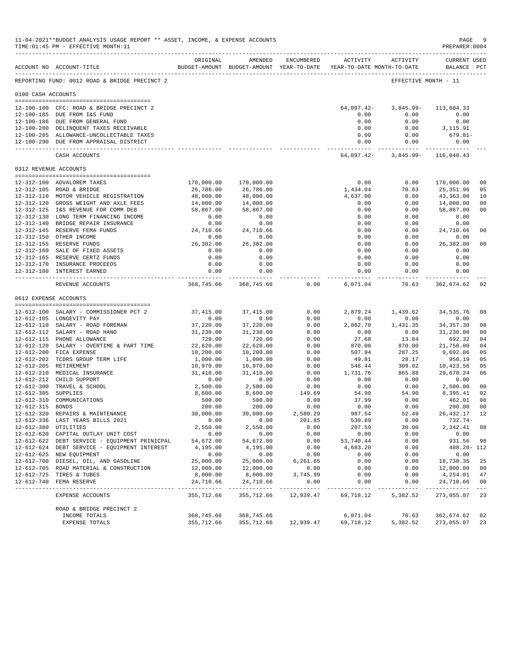|                     | 11-04-2021**BUDGET ANALYSIS USAGE REPORT ** ASSET, INCOME, & EXPENSE ACCOUNTS<br>TIME: 01:45 PM - EFFECTIVE MONTH: 11 |                          |                            |                    |                                                                     |                                     | $\mathbf{PAGE}$<br>PREPARER: 0004 | 9                    |
|---------------------|-----------------------------------------------------------------------------------------------------------------------|--------------------------|----------------------------|--------------------|---------------------------------------------------------------------|-------------------------------------|-----------------------------------|----------------------|
|                     |                                                                                                                       | ORIGINAL                 | AMENDED                    | ENCUMBERED         |                                                                     | ACTIVITY ACTIVITY                   | <b>CURRENT USED</b>               |                      |
|                     | ACCOUNT NO ACCOUNT-TITLE                                                                                              |                          |                            |                    | BUDGET-AMOUNT BUDGET-AMOUNT YEAR-TO-DATE YEAR-TO-DATE MONTH-TO-DATE |                                     | BALANCE PCT                       |                      |
|                     | REPORTING FUND: 0012 ROAD & BRIDGE PRECINCT 2                                                                         |                          |                            |                    |                                                                     | EFFECTIVE MONTH - 11                |                                   |                      |
| 0100 CASH ACCOUNTS  |                                                                                                                       |                          |                            |                    |                                                                     |                                     |                                   |                      |
|                     |                                                                                                                       |                          |                            |                    |                                                                     |                                     |                                   |                      |
|                     | 12-100-100 CFC: ROAD & BRIDGE PRECINCT 2<br>12-100-185 DUE FROM I&S FUND                                              |                          |                            |                    | 64,097.42-<br>0.00                                                  | 3,845.99-<br>0.00                   | 113,604.33<br>0.00                |                      |
|                     | 12-100-186 DUE FROM GENERAL FUND                                                                                      |                          |                            |                    | 0.00                                                                | 0.00                                | 0.00                              |                      |
|                     | 12-100-280 DELINQUENT TAXES RECEIVABLE                                                                                |                          |                            |                    | 0.00                                                                | 0.00                                | 3,115.91                          |                      |
|                     | 12-100-285 ALLOWANCE-UNCOLLECTABLE TAXES                                                                              |                          |                            |                    | 0.00                                                                | 0.00                                | 679.81-                           |                      |
|                     | 12-100-290 DUE FROM APPRAISAL DISTRICT                                                                                |                          |                            |                    | 0.00<br>------------ -                                              | 0.00<br>------------ -------------- | 0.00                              |                      |
|                     | CASH ACCOUNTS                                                                                                         |                          |                            |                    |                                                                     | 64,097.42- 3,845.99- 116,040.43     |                                   |                      |
|                     | 0312 REVENUE ACCOUNTS                                                                                                 |                          |                            |                    |                                                                     |                                     |                                   |                      |
|                     |                                                                                                                       |                          |                            |                    |                                                                     |                                     |                                   |                      |
|                     | 12-312-100 ADVALOREM TAXES<br>12-312-105 ROAD & BRIDGE                                                                | 170,000.00<br>26,786.00  | 170,000.00<br>26,786.00    |                    | 0.00<br>1,434.04                                                    | 0.00<br>70.63                       | 170,000.00<br>25,351.96           | 0 <sup>0</sup><br>05 |
|                     | 12-312-110 MOTOR VEHICLE REGISTRATION                                                                                 | 48,000.00                | 48,000.00                  |                    | 4,637.00                                                            | 0.00                                | 43,363.00                         | 10                   |
|                     | 12-312-120 GROSS WEIGHT AND AXLE FEES                                                                                 | 14,000.00                | 14,000.00                  |                    | 0.00                                                                | 0.00                                | 14,000.00                         | 0 <sub>0</sub>       |
|                     | 12-312-125 I&S REVENUE FOR COMM DEB                                                                                   | 58,867.00                | 58,867.00                  |                    | 0.00                                                                | 0.00                                | 58,867.00                         | 00                   |
|                     | 12-312-130 LONG TERM FINANCING INCOME                                                                                 | 0.00                     | 0.00                       |                    | 0.00                                                                | 0.00                                | 0.00                              |                      |
|                     | 12-312-140 BRIDGE REPAIR INSURANCE                                                                                    | 0.00                     | 0.00                       |                    | 0.00                                                                | 0.00                                | 0.00                              |                      |
|                     | 12-312-145 RESERVE FEMA FUNDS                                                                                         | 24,710.66                | 24,710.66                  |                    | 0.00                                                                | 0.00                                | 24,710.66                         | 00                   |
|                     | 12-312-150 OTHER INCOME                                                                                               | 0.00                     | 0.00                       |                    | 0.00                                                                | 0.00                                | 0.00                              |                      |
|                     | 12-312-155 RESERVE FUNDS                                                                                              | 26, 382.00               | 26,382.00                  |                    | 0.00                                                                | 0.00                                | 26,382.00                         | 0 <sub>0</sub>       |
|                     | 12-312-160 SALE OF FIXED ASSETS                                                                                       | 0.00                     | 0.00                       |                    | 0.00                                                                | 0.00                                | 0.00                              |                      |
|                     | 12-312-165 RESERVE CERTZ FUNDS                                                                                        | 0.00                     | 0.00                       |                    | 0.00                                                                | 0.00                                | 0.00                              |                      |
|                     | 12-312-170 INSURANCE PROCEEDS                                                                                         | 0.00                     | 0.00                       |                    | 0.00                                                                | 0.00                                | 0.00                              |                      |
|                     | 12-312-180 INTEREST EARNED                                                                                            | 0.00<br>--------------   | 0.00<br>. <b>.</b> .       |                    | 0.00<br>.                                                           | 0.00<br>----------                  | 0.00<br>.                         |                      |
|                     | REVENUE ACCOUNTS                                                                                                      |                          | 368,745.66 368,745.66      | 0.00               | 6,071.04                                                            |                                     | 70.63 362,674.62                  | 02                   |
|                     | 0612 EXPENSE ACCOUNTS                                                                                                 |                          |                            |                    |                                                                     |                                     |                                   |                      |
|                     | 12-612-100 SALARY - COMMISSIONER PCT 2                                                                                | 37,415.00                | 37,415.00                  | 0.00               |                                                                     | 2,879.24 1,439.62                   | 34,535.76                         | 08                   |
|                     | 12-612-105 LONGEVITY PAY                                                                                              | 0.00                     | 0.00                       | 0.00               | 0.00                                                                | 0.00                                | 0.00                              |                      |
|                     | 12-612-110 SALARY - ROAD FOREMAN                                                                                      | 37,220.00                | 37,220.00                  | 0.00               | 2,862.70                                                            | 1,431.35                            | 34,357.30                         | 08                   |
|                     | 12-612-112 SALARY - ROAD HAND                                                                                         | 31,230.00                | 31,230.00                  | 0.00               | 0.00                                                                | 0.00                                | 31,230.00                         | 00                   |
|                     | 12-612-115 PHONE ALLOWANCE                                                                                            | 720.00                   | 720.00                     | 0.00               | 27.68                                                               | 13.84                               | 692.32                            | 04                   |
|                     | 12-612-120 SALARY - OVERTIME & PART TIME                                                                              | 22,620.00                | 22,620.00                  | 0.00               | 870.00                                                              | 870.00                              | 21,750.00                         | 04                   |
|                     | 12-612-200 FICA EXPENSE                                                                                               | 10,200.00                | 10,200.00                  | 0.00               | 507.94                                                              | 287.25                              | 9,692.06                          | 05                   |
|                     | 12-612-202 TCDRS GROUP TERM LIFE                                                                                      | 1,000.00                 | 1,000.00                   | 0.00               | 49.81                                                               | 28.17                               | 950.19                            | 05                   |
|                     | 12-612-205 RETIREMENT                                                                                                 | 10,970.00                | 10,970.00                  | 0.00               | 546.44                                                              | 309.02                              | 10,423.56                         | 05                   |
|                     | 12-612-210 MEDICAL INSURANCE                                                                                          | 31,410.00                | 31,410.00                  | 0.00               | 1,731.76                                                            | 865.88                              | 29,678.24                         | 06                   |
|                     | 12-612-212 CHILD SUPPORT                                                                                              | 0.00                     | 0.00                       | 0.00               | 0.00                                                                | 0.00                                | 0.00                              |                      |
|                     | 12-612-300 TRAVEL & SCHOOL                                                                                            | 2,500.00                 | 2,500.00                   | 0.00               | 0.00                                                                | 0.00                                | 2,500.00<br>8,395.41              | 00                   |
| 12-612-305 SUPPLIES |                                                                                                                       | 8,600.00                 | 8,600.00                   | 149.69             | 54.90                                                               | 54.90                               |                                   | 02                   |
| 12-612-315 BONDS    | 12-612-310 COMMUNICATIONS                                                                                             | 500.00<br>200.00         | 500.00<br>200.00           | 0.00<br>0.00       | 37.99<br>0.00                                                       | 0.00<br>0.00                        | 462.01<br>200.00                  | 08<br>0 <sub>0</sub> |
|                     | 12-612-320 REPAIRS & MAINTENANCE                                                                                      | 30,000.00                | 30,000.00                  |                    | 987.54                                                              | 52.49                               | 26,432.17                         | 12                   |
|                     | 12-612-336 LAST YEARS BILLS 2021                                                                                      | 0.00                     | 0.00                       | 2,580.29<br>201.85 | 530.89                                                              | 0.00                                | $732.74-$                         |                      |
|                     | 12-612-380 UTILITIES                                                                                                  | 2,550.00                 | 2,550.00                   | 0.00               | 207.59                                                              | 30.00                               | 2,342.41                          | 08                   |
|                     | 12-612-620 CAPITAL OUTLAY UNIT COST                                                                                   | 0.00                     | 0.00                       | 0.00               | 0.00                                                                | 0.00                                | 0.00                              |                      |
|                     | 12-612-622 DEBT SERVICE - EQUIPMENT PRINICPAL                                                                         | 54,672.00                | 54,672.00                  | 0.00               | 53,740.44                                                           | 0.00                                | 931.56                            | 98                   |
|                     | 12-612-624 DEBT SERVICE - EQUIPMENT INTEREST                                                                          | 4,195.00                 | 4,195.00                   | 0.00               | 4,683.20                                                            | 0.00                                | 488.20- 112                       |                      |
|                     | 12-612-625 NEW EQUIPMENT                                                                                              | 0.00                     | 0.00                       | 0.00               | 0.00                                                                | 0.00                                | 0.00                              |                      |
|                     | 12-612-700 DIESEL, OIL, AND GASOLINE                                                                                  | 25,000.00                | 25,000.00                  | 6,261.65           | 0.00                                                                | 0.00                                | 18,738.35                         | 25                   |
|                     | 12-612-705 ROAD MATERIAL & CONSTRUCTION                                                                               | 12,000.00                | 12,000.00                  | 0.00               | 0.00                                                                | 0.00                                | 12,000.00                         | 00                   |
|                     | 12-612-725 TIRES & TUBES                                                                                              | 8,000.00                 | 8,000.00                   | 3,745.99           | 0.00                                                                | 0.00                                | 4,254.01                          | 47                   |
|                     | 12-612-740 FEMA RESERVE<br>------------------------------                                                             | 24,710.66<br>___________ | 24,710.66<br>_____________ | 0.00<br>---------  | 0.00                                                                | 0.00                                | 24,710.66<br>-----                | 00<br>$\frac{1}{2}$  |
|                     | EXPENSE ACCOUNTS                                                                                                      | 355,712.66               | 355,712.66                 | 12,939.47          | 69,718.12                                                           | 5,382.52                            | 273,055.07                        | 23                   |
|                     | ROAD & BRIDGE PRECINCT 2                                                                                              |                          |                            |                    |                                                                     |                                     |                                   |                      |
|                     | INCOME TOTALS                                                                                                         | 368,745.66               | 368,745.66                 |                    | 6,071.04                                                            | 70.63                               | 362,674.62                        | 02                   |
|                     | EXPENSE TOTALS                                                                                                        | 355,712.66               | 355,712.66                 | 12,939.47          | 69,718.12                                                           | 5,382.52                            | 273,055.07                        | 23                   |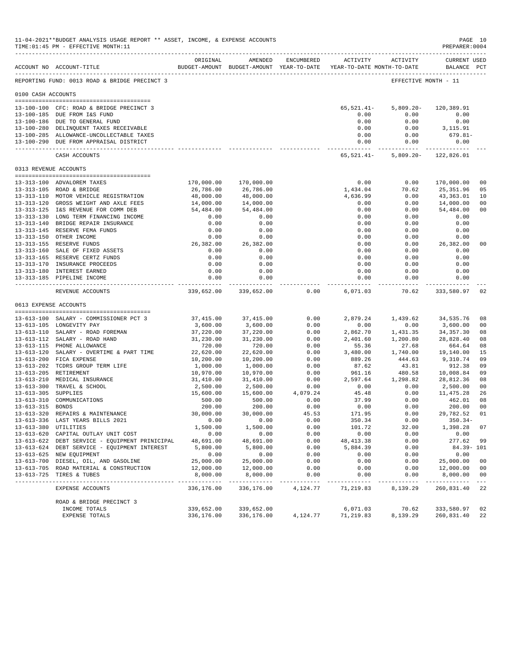|                       | 11-04-2021**BUDGET ANALYSIS USAGE REPORT ** ASSET, INCOME, & EXPENSE ACCOUNTS<br>TIME: 01:45 PM - EFFECTIVE MONTH: 11<br>--------------------------------- |                            |                          |                      |                                                                     |                      | PAGE 10<br>PREPARER: 0004          |                |
|-----------------------|------------------------------------------------------------------------------------------------------------------------------------------------------------|----------------------------|--------------------------|----------------------|---------------------------------------------------------------------|----------------------|------------------------------------|----------------|
|                       | ACCOUNT NO ACCOUNT-TITLE                                                                                                                                   | ORIGINAL                   | AMENDED                  | ENCUMBERED           | BUDGET-AMOUNT BUDGET-AMOUNT YEAR-TO-DATE YEAR-TO-DATE MONTH-TO-DATE | ACTIVITY ACTIVITY    | <b>CURRENT USED</b><br>BALANCE PCT |                |
|                       | REPORTING FUND: 0013 ROAD & BRIDGE PRECINCT 3                                                                                                              |                            |                          |                      |                                                                     |                      | EFFECTIVE MONTH - 11               |                |
| 0100 CASH ACCOUNTS    |                                                                                                                                                            |                            |                          |                      |                                                                     |                      |                                    |                |
|                       | 13-100-100 CFC: ROAD & BRIDGE PRECINCT 3                                                                                                                   |                            |                          |                      | 65,521.41-                                                          | $5,809.20 -$         | 120,389.91                         |                |
|                       | 13-100-185 DUE FROM I&S FUND                                                                                                                               |                            |                          |                      | 0.00                                                                | 0.00                 | 0.00                               |                |
|                       | 13-100-186 DUE TO GENERAL FUND                                                                                                                             |                            |                          |                      | 0.00                                                                | 0.00                 | 0.00                               |                |
|                       | 13-100-280 DELINQUENT TAXES RECEIVABLE                                                                                                                     |                            |                          |                      | 0.00                                                                | 0.00                 | 3,115.91                           |                |
|                       | 13-100-285 ALLOWANCE-UNCOLLECTABLE TAXES                                                                                                                   |                            |                          |                      | 0.00                                                                | 0.00                 | 679.81-                            |                |
|                       | 13-100-290 DUE FROM APPRAISAL DISTRICT                                                                                                                     |                            |                          |                      | 0.00<br>------------- -                                             | 0.00<br>------------ | 0.00<br>.                          |                |
|                       | CASH ACCOUNTS                                                                                                                                              |                            |                          |                      | 65,521.41-                                                          |                      | 5,809.20- 122,826.01               |                |
| 0313 REVENUE ACCOUNTS |                                                                                                                                                            |                            |                          |                      |                                                                     |                      |                                    |                |
|                       | 13-313-100 ADVALOREM TAXES                                                                                                                                 | 170,000.00                 | 170,000.00               |                      | 0.00                                                                | 0.00                 | 170,000.00                         | 0 <sub>0</sub> |
|                       | 13-313-105 ROAD & BRIDGE                                                                                                                                   | 26,786.00                  | 26,786.00                |                      | 1,434.04                                                            | 70.62                | 25,351.96                          | 05             |
|                       | 13-313-110 MOTOR VEHICLE REGISTRATION                                                                                                                      | 48,000.00                  | 48,000.00                |                      | 4,636.99                                                            | 0.00                 | 43,363.01                          | 10             |
|                       | 13-313-120 GROSS WEIGHT AND AXLE FEES                                                                                                                      | 14,000.00                  | 14,000.00                |                      | 0.00                                                                | 0.00                 | 14,000.00                          | 00             |
|                       | 13-313-125 I&S REVENUE FOR COMM DEB                                                                                                                        | 54,484.00                  | 54,484.00                |                      | 0.00                                                                | 0.00                 | 54,484.00                          | 0 <sub>0</sub> |
|                       | 13-313-130 LONG TERM FINANCING INCOME                                                                                                                      | 0.00                       | 0.00                     |                      | 0.00                                                                | 0.00                 | 0.00                               |                |
|                       | 13-313-140 BRIDGE REPAIR INSURANCE                                                                                                                         | 0.00                       | 0.00                     |                      | 0.00                                                                | 0.00                 | 0.00                               |                |
|                       | 13-313-145 RESERVE FEMA FUNDS                                                                                                                              | 0.00                       | 0.00                     |                      | 0.00                                                                | 0.00                 | 0.00                               |                |
|                       | 13-313-150 OTHER INCOME                                                                                                                                    | 0.00                       | 0.00                     |                      | 0.00                                                                | 0.00                 | 0.00                               |                |
|                       | 13-313-155 RESERVE FUNDS                                                                                                                                   | 26,382.00<br>0.00          | 26,382.00                |                      | 0.00                                                                | 0.00                 | 26,382.00                          | 00             |
|                       | 13-313-160 SALE OF FIXED ASSETS<br>13-313-165 RESERVE CERTZ FUNDS                                                                                          | 0.00                       | 0.00<br>0.00             |                      | 0.00<br>0.00                                                        | 0.00<br>0.00         | 0.00<br>0.00                       |                |
|                       | 13-313-170 INSURANCE PROCEEDS                                                                                                                              | 0.00                       | 0.00                     |                      | 0.00                                                                | 0.00                 | 0.00                               |                |
|                       | 13-313-180 INTEREST EARNED                                                                                                                                 | 0.00                       | 0.00                     |                      | 0.00                                                                | 0.00                 | 0.00                               |                |
|                       | 13-313-185 PIPELINE INCOME                                                                                                                                 | 0.00                       | 0.00                     |                      | 0.00                                                                | 0.00                 | 0.00                               |                |
|                       | REVENUE ACCOUNTS                                                                                                                                           | ------------<br>339,652.00 | 339,652.00               | 0.00                 | -----------<br>6,071.03                                             | ---------            | 70.62 333,580.97                   | 02             |
| 0613 EXPENSE ACCOUNTS |                                                                                                                                                            |                            |                          |                      |                                                                     |                      |                                    |                |
|                       |                                                                                                                                                            |                            |                          |                      |                                                                     |                      |                                    |                |
|                       | 13-613-100 SALARY - COMMISSIONER PCT 3                                                                                                                     | 37,415.00                  | 37,415.00                | 0.00                 | 2,879.24                                                            | 1,439.62             | 34,535.76                          | 08             |
|                       | 13-613-105 LONGEVITY PAY                                                                                                                                   | 3,600.00                   | 3,600.00                 | 0.00                 | 0.00                                                                | 0.00                 | 3,600.00                           | 0 <sub>0</sub> |
|                       | 13-613-110 SALARY - ROAD FOREMAN<br>13-613-112 SALARY - ROAD HAND                                                                                          | 37,220.00<br>31,230.00     | 37,220.00<br>31,230.00   | 0.00<br>0.00         | 2,862.70<br>2,401.60                                                | 1,431.35<br>1,200.80 | 34, 357.30<br>28,828.40            | 08<br>08       |
|                       | 13-613-115 PHONE ALLOWANCE                                                                                                                                 | 720.00                     | 720.00                   | 0.00                 | 55.36                                                               | 27.68                | 664.64                             | 08             |
|                       | 13-613-120 SALARY - OVERTIME & PART TIME                                                                                                                   | 22,620.00                  | 22,620.00                | 0.00                 | 3,480.00                                                            | 1,740.00             | 19,140.00                          | 15             |
|                       | 13-613-200 FICA EXPENSE                                                                                                                                    | 10,200.00                  | 10,200.00                | 0.00                 | 889.26                                                              | 444.63               | 9,310.74                           | 09             |
|                       | 13-613-202 TCDRS GROUP TERM LIFE                                                                                                                           | 1,000.00                   | 1,000.00                 | 0.00                 | 87.62                                                               | 43.81                | 912.38                             | 09             |
|                       | 13-613-205 RETIREMENT                                                                                                                                      | 10,970.00                  | 10,970.00                | 0.00                 | 961.16                                                              | 480.58               | 10,008.84                          | 09             |
|                       | 13-613-210 MEDICAL INSURANCE                                                                                                                               | 31,410.00                  | 31,410.00                | 0.00                 | 2,597.64                                                            | 1,298.82             | 28,812.36                          | 08             |
|                       | 13-613-300 TRAVEL & SCHOOL                                                                                                                                 | 2,500.00                   | 2,500.00                 | 0.00                 | 0.00                                                                | 0.00                 | 2,500.00                           | 00             |
| 13-613-305 SUPPLIES   |                                                                                                                                                            | 15,600.00                  | 15,600.00                | 4,079.24             | 45.48                                                               | 0.00                 | 11, 475.28                         | 26             |
|                       | 13-613-310 COMMUNICATIONS                                                                                                                                  | 500.00                     | 500.00                   | 0.00                 | 37.99                                                               | 0.00                 | 462.01                             | 08             |
| 13-613-315 BONDS      |                                                                                                                                                            | 200.00                     | 200.00                   | 0.00                 | 0.00                                                                | 0.00                 | 200.00                             | 0 <sub>0</sub> |
|                       | 13-613-320 REPAIRS & MAINTENANCE<br>13-613-336 LAST YEARS BILLS 2021                                                                                       | 30,000.00<br>0.00          | 30,000.00<br>0.00        | 45.53<br>0.00        | 171.95<br>350.34                                                    | 0.00<br>0.00         | 29,782.52 01<br>$350.34-$          |                |
| 13-613-380 UTILITIES  |                                                                                                                                                            | 1,500.00                   | 1,500.00                 | 0.00                 | 101.72                                                              | 32.00                | 1,398.28                           | 07             |
|                       | 13-613-620 CAPITAL OUTLAY UNIT COST                                                                                                                        | 0.00                       | 0.00                     | 0.00                 | 0.00                                                                | 0.00                 | 0.00                               |                |
|                       | 13-613-622 DEBT SERVICE - EQUIPMENT PRINICIPAL                                                                                                             | 48,691.00                  | 48,691.00                | 0.00                 | 48, 413.38                                                          | 0.00                 | 277.62                             | 99             |
|                       | 13-613-624 DEBT SERVICE - EQUIPMENT INTEREST                                                                                                               | 5,800.00                   | 5,800.00                 | 0.00                 | 5,884.39                                                            | 0.00                 | 84.39- 101                         |                |
|                       | 13-613-625 NEW EQUIPMENT                                                                                                                                   | 0.00                       | 0.00                     | 0.00                 | 0.00                                                                | 0.00                 | 0.00                               |                |
|                       | 13-613-700 DIESEL, OIL, AND GASOLINE                                                                                                                       | 25,000.00                  | 25,000.00                | 0.00                 | 0.00                                                                | 0.00                 | 25,000.00                          | 00             |
|                       | 13-613-705 ROAD MATERIAL & CONSTRUCTION                                                                                                                    | 12,000.00                  | 12,000.00                | 0.00                 | 0.00                                                                | 0.00                 | 12,000.00                          | 00             |
|                       | 13-613-725 TIRES & TUBES                                                                                                                                   | 8,000.00                   | 8,000.00                 | 0.00<br>------------ | 0.00<br>------------                                                | 0.00<br>.            | 8,000.00<br>-----------            | 0 <sub>0</sub> |
|                       | EXPENSE ACCOUNTS                                                                                                                                           | 336,176.00                 | 336,176.00               | 4,124.77             | 71,219.83                                                           | 8,139.29             | 260,831.40                         | 22             |
|                       | ROAD & BRIDGE PRECINCT 3                                                                                                                                   |                            |                          |                      |                                                                     |                      |                                    |                |
|                       | INCOME TOTALS<br>EXPENSE TOTALS                                                                                                                            | 339,652.00<br>336,176.00   | 339,652.00<br>336,176.00 |                      | 6,071.03<br>4, 124. 77 71, 219. 83                                  | 70.62<br>8,139.29    | 333,580.97<br>260,831.40           | 02<br>22       |
|                       |                                                                                                                                                            |                            |                          |                      |                                                                     |                      |                                    |                |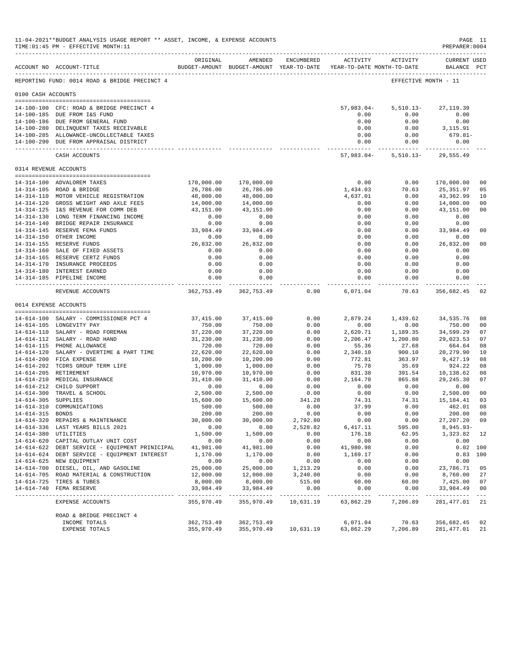|                     | 11-04-2021**BUDGET ANALYSIS USAGE REPORT ** ASSET, INCOME, & EXPENSE ACCOUNTS<br>TIME: 01:45 PM - EFFECTIVE MONTH: 11 |                          |                                                                                |                   |                               |                          | PAGE 11<br>PREPARER: 0004          |                           |
|---------------------|-----------------------------------------------------------------------------------------------------------------------|--------------------------|--------------------------------------------------------------------------------|-------------------|-------------------------------|--------------------------|------------------------------------|---------------------------|
|                     | ACCOUNT NO ACCOUNT-TITLE                                                                                              | ORIGINAL                 | AMENDED<br>BUDGET-AMOUNT BUDGET-AMOUNT YEAR-TO-DATE YEAR-TO-DATE MONTH-TO-DATE | <b>ENCUMBERED</b> |                               | ACTIVITY ACTIVITY        | <b>CURRENT USED</b><br>BALANCE PCT |                           |
|                     | REPORTING FUND: 0014 ROAD & BRIDGE PRECINCT 4                                                                         |                          |                                                                                |                   |                               | EFFECTIVE MONTH - 11     |                                    |                           |
| 0100 CASH ACCOUNTS  |                                                                                                                       |                          |                                                                                |                   |                               |                          |                                    |                           |
|                     | 14-100-100 CFC: ROAD & BRIDGE PRECINCT 4                                                                              |                          |                                                                                |                   | $57,983.04-$                  | $5,510.13-$              | 27, 119.39                         |                           |
|                     | 14-100-185 DUE FROM I&S FUND                                                                                          |                          |                                                                                |                   | 0.00                          | 0.00                     | 0.00                               |                           |
|                     | 14-100-186 DUE FROM GENERAL FUND                                                                                      |                          |                                                                                |                   | 0.00                          | 0.00                     | 0.00                               |                           |
|                     | 14-100-280 DELINQUENT TAXES RECEIVABLE                                                                                |                          |                                                                                |                   | 0.00                          | 0.00                     | 3,115.91                           |                           |
|                     | 14-100-285 ALLOWANCE-UNCOLLECTABLE TAXES<br>14-100-290 DUE FROM APPRAISAL DISTRICT                                    |                          |                                                                                |                   | 0.00<br>0.00                  | 0.00<br>0.00             | 679.81-<br>0.00                    |                           |
|                     | CASH ACCOUNTS                                                                                                         |                          |                                                                                |                   | ------------- -<br>57,983.04- | -----------<br>5,510.13- | --------------<br>29,555.49        |                           |
|                     | 0314 REVENUE ACCOUNTS                                                                                                 |                          |                                                                                |                   |                               |                          |                                    |                           |
|                     | 14-314-100 ADVALOREM TAXES                                                                                            | 170,000.00               | 170,000.00                                                                     |                   | 0.00                          | 0.00                     | 170,000.00                         | 0 <sub>0</sub>            |
|                     | 14-314-105 ROAD & BRIDGE                                                                                              | 26,786.00                | 26,786.00                                                                      |                   | 1,434.03                      | 70.63                    | 25,351.97                          | 05                        |
|                     | 14-314-110 MOTOR VEHICLE REGISTRATION                                                                                 | 48,000.00                | 48,000.00                                                                      |                   | 4,637.01                      | 0.00                     | 43,362.99                          | 10                        |
|                     | 14-314-120 GROSS WEIGHT AND AXLE FEES                                                                                 | 14,000.00                | 14,000.00                                                                      |                   | 0.00                          | 0.00                     | 14,000.00                          | 0 <sub>0</sub>            |
|                     | 14-314-125 I&S REVENUE FOR COMM DEB                                                                                   | 43,151.00                | 43,151.00                                                                      |                   | 0.00                          | 0.00                     | 43,151.00                          | 0 <sub>0</sub>            |
|                     | 14-314-130 LONG TERM FINANCING INCOME                                                                                 | 0.00                     | 0.00                                                                           |                   | 0.00                          | 0.00                     | 0.00                               |                           |
|                     | 14-314-140 BRIDGE REPAIR INSURANCE<br>14-314-145 RESERVE FEMA FUNDS                                                   | 0.00                     | 0.00                                                                           |                   | 0.00                          | 0.00                     | 0.00                               |                           |
|                     | 14-314-150 OTHER INCOME                                                                                               | 33,984.49<br>0.00        | 33,984.49<br>0.00                                                              |                   | 0.00<br>0.00                  | 0.00<br>0.00             | 33,984.49<br>0.00                  | 0 <sub>0</sub>            |
|                     | 14-314-155 RESERVE FUNDS                                                                                              | 26,832.00                | 26,832.00                                                                      |                   | 0.00                          | 0.00                     | 26,832.00                          | 0 <sub>0</sub>            |
|                     | 14-314-160 SALE OF FIXED ASSETS                                                                                       | 0.00                     | 0.00                                                                           |                   | 0.00                          | 0.00                     | 0.00                               |                           |
|                     | 14-314-165 RESERVE CERTZ FUNDS                                                                                        | 0.00                     | 0.00                                                                           |                   | 0.00                          | 0.00                     | 0.00                               |                           |
|                     | 14-314-170 INSURANCE PROCEEDS                                                                                         | 0.00                     | 0.00                                                                           |                   | 0.00                          | 0.00                     | 0.00                               |                           |
|                     | 14-314-180 INTEREST EARNED                                                                                            | 0.00                     | 0.00                                                                           |                   | 0.00                          | 0.00                     | 0.00                               |                           |
|                     | 14-314-185 PIPELINE INCOME                                                                                            | 0.00                     | 0.00                                                                           |                   | 0.00<br>------------          | 0.00<br>-------          | 0.00<br>------------               |                           |
|                     | REVENUE ACCOUNTS                                                                                                      | 362,753.49               | 362,753.49                                                                     | 0.00              | 6,071.04                      | 70.63                    | 356,682.45                         | 02                        |
|                     | 0614 EXPENSE ACCOUNTS<br>--------------------------------------                                                       |                          |                                                                                |                   |                               |                          |                                    |                           |
|                     | 14-614-100 SALARY - COMMISSIONER PCT 4                                                                                | 37,415.00                | 37, 415.00                                                                     | 0.00              | 2,879.24                      | 1,439.62                 | 34,535.76                          | 08                        |
|                     | 14-614-105 LONGEVITY PAY                                                                                              | 750.00                   | 750.00                                                                         | 0.00              | 0.00                          | 0.00                     | 750.00                             | 0 <sub>0</sub>            |
|                     | 14-614-110 SALARY - ROAD FOREMAN                                                                                      | 37,220.00                | 37,220.00                                                                      | 0.00              | 2,620.71                      | 1,189.35                 | 34,599.29                          | 07                        |
|                     | 14-614-112 SALARY - ROAD HAND                                                                                         | 31,230.00                | 31,230.00                                                                      | 0.00              | 2,206.47                      | 1,200.80                 | 29,023.53                          | 07                        |
|                     | 14-614-115 PHONE ALLOWANCE<br>14-614-120 SALARY - OVERTIME & PART TIME                                                | 720.00<br>22,620.00      | 720.00<br>22,620.00                                                            | 0.00<br>0.00      | 55.36<br>2,340.10             | 27.68<br>900.10          | 664.64<br>20, 279.90               | 08<br>10                  |
|                     | 14-614-200 FICA EXPENSE                                                                                               | 10,200.00                | 10,200.00                                                                      | 0.00              | 772.81                        | 363.97                   | 9,427.19                           | 08                        |
|                     | 14-614-202 TCDRS GROUP TERM LIFE                                                                                      | 1,000.00                 | 1,000.00                                                                       | 0.00              | 75.78                         | 35.69                    | 924.22                             | 08                        |
|                     | 14-614-205 RETIREMENT                                                                                                 | 10,970.00                | 10,970.00                                                                      | 0.00              | 831.38                        | 391.54                   | 10,138.62                          | 08                        |
|                     | 14-614-210 MEDICAL INSURANCE                                                                                          | 31,410.00                | 31,410.00                                                                      | 0.00              | 2,164.70                      | 865.88                   | 29, 245.30                         | 07                        |
|                     | 14-614-212 CHILD SUPPORT                                                                                              | 0.00                     | 0.00                                                                           | 0.00              | 0.00                          | 0.00                     | 0.00                               |                           |
|                     | 14-614-300 TRAVEL & SCHOOL                                                                                            | 2,500.00                 | 2,500.00                                                                       | 0.00              | 0.00                          | 0.00                     | 2,500.00                           | 0 <sub>0</sub>            |
| 14-614-305 SUPPLIES | 14-614-310 COMMUNICATIONS                                                                                             | 15,600.00<br>500.00      | 15,600.00<br>500.00                                                            | 341.28<br>0.00    | 74.31<br>37.99                | 74.31<br>0.00            | 15,184.41<br>462.01                | 03<br>08                  |
| 14-614-315 BONDS    |                                                                                                                       | 200.00                   | 200.00                                                                         | 0.00              | 0.00                          | 0.00                     | 200.00                             | 00                        |
|                     | 14-614-320 REPAIRS & MAINTENANCE                                                                                      | 30,000.00                | 30,000.00                                                                      | 2,792.80          | 0.00                          | 0.00                     | 27, 207. 20                        | 09                        |
|                     | 14-614-336 LAST YEARS BILLS 2021                                                                                      | 0.00                     | 0.00                                                                           | 2,528.82          | 6,417.11                      | 595.00                   | $8,945.93-$                        |                           |
|                     | 14-614-380 UTILITIES                                                                                                  | 1,500.00                 | 1,500.00                                                                       | 0.00              | 176.18                        | 62.95                    | 1,323.82                           | 12                        |
|                     | 14-614-620 CAPITAL OUTLAY UNIT COST                                                                                   | 0.00                     | 0.00                                                                           | 0.00              | 0.00                          | 0.00                     | 0.00                               |                           |
|                     | 14-614-622 DEBT SERVICE - EQUIPMENT PRINICIPAL                                                                        | 41,981.00                | 41,981.00                                                                      | 0.00              | 41,980.98                     | 0.00                     | 0.02 100                           |                           |
|                     | 14-614-624 DEBT SERVICE - EQUIPMENT INTEREST<br>14-614-625 NEW EQUIPMENT                                              | 1,170.00                 | 1,170.00                                                                       | 0.00              | 1,169.17<br>0.00              | 0.00                     | 0.83                               | 100                       |
|                     | 14-614-700 DIESEL, OIL, AND GASOLINE                                                                                  | 0.00<br>25,000.00        | 0.00<br>25,000.00                                                              | 0.00<br>1,213.29  | 0.00                          | 0.00<br>0.00             | 0.00<br>23,786.71                  | 05                        |
|                     | 14-614-705 ROAD MATERIAL & CONSTRUCTION                                                                               | 12,000.00                | 12,000.00                                                                      | 3,240.00          | 0.00                          | 0.00                     | 8,760.00                           | 27                        |
|                     | 14-614-725 TIRES & TUBES                                                                                              | 8,000.00                 | 8,000.00                                                                       | 515.00            | 60.00                         | 60.00                    | 7,425.00                           | 07                        |
|                     | 14-614-740 FEMA RESERVE<br>______________________________                                                             | 33,984.49<br>----------- | 33,984.49<br>____________                                                      | 0.00              | 0.00<br>------                | 0.00<br>$\frac{1}{2}$    | 33,984.49<br>------------          | 0 <sub>0</sub><br>$- - -$ |
|                     | EXPENSE ACCOUNTS                                                                                                      | 355,970.49               | 355,970.49                                                                     | 10,631.19         | 63,862.29                     | 7,206.89                 | 281,477.01                         | 21                        |
|                     | ROAD & BRIDGE PRECINCT 4                                                                                              |                          |                                                                                |                   |                               |                          |                                    |                           |
|                     | INCOME TOTALS<br>EXPENSE TOTALS                                                                                       | 362,753.49<br>355,970.49 | 362,753.49<br>355,970.49                                                       | 10,631.19         | 6,071.04<br>63,862.29         | 70.63<br>7,206.89        | 356,682.45<br>281,477.01           | 02<br>21                  |
|                     |                                                                                                                       |                          |                                                                                |                   |                               |                          |                                    |                           |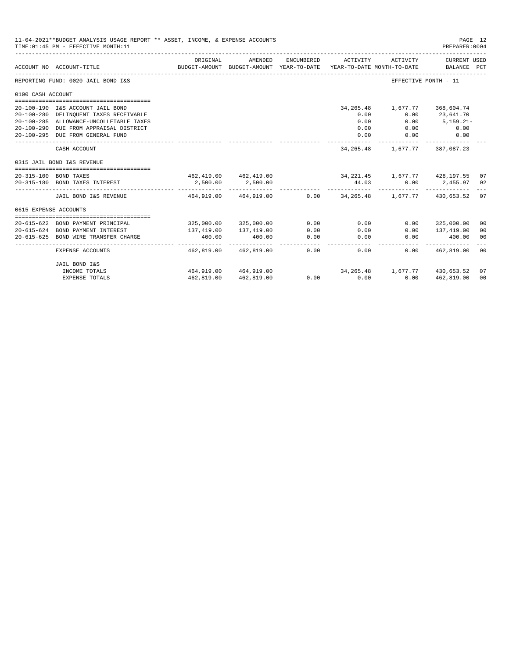|                       | 11-04-2021**BUDGET ANALYSIS USAGE REPORT ** ASSET, INCOME, & EXPENSE ACCOUNTS<br>TIME: 01:45 PM - EFFECTIVE MONTH: 11 |                                                  |                                                     |            |                                                        |                                     | PAGE 12<br>PREPARER: 0004   |                |
|-----------------------|-----------------------------------------------------------------------------------------------------------------------|--------------------------------------------------|-----------------------------------------------------|------------|--------------------------------------------------------|-------------------------------------|-----------------------------|----------------|
|                       | ACCOUNT NO ACCOUNT-TITLE                                                                                              | ORIGINAL<br>------------------------------------ | AMENDED<br>BUDGET-AMOUNT BUDGET-AMOUNT YEAR-TO-DATE | ENCUMBERED | ACTIVITY<br>YEAR-TO-DATE MONTH-TO-DATE                 | ACTIVITY                            | CURRENT USED<br>BALANCE PCT |                |
|                       | REPORTING FUND: 0020 JAIL BOND I&S                                                                                    |                                                  |                                                     |            |                                                        | EFFECTIVE MONTH - 11                |                             |                |
| 0100 CASH ACCOUNT     |                                                                                                                       |                                                  |                                                     |            |                                                        |                                     |                             |                |
|                       |                                                                                                                       |                                                  |                                                     |            |                                                        |                                     |                             |                |
|                       | 20-100-190 I&S ACCOUNT JAIL BOND                                                                                      |                                                  |                                                     |            | 34, 265. 48<br>0.00                                    | 1,677.77 368,604.74<br>0.00         |                             |                |
|                       | 20-100-280 DELINQUENT TAXES RECEIVABLE<br>20-100-285 ALLOWANCE-UNCOLLETABLE TAXES                                     |                                                  |                                                     |            | 0.00                                                   | 0.00                                | 23,641.70<br>$5,159.21 -$   |                |
|                       | 20-100-290 DUE FROM APPRAISAL DISTRICT                                                                                |                                                  |                                                     |            | 0.00                                                   | 0.00                                | 0.00                        |                |
|                       | 20-100-295 DUE FROM GENERAL FUND                                                                                      |                                                  |                                                     |            | 0.00                                                   | 0.00                                | 0.00                        |                |
|                       |                                                                                                                       |                                                  |                                                     |            | -------------                                          |                                     |                             |                |
|                       | CASH ACCOUNT                                                                                                          |                                                  |                                                     |            |                                                        | 34, 265. 48 1, 677. 77 387, 087. 23 |                             |                |
|                       | 0315 JAIL BOND I&S REVENUE                                                                                            |                                                  |                                                     |            |                                                        |                                     |                             |                |
|                       |                                                                                                                       |                                                  |                                                     |            |                                                        |                                     |                             |                |
|                       | 20-315-100 BOND TAXES                                                                                                 |                                                  |                                                     |            | 462,419.00 462,419.00 34,221.45 1,677.77 428,197.55 07 |                                     |                             |                |
|                       | 20-315-180 BOND TAXES INTEREST                                                                                        | 2,500.00                                         | 2,500.00                                            |            | 44.03                                                  |                                     | $0.00$ 2,455.97 02          |                |
|                       | JAIL BOND I&S REVENUE                                                                                                 |                                                  | 464,919.00 464,919.00                               |            | $0.00$ $34.265.48$ $1.677.77$ $430.653.52$ 07          |                                     |                             |                |
| 0615 EXPENSE ACCOUNTS |                                                                                                                       |                                                  |                                                     |            |                                                        |                                     |                             |                |
|                       |                                                                                                                       |                                                  |                                                     |            |                                                        |                                     |                             |                |
|                       | 20-615-622 BOND PAYMENT PRINCIPAL                                                                                     |                                                  | 325,000.00 325,000.00                               | 0.00       | 0.00                                                   | 0.00                                | 325,000.00                  | 00             |
|                       | 20-615-624 BOND PAYMENT INTEREST                                                                                      | 137,419.00                                       | 137,419.00                                          | 0.00       | 0.00                                                   | 0.00                                | 137,419.00                  | 0 <sup>0</sup> |
| $20 - 615 - 625$      | BOND WIRE TRANSFER CHARGE                                                                                             | 400.00                                           | 400.00                                              | 0.00       | 0.00                                                   | 0.00                                | 400.00                      | 0 <sup>0</sup> |
|                       | <b>EXPENSE ACCOUNTS</b>                                                                                               | 462,819.00                                       | 462,819.00                                          | 0.00       | 0.00                                                   |                                     | $0.00$ $462,819.00$         | 00             |
|                       | JAIL BOND I&S                                                                                                         |                                                  |                                                     |            |                                                        |                                     |                             |                |
|                       | INCOME TOTALS                                                                                                         |                                                  | 464.919.00 464.919.00                               |            | $34,265.48$ 1,677.77 $430,653.52$ 07                   |                                     |                             |                |
|                       | <b>EXPENSE TOTALS</b>                                                                                                 | 462,819.00                                       | 462,819.00                                          |            | $0.00$ 0.00                                            | 0.00                                | 462,819.00                  | 00             |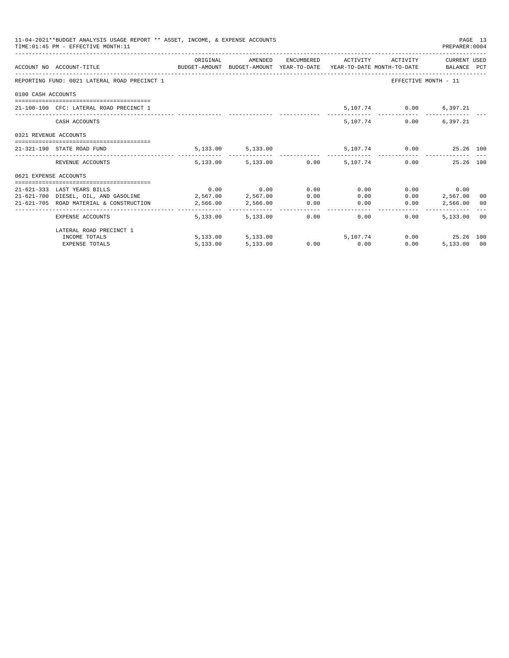|                       | 11-04-2021**BUDGET ANALYSIS USAGE REPORT ** ASSET, INCOME, & EXPENSE ACCOUNTS<br>TIME: 01:45 PM - EFFECTIVE MONTH: 11 |                   |                     |      |                                                           |               | PREPARER: 0004          | PAGE 13 |
|-----------------------|-----------------------------------------------------------------------------------------------------------------------|-------------------|---------------------|------|-----------------------------------------------------------|---------------|-------------------------|---------|
|                       | ACCOUNT NO ACCOUNT-TITLE CONTROL SUDGET-AMOUNT BUDGET-AMOUNT YEAR-TO-DATE YEAR-TO-DATE MONTH-TO-DATE BALANCE PCT      |                   |                     |      | ORIGINAL AMENDED ENCUMBERED ACTIVITY ACTIVITY CURRENTUSED |               |                         |         |
|                       | REPORTING FUND: 0021 LATERAL ROAD PRECINCT 1                                                                          |                   |                     |      |                                                           |               | EFFECTIVE MONTH - 11    |         |
| 0100 CASH ACCOUNTS    |                                                                                                                       |                   |                     |      |                                                           |               |                         |         |
|                       | 21-100-100 CFC: LATERAL ROAD PRECINCT 1                                                                               |                   |                     |      |                                                           |               | 5,107.74 0.00 6,397.21  |         |
|                       | CASH ACCOUNTS                                                                                                         |                   |                     |      |                                                           | 5,107.74 0.00 | 6,397.21                |         |
| 0321 REVENUE ACCOUNTS |                                                                                                                       |                   |                     |      |                                                           |               |                         |         |
|                       | 21-321-190 STATE ROAD FUND                                                                                            |                   | 5, 133.00 5, 133.00 |      |                                                           |               | 5,107.74 0.00 25.26 100 |         |
|                       | REVENUE ACCOUNTS                                                                                                      |                   |                     |      | $5.133.00$ $5.133.00$ $0.00$ $5.107.74$ $0.00$            |               | 25.26 100               |         |
| 0621 EXPENSE ACCOUNTS |                                                                                                                       |                   |                     |      |                                                           |               |                         |         |
|                       | -----------------------------------<br>21-621-333 LAST YEARS BILLS                                                    |                   | $0.00$ 0.00         | 0.00 | 0.00                                                      |               | $0.00$ 0.00             |         |
|                       | 21-621-700 DIESEL, OIL, AND GASOLINE 2,567.00 2,567.00                                                                |                   |                     | 0.00 | 0.00                                                      | 0.00          | 2,567.00 00             |         |
|                       | 21-621-705 ROAD MATERIAL & CONSTRUCTION                                                                               | 2,566.00 2,566.00 |                     | 0.00 | 0.00                                                      | 0.00          | 2,566.00 00             |         |
|                       | EXPENSE ACCOUNTS                                                                                                      |                   | 5,133,00 5,133,00   |      | $0.00$ and $0.00$<br>0.00                                 | 0.00          | 5,133,00 00             |         |
|                       | LATERAL ROAD PRECINCT 1                                                                                               |                   |                     |      |                                                           |               |                         |         |
|                       | INCOME TOTALS                                                                                                         |                   | 5,133.00 5,133.00   |      | 5,107,74                                                  |               | $0.00$ 25.26 100        |         |
|                       | <b>EXPENSE TOTALS</b>                                                                                                 | 5,133.00          | 5,133.00            |      | $0.00$ 0.00                                               | 0.00          | 5,133.00 00             |         |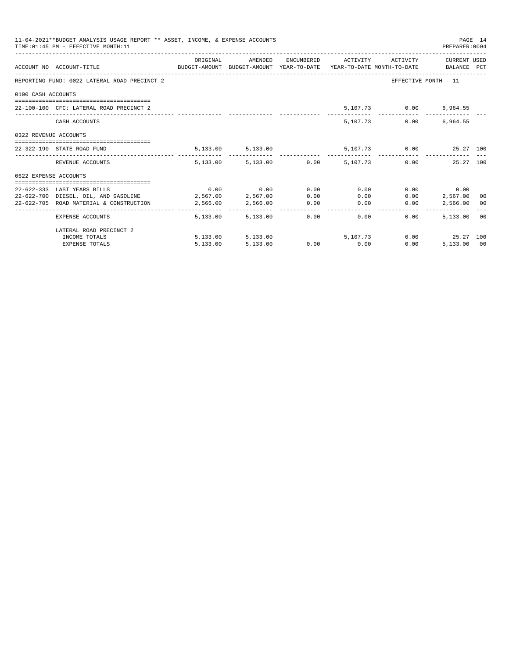|                       | 11-04-2021**BUDGET ANALYSIS USAGE REPORT ** ASSET, INCOME, & EXPENSE ACCOUNTS<br>TIME: 01:45 PM - EFFECTIVE MONTH: 11 |          |                             |      |                                                            |               | PREPARER: 0004          | PAGE 14 |
|-----------------------|-----------------------------------------------------------------------------------------------------------------------|----------|-----------------------------|------|------------------------------------------------------------|---------------|-------------------------|---------|
|                       | ACCOUNT NO ACCOUNT-TITLE CONTROL BUDGET-AMOUNT BUDGET-AMOUNT YEAR-TO-DATE YEAR-TO-DATE MONTH-TO-DATE BALANCE PCT      |          |                             |      | ORIGINAL AMENDED ENCUMBERED ACTIVITY ACTIVITY CURRENT USED |               |                         |         |
|                       | REPORTING FUND: 0022 LATERAL ROAD PRECINCT 2                                                                          |          |                             |      |                                                            |               | EFFECTIVE MONTH - 11    |         |
| 0100 CASH ACCOUNTS    |                                                                                                                       |          |                             |      |                                                            |               |                         |         |
|                       | 22-100-100 CFC: LATERAL ROAD PRECINCT 2                                                                               |          |                             |      |                                                            |               | 5,107.73 0.00 6,964.55  |         |
|                       | CASH ACCOUNTS                                                                                                         |          |                             |      |                                                            | 5,107.73 0.00 | 6,964.55                |         |
| 0322 REVENUE ACCOUNTS |                                                                                                                       |          |                             |      |                                                            |               |                         |         |
|                       | 22-322-190 STATE ROAD FUND                                                                                            |          | 5, 133.00 5, 133.00         |      |                                                            |               | 5,107.73 0.00 25.27 100 |         |
|                       | REVENUE ACCOUNTS                                                                                                      |          |                             |      | 5.133.00 5.133.00 0.00 5.107.73 0.00 25.27 100             |               |                         |         |
| 0622 EXPENSE ACCOUNTS |                                                                                                                       |          |                             |      |                                                            |               |                         |         |
|                       |                                                                                                                       |          |                             |      |                                                            |               |                         |         |
|                       | 22-622-333 LAST YEARS BILLS                                                                                           |          | $0.00$ $0.00$ $0.00$ $0.00$ |      | 0.00                                                       |               | $0.00$ 0.00             |         |
|                       | 22-622-700 DIESEL, OIL, AND GASOLINE 2,567.00 2,567.00                                                                |          |                             | 0.00 |                                                            | 0.00          | $0.00$ 2,567.00 00      |         |
|                       | 22-622-705 ROAD MATERIAL & CONSTRUCTION 2,566.00 2,566.00 0.00                                                        |          |                             |      | 0.00                                                       | 0.00          | 2,566.00 00             |         |
|                       | EXPENSE ACCOUNTS                                                                                                      |          | 5,133,00 5,133,00           |      | 0.00<br>0.00                                               | 0.00          | 5,133.00 00             |         |
|                       | LATERAL ROAD PRECINCT 2                                                                                               |          |                             |      |                                                            |               |                         |         |
|                       | INCOME TOTALS                                                                                                         |          |                             |      | 5, 133.00 5, 133.00 5, 107.73                              |               | $0.00$ 25.27 100        |         |
|                       | <b>EXPENSE TOTALS</b>                                                                                                 | 5,133.00 | 5,133.00                    |      | $0.00$ 0.00                                                | 0.00          | 5,133.00 00             |         |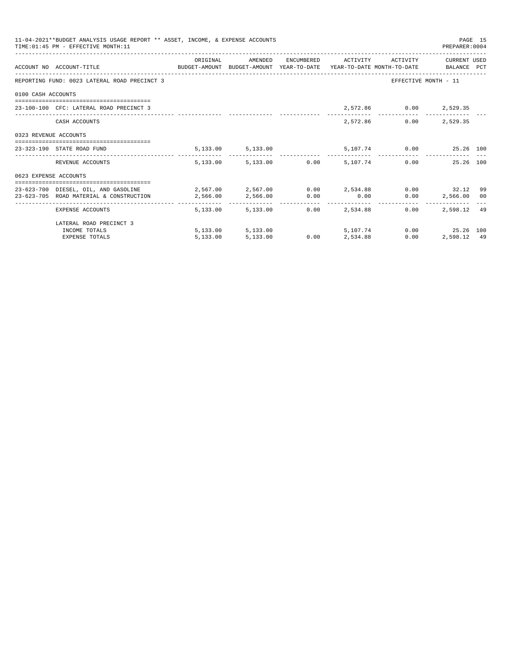|                       | 11-04-2021**BUDGET ANALYSIS USAGE REPORT ** ASSET, INCOME, & EXPENSE ACCOUNTS<br>TIME: 01:45 PM - EFFECTIVE MONTH: 11 |                                                                                         |                                 |                 |                                  |                                      | PREPARER: 0004                               | PAGE 15 |
|-----------------------|-----------------------------------------------------------------------------------------------------------------------|-----------------------------------------------------------------------------------------|---------------------------------|-----------------|----------------------------------|--------------------------------------|----------------------------------------------|---------|
|                       | ACCOUNT NO ACCOUNT-TITLE COMPUTE BUDGET-AMOUNT BUDGET-AMOUNT YEAR-TO-DATE YEAR-TO-DATE MONTH-TO-DATE BALANCE PCT      | ORIGINAL                                                                                |                                 |                 |                                  | AMENDED ENCUMBERED ACTIVITY ACTIVITY | CURRENT USED                                 |         |
|                       | REPORTING FUND: 0023 LATERAL ROAD PRECINCT 3                                                                          |                                                                                         |                                 |                 |                                  |                                      | EFFECTIVE MONTH - 11                         |         |
| 0100 CASH ACCOUNTS    |                                                                                                                       |                                                                                         |                                 |                 |                                  |                                      |                                              |         |
|                       | 23-100-100 CFC: LATERAL ROAD PRECINCT 3                                                                               |                                                                                         |                                 |                 |                                  | 2,572.86 0.00 2,529.35               |                                              |         |
|                       | CASH ACCOUNTS                                                                                                         |                                                                                         |                                 |                 | 2,572.86                         |                                      | $0.00$ 2,529.35                              |         |
| 0323 REVENUE ACCOUNTS |                                                                                                                       |                                                                                         |                                 |                 |                                  |                                      |                                              |         |
|                       | 23-323-190 STATE ROAD FUND                                                                                            |                                                                                         | 5, 133.00 5, 133.00             |                 |                                  |                                      | 5,107.74 0.00 25.26 100                      |         |
|                       | REVENUE ACCOUNTS                                                                                                      |                                                                                         | 5,133.00 5,133.00 0.00 5,107.74 |                 |                                  |                                      | 25.26 100<br>0.00                            |         |
| 0623 EXPENSE ACCOUNTS |                                                                                                                       |                                                                                         |                                 |                 |                                  |                                      |                                              |         |
|                       | 23-623-700 DIESEL, OIL, AND GASOLINE                                                                                  | $2\, , 567\, .00$ $2\, , 567\, .00$ $0\, .00$ $2\, , 534\, .88$ $0\, .00$ $32\, .12$ 99 |                                 |                 |                                  |                                      |                                              |         |
|                       | 23-623-705 ROAD MATERIAL & CONSTRUCTION 2.566.00                                                                      |                                                                                         | 2,566.00 0.00                   |                 | 0.00                             |                                      | $0.00$ 2,566.00 00                           |         |
|                       | _____________________________________<br>EXPENSE ACCOUNTS                                                             |                                                                                         | 5,133.00 5,133.00               |                 | -------------<br>$0.00$ 2.534.88 | 0.00                                 | -----------------------------<br>2.598.12 49 |         |
|                       | LATERAL ROAD PRECINCT 3                                                                                               |                                                                                         |                                 |                 |                                  |                                      |                                              |         |
|                       | INCOME TOTALS                                                                                                         |                                                                                         | 5,133.00 5,133.00 5,107.74      |                 |                                  |                                      | 0.00 25.26 100                               |         |
|                       | <b>EXPENSE TOTALS</b>                                                                                                 | 5,133.00                                                                                | 5,133.00                        | $0.00$ 2,534.88 |                                  | 0.00                                 | 2,598.12 49                                  |         |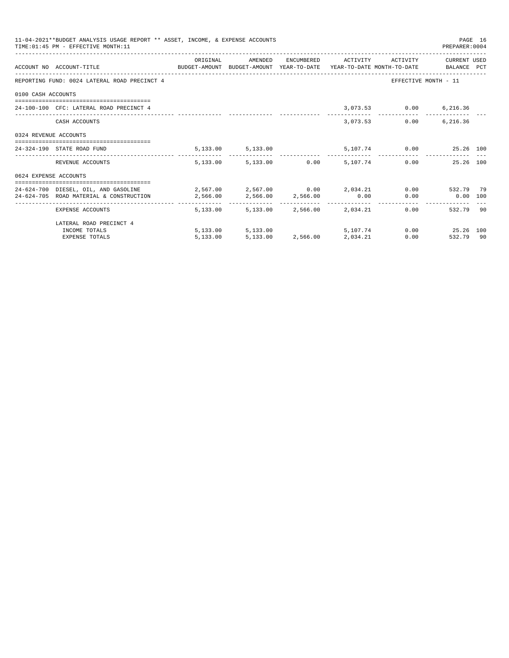|                       | 11-04-2021**BUDGET ANALYSIS USAGE REPORT ** ASSET, INCOME, & EXPENSE ACCOUNTS<br>TIME: 01:45 PM - EFFECTIVE MONTH: 11 |          |                                 |             |                                            |                        | PREPARER: 0004          | PAGE 16 |
|-----------------------|-----------------------------------------------------------------------------------------------------------------------|----------|---------------------------------|-------------|--------------------------------------------|------------------------|-------------------------|---------|
|                       | ACCOUNT NO ACCOUNT-TITLE COMPUTE BUDGET-AMOUNT BUDGET-AMOUNT YEAR-TO-DATE YEAR-TO-DATE MONTH-TO-DATE BALANCE PCT      | ORIGINAL | AMENDED                         |             | ENCUMBERED ACTIVITY ACTIVITY               |                        | CURRENT USED            |         |
|                       |                                                                                                                       |          |                                 |             |                                            |                        |                         |         |
|                       | REPORTING FUND: 0024 LATERAL ROAD PRECINCT 4                                                                          |          |                                 |             |                                            |                        | EFFECTIVE MONTH - 11    |         |
| 0100 CASH ACCOUNTS    |                                                                                                                       |          |                                 |             |                                            |                        |                         |         |
|                       | 24-100-100 CEC: LATERAL ROAD PRECINCT 4                                                                               |          |                                 |             |                                            | 3,073.53 0.00 6,216.36 |                         |         |
|                       | CASH ACCOUNTS                                                                                                         |          |                                 |             | 3,073.53                                   |                        | $0.00$ 6,216.36         |         |
| 0324 REVENUE ACCOUNTS |                                                                                                                       |          |                                 |             |                                            |                        |                         |         |
|                       | 24-324-190 STATE ROAD FUND                                                                                            |          | 5,133.00 5,133.00               |             |                                            |                        | 5,107.74 0.00 25.26 100 |         |
|                       | REVENUE ACCOUNTS                                                                                                      |          | 5,133.00 5,133.00 0.00 5,107.74 |             |                                            |                        | 0.00<br>25.26 100       |         |
| 0624 EXPENSE ACCOUNTS |                                                                                                                       |          |                                 |             |                                            |                        |                         |         |
|                       | 24-624-700 DIESEL, OIL, AND GASOLINE 2,567.00 2,567.00 0.00 2,034.21                                                  |          |                                 |             |                                            |                        | 0.00 532.79 79          |         |
|                       | 24-624-705 ROAD MATERIAL & CONSTRUCTION 2,566.00                                                                      |          | 2,566.00 2,566.00 0.00          |             |                                            |                        | $0.00$ $0.00$ $100$     |         |
|                       | EXPENSE ACCOUNTS                                                                                                      | 5,133,00 | ------- ------------- -         | ----------- | ------------<br>5,133.00 2,566.00 2,034.21 |                        | 532.79 90<br>0.00       |         |
|                       | LATERAL ROAD PRECINCT 4                                                                                               |          |                                 |             |                                            |                        |                         |         |
|                       | INCOME TOTALS                                                                                                         |          | 5,133.00 5,133.00 5,107.74      |             |                                            |                        | $0.00$ 25.26 100        |         |
|                       | <b>EXPENSE TOTALS</b>                                                                                                 | 5,133.00 |                                 |             | 5, 133, 00 2, 566, 00 2, 034, 21           |                        | 0.00<br>532.79 90       |         |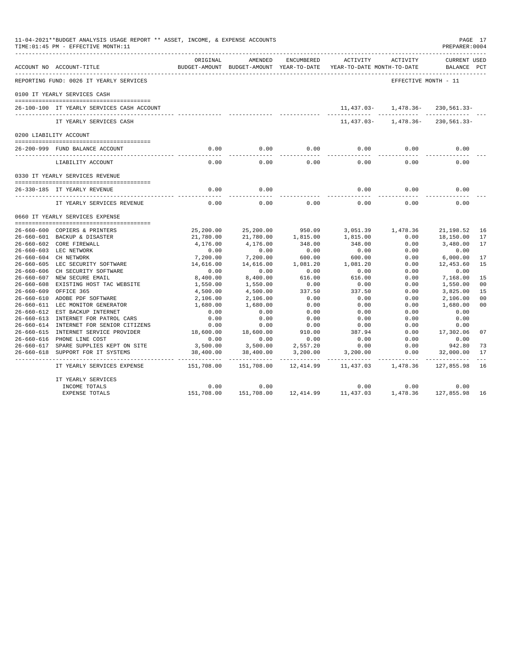| 11-04-2021**BUDGET ANALYSIS USAGE REPORT ** ASSET, INCOME, & EXPENSE ACCOUNTS<br>TIME: 01:45 PM - EFFECTIVE MONTH: 11<br>PREPARER: 0004<br>ORIGINAL<br>AMENDED<br>ENCUMBERED<br>ACTIVITY<br>ACTIVITY |                                            |                     |                                          |           |                            |                      |                                       |                |
|------------------------------------------------------------------------------------------------------------------------------------------------------------------------------------------------------|--------------------------------------------|---------------------|------------------------------------------|-----------|----------------------------|----------------------|---------------------------------------|----------------|
|                                                                                                                                                                                                      | ACCOUNT NO ACCOUNT-TITLE                   |                     | BUDGET-AMOUNT BUDGET-AMOUNT YEAR-TO-DATE |           | YEAR-TO-DATE MONTH-TO-DATE |                      | <b>CURRENT USED</b><br>BALANCE PCT    |                |
|                                                                                                                                                                                                      | REPORTING FUND: 0026 IT YEARLY SERVICES    |                     |                                          |           |                            | EFFECTIVE MONTH - 11 |                                       |                |
|                                                                                                                                                                                                      | 0100 IT YEARLY SERVICES CASH               |                     |                                          |           |                            |                      |                                       |                |
|                                                                                                                                                                                                      | 26-100-100 IT YEARLY SERVICES CASH ACCOUNT |                     |                                          |           |                            |                      | $11,437.03 - 1,478.36 - 230,561.33 -$ |                |
|                                                                                                                                                                                                      | IT YEARLY SERVICES CASH                    |                     |                                          |           | 11,437.03-                 | 1,478.36-            | 230,561.33-                           |                |
|                                                                                                                                                                                                      | 0200 LIABILITY ACCOUNT                     |                     |                                          |           |                            |                      |                                       |                |
|                                                                                                                                                                                                      | 26-200-999 FUND BALANCE ACCOUNT            | 0.00                | 0.00                                     | 0.00      | 0.00                       | 0.00                 | 0.00                                  |                |
|                                                                                                                                                                                                      | LIABILITY ACCOUNT                          | $- - - - -$<br>0.00 | .<br>0.00                                | 0.00      | 0.00                       | 0.00                 | 0.00                                  |                |
|                                                                                                                                                                                                      | 0330 IT YEARLY SERVICES REVENUE            |                     |                                          |           |                            |                      |                                       |                |
|                                                                                                                                                                                                      | 26-330-185 IT YEARLY REVENUE               | 0.00                | 0.00                                     |           | 0.00                       | 0.00                 | 0.00                                  |                |
|                                                                                                                                                                                                      | IT YEARLY SERVICES REVENUE                 | 0.00                | 0.00                                     | 0.00      | 0.00                       | 0.00                 | 0.00                                  |                |
|                                                                                                                                                                                                      | 0660 IT YEARLY SERVICES EXPENSE            |                     |                                          |           |                            |                      |                                       |                |
|                                                                                                                                                                                                      | 26-660-600 COPIERS & PRINTERS              | 25,200.00           | 25,200.00                                | 950.09    | 3,051.39                   | 1,478.36             | 21,198.52                             | 16             |
|                                                                                                                                                                                                      | 26-660-601 BACKUP & DISASTER               | 21,780.00           | 21,780.00                                | 1,815.00  | 1,815.00                   | 0.00                 | 18,150.00                             | 17             |
|                                                                                                                                                                                                      | 26-660-602 CORE FIREWALL                   | 4,176.00            | 4,176.00                                 | 348.00    | 348.00                     | 0.00                 | 3,480.00                              | 17             |
|                                                                                                                                                                                                      | 26-660-603 LEC NETWORK                     | 0.00                | 0.00                                     | 0.00      | 0.00                       | 0.00                 | 0.00                                  |                |
|                                                                                                                                                                                                      | 26-660-604 CH NETWORK                      | 7,200.00            | 7,200.00                                 | 600.00    | 600.00                     | 0.00                 | 6,000.00                              | 17             |
|                                                                                                                                                                                                      | 26-660-605 LEC SECURITY SOFTWARE           | 14,616.00           | 14,616.00                                | 1,081.20  | 1,081.20                   | 0.00                 | 12,453.60                             | 15             |
|                                                                                                                                                                                                      | 26-660-606 CH SECURITY SOFTWARE            | 0.00                | 0.00                                     | 0.00      | 0.00                       | 0.00                 | 0.00                                  |                |
|                                                                                                                                                                                                      | 26-660-607 NEW SECURE EMAIL                | 8,400.00            | 8,400.00                                 | 616.00    | 616.00                     | 0.00                 | 7,168.00                              | 15             |
|                                                                                                                                                                                                      | 26-660-608 EXISTING HOST TAC WEBSITE       | 1,550.00            | 1,550.00                                 | 0.00      | 0.00                       | 0.00                 | 1,550.00                              | 00             |
| $26 - 660 - 609$                                                                                                                                                                                     | OFFICE 365                                 | 4,500.00            | 4,500.00                                 | 337.50    | 337.50                     | 0.00                 | 3,825.00                              | 15             |
|                                                                                                                                                                                                      | 26-660-610 ADOBE PDF SOFTWARE              | 2,106.00            | 2,106.00                                 | 0.00      | 0.00                       | 0.00                 | 2,106.00                              | 0 <sub>0</sub> |
|                                                                                                                                                                                                      | 26-660-611 LEC MONITOR GENERATOR           | 1,680.00            | 1,680.00                                 | 0.00      | 0.00                       | 0.00                 | 1,680.00                              | 0 <sub>0</sub> |
| 26-660-612                                                                                                                                                                                           | EST BACKUP INTERNET                        | 0.00                | 0.00                                     | 0.00      | 0.00                       | 0.00                 | 0.00                                  |                |
|                                                                                                                                                                                                      | 26-660-613 INTERNET FOR PATROL CARS        | 0.00                | 0.00                                     | 0.00      | 0.00                       | 0.00                 | 0.00                                  |                |
|                                                                                                                                                                                                      | 26-660-614 INTERNET FOR SENIOR CITIZENS    | 0.00                | 0.00                                     | 0.00      | 0.00                       | 0.00                 | 0.00                                  |                |
|                                                                                                                                                                                                      | 26-660-615 INTERNET SERVICE PROVIDER       | 18,600.00           | 18,600.00                                | 910.00    | 387.94                     | 0.00                 | 17,302.06                             | 07             |
|                                                                                                                                                                                                      | 26-660-616 PHONE LINE COST                 | 0.00                | 0.00                                     | 0.00      | 0.00                       | 0.00                 | 0.00                                  |                |
|                                                                                                                                                                                                      | 26-660-617 SPARE SUPPLIES KEPT ON SITE     | 3,500.00            | 3,500.00                                 | 2,557.20  | 0.00                       | 0.00                 | 942.80                                | 73             |
|                                                                                                                                                                                                      | 26-660-618 SUPPORT FOR IT SYSTEMS          | 38,400.00           | 38,400.00                                | 3,200.00  | 3,200.00                   | 0.00                 | 32,000.00                             | 17             |
|                                                                                                                                                                                                      | IT YEARLY SERVICES EXPENSE                 | 151,708.00          | 151,708.00                               | 12,414.99 | 11,437.03                  | 1,478.36             | 127,855.98                            | 16             |
|                                                                                                                                                                                                      | IT YEARLY SERVICES                         |                     |                                          |           |                            |                      |                                       |                |
|                                                                                                                                                                                                      | INCOME TOTALS                              | 0.00                | 0.00                                     |           | 0.00                       | 0.00                 | 0.00                                  |                |
|                                                                                                                                                                                                      | EXPENSE TOTALS                             | 151,708.00          | 151,708.00                               |           | 12,414.99 11,437.03        |                      | 1,478.36 127,855.98                   | 16             |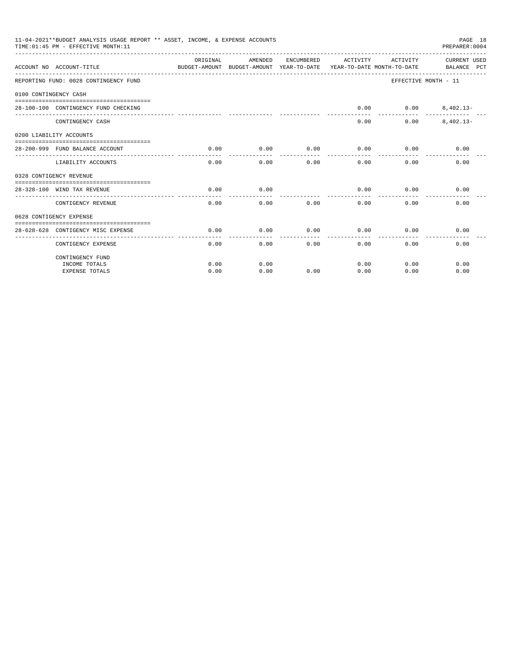|                       | 11-04-2021**BUDGET ANALYSIS USAGE REPORT ** ASSET, INCOME, & EXPENSE ACCOUNTS<br>TIME: 01:45 PM - EFFECTIVE MONTH: 11 |                                                                                 |                      |                |                 |                     | PAGE 18<br>PREPARER: 0004   |
|-----------------------|-----------------------------------------------------------------------------------------------------------------------|---------------------------------------------------------------------------------|----------------------|----------------|-----------------|---------------------|-----------------------------|
|                       | ACCOUNT NO ACCOUNT-TITLE                                                                                              | ORIGINAL<br>BUDGET-AMOUNT BUDGET-AMOUNT YEAR-TO-DATE YEAR-TO-DATE MONTH-TO-DATE | AMENDED              | ENCUMBERED     |                 | ACTIVITY ACTIVITY   | CURRENT USED<br>BALANCE PCT |
|                       | REPORTING FUND: 0028 CONTINGENCY FUND                                                                                 |                                                                                 |                      |                |                 |                     | EFFECTIVE MONTH - 11        |
| 0100 CONTINGENCY CASH |                                                                                                                       |                                                                                 |                      |                |                 |                     |                             |
|                       | 28-100-100 CONTINGENCY FUND CHECKING                                                                                  |                                                                                 |                      |                | 0.00            | $0.00$ $8,402.13-$  |                             |
|                       | CONTINGENCY CASH                                                                                                      |                                                                                 |                      |                | 0.00            | 0.00                | $8.402.13 -$                |
|                       | 0200 LIABILITY ACCOUNTS                                                                                               |                                                                                 |                      |                |                 |                     |                             |
|                       | 28-200-999 FUND BALANCE ACCOUNT                                                                                       | 0.00<br>------------                                                            | 0.00                 | 0.00<br>------ | 0.00<br>------- | 0.00<br>----------- | 0.00                        |
|                       | LIABILITY ACCOUNTS                                                                                                    | 0.00                                                                            | ------------<br>0.00 | 0.00           | 0.00            | 0.00                | 0.00                        |
|                       | 0328 CONTIGENCY REVENUE                                                                                               |                                                                                 |                      |                |                 |                     |                             |
|                       | 28-328-100 WIND TAX REVENUE                                                                                           | 0.00                                                                            | 0.00                 |                | 0.00            | 0.00                | 0.00                        |
|                       | CONTIGENCY REVENUE                                                                                                    | 0.00                                                                            | 0.00                 | 0.00           | 0.00            | 0.00                | 0.00                        |
|                       | 0628 CONTIGENCY EXPENSE                                                                                               |                                                                                 |                      |                |                 |                     |                             |
|                       | 28-628-628 CONTIGENCY MISC EXPENSE                                                                                    | 0.00                                                                            | 0.00                 | 0.00           | 0.00            | 0.00                | 0.00                        |
|                       | CONTIGENCY EXPENSE                                                                                                    | 0.00                                                                            | 0.00                 |                | 0.00<br>0.00    | 0.00                | 0.00                        |
|                       | CONTINGENCY FUND                                                                                                      |                                                                                 |                      |                |                 |                     |                             |
|                       | INCOME TOTALS                                                                                                         | 0.00                                                                            | 0.00                 |                | 0.00            | 0.00                | 0.00                        |
|                       | <b>EXPENSE TOTALS</b>                                                                                                 | 0.00                                                                            | 0.00                 | 0.00           | 0.00            | 0.00                | 0.00                        |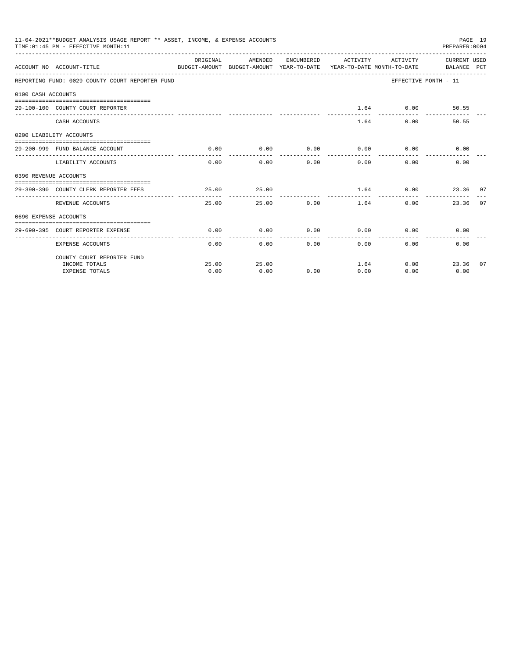|                       | 11-04-2021**BUDGET ANALYSIS USAGE REPORT ** ASSET, INCOME, & EXPENSE ACCOUNTS<br>TIME: 01:45 PM - EFFECTIVE MONTH: 11 |          |                                                   |                                   |                      |                              | PREPARER: 0004       | PAGE 19 |
|-----------------------|-----------------------------------------------------------------------------------------------------------------------|----------|---------------------------------------------------|-----------------------------------|----------------------|------------------------------|----------------------|---------|
|                       | BUDGET-AMOUNT BUDGET-AMOUNT YEAR-TO-DATE YEAR-TO-DATE MONTH-TO-DATE BALANCE PCT<br>ACCOUNT NO ACCOUNT-TITLE           | ORIGINAL | AMENDED ENCUMBERED ACTIVITY ACTIVITY CURRENT_USED |                                   |                      |                              |                      |         |
|                       | REPORTING FUND: 0029 COUNTY COURT REPORTER FUND                                                                       |          |                                                   |                                   |                      |                              | EFFECTIVE MONTH - 11 |         |
| 0100 CASH ACCOUNTS    |                                                                                                                       |          |                                                   |                                   |                      |                              |                      |         |
|                       |                                                                                                                       |          |                                                   |                                   |                      |                              |                      |         |
|                       | 29-100-100 COUNTY COURT REPORTER                                                                                      |          |                                                   |                                   |                      | $1.64$ 0.00                  | 50.55                |         |
|                       | CASH ACCOUNTS                                                                                                         |          |                                                   |                                   |                      | 1.64                         | 50.55<br>0.00        |         |
|                       | 0200 LIABILITY ACCOUNTS                                                                                               |          |                                                   |                                   |                      |                              |                      |         |
|                       | 29-200-999 FUND BALANCE ACCOUNT                                                                                       | 0.00     | 0.00                                              |                                   |                      | $0.00$ $0.00$ $0.00$ $0.00$  | 0.00                 |         |
|                       | LIABILITY ACCOUNTS                                                                                                    | 0.00     | -------------                                     | ------------<br>$0.00$ and $0.00$ | ------------<br>0.00 | ------------<br>0.00<br>0.00 | 0.00                 |         |
| 0390 REVENUE ACCOUNTS |                                                                                                                       |          |                                                   |                                   |                      |                              |                      |         |
|                       | 29-390-390 COUNTY CLERK REPORTER FEES                                                                                 | 25.00    | 25.00                                             |                                   |                      | 1.64 0.00 23.36 07           |                      |         |
|                       | REVENUE ACCOUNTS                                                                                                      | 25.00    |                                                   | 25.00                             | 0.00<br>1.64         |                              | 0.00<br>23.36 07     |         |
| 0690 EXPENSE ACCOUNTS |                                                                                                                       |          |                                                   |                                   |                      |                              |                      |         |
|                       |                                                                                                                       |          |                                                   |                                   |                      |                              |                      |         |
|                       | 29-690-395 COURT REPORTER EXPENSE                                                                                     | 0.00     | 0.00                                              |                                   |                      | $0.00$ $0.00$ $0.00$ $0.00$  | 0.00                 |         |
|                       | <b>EXPENSE ACCOUNTS</b>                                                                                               | 0.00     |                                                   | 0.00                              | 0.00                 | $0.00$ and $0.00$            | 0.00<br>0.00         |         |
|                       | COUNTY COURT REPORTER FUND                                                                                            |          |                                                   |                                   |                      |                              |                      |         |
|                       | INCOME TOTALS                                                                                                         | 25.00    | 25.00                                             |                                   |                      | 1.64                         | 0.00<br>23.36        | 07      |
|                       | <b>EXPENSE TOTALS</b>                                                                                                 | 0.00     | 0.00                                              | 0.00                              | 0.00                 | 0.00                         | 0.00                 |         |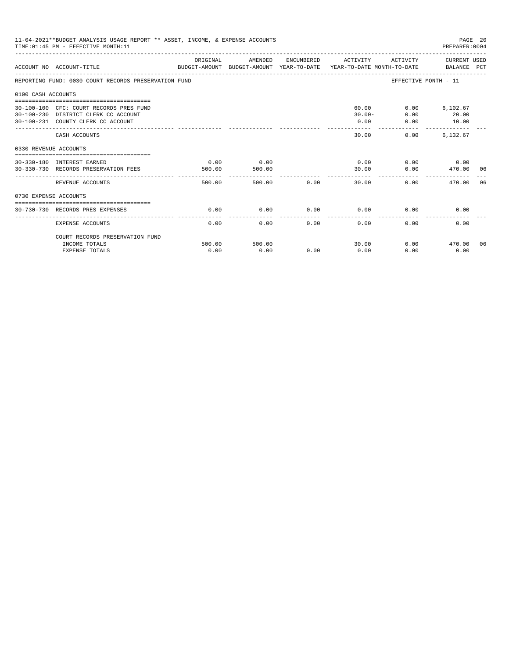|                       | 11-04-2021**BUDGET ANALYSIS USAGE REPORT ** ASSET, INCOME, & EXPENSE ACCOUNTS<br>PAGE 20<br>TIME: 01:45 PM - EFFECTIVE MONTH: 11<br>PREPARER: 0004 |                |                |      |                                           |                                    |                                   |    |  |  |
|-----------------------|----------------------------------------------------------------------------------------------------------------------------------------------------|----------------|----------------|------|-------------------------------------------|------------------------------------|-----------------------------------|----|--|--|
|                       | ACCOUNT NO ACCOUNT-TITLE<br>BUDGET-AMOUNT BUDGET-AMOUNT YEAR-TO-DATE YEAR-TO-DATE MONTH-TO-DATE BALANCE PCT                                        | ORIGINAL       | AMENDED        |      | ENCUMBERED ACTIVITY ACTIVITY CURRENT USED |                                    |                                   |    |  |  |
|                       | REPORTING FUND: 0030 COURT RECORDS PRESERVATION FUND                                                                                               |                |                |      |                                           |                                    | EFFECTIVE MONTH - 11              |    |  |  |
| 0100 CASH ACCOUNTS    |                                                                                                                                                    |                |                |      |                                           |                                    |                                   |    |  |  |
|                       | 30-100-100 CFC: COURT RECORDS PRES FUND<br>30-100-230 DISTRICT CLERK CC ACCOUNT<br>30-100-231 COUNTY CLERK CC ACCOUNT                              |                |                |      | 0.00                                      | 60.00<br>0.00<br>$30.00 -$<br>0.00 | $0.00$ 6,102.67<br>20.00<br>10.00 |    |  |  |
|                       | CASH ACCOUNTS                                                                                                                                      |                |                |      | -------<br>30.00                          | 0.00                               | 6,132.67                          |    |  |  |
| 0330 REVENUE ACCOUNTS |                                                                                                                                                    |                |                |      |                                           |                                    |                                   |    |  |  |
|                       | --------------------------------<br>30-330-180 INTEREST EARNED<br>30-330-730 RECORDS PRESERVATION FEES                                             | 0.00<br>500.00 | 0.00<br>500.00 |      | 30.00                                     | 0.00<br>0.00                       | $0.00$ 0.00<br>470.00 06          |    |  |  |
|                       | REVENUE ACCOUNTS                                                                                                                                   | 500.00         | 500.00         | 0.00 | -------<br>30.00                          |                                    | 0.00<br>470.00                    | 06 |  |  |
| 0730 EXPENSE ACCOUNTS |                                                                                                                                                    |                |                |      |                                           |                                    |                                   |    |  |  |
|                       | 30-730-730 RECORDS PRES EXPENSES                                                                                                                   | 0.00           | 0.00           | 0.00 | 0.00                                      | 0.00                               | 0.00                              |    |  |  |
|                       | <b>EXPENSE ACCOUNTS</b>                                                                                                                            | 0.00           | 0.00           | 0.00 | 0.00                                      | 0.00                               | 0.00                              |    |  |  |
|                       | COURT RECORDS PRESERVATION FUND                                                                                                                    |                |                |      |                                           |                                    |                                   |    |  |  |
|                       | INCOME TOTALS<br><b>EXPENSE TOTALS</b>                                                                                                             | 500.00<br>0.00 | 500.00<br>0.00 | 0.00 | 30.00<br>0.00                             | 0.00                               | $0.00$ 470.00<br>0.00             | 06 |  |  |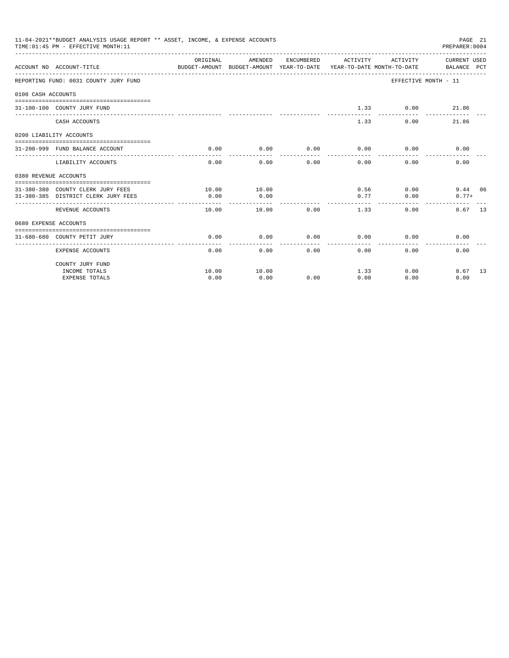|                       | 11-04-2021**BUDGET ANALYSIS USAGE REPORT ** ASSET, INCOME, & EXPENSE ACCOUNTS<br>TIME: 01:45 PM - EFFECTIVE MONTH: 11 |                                                                                             |                     |                                                                                                                                                                                                                                                                                                                                                                                              |                               |                                  | PAGE 21<br>PREPARER:0004 |  |
|-----------------------|-----------------------------------------------------------------------------------------------------------------------|---------------------------------------------------------------------------------------------|---------------------|----------------------------------------------------------------------------------------------------------------------------------------------------------------------------------------------------------------------------------------------------------------------------------------------------------------------------------------------------------------------------------------------|-------------------------------|----------------------------------|--------------------------|--|
|                       | ACCOUNT NO ACCOUNT-TITLE                                                                                              | ORIGINAL<br>BUDGET-AMOUNT BUDGET-AMOUNT YEAR-TO-DATE YEAR-TO-DATE MONTH-TO-DATE BALANCE PCT | AMENDED             |                                                                                                                                                                                                                                                                                                                                                                                              |                               | ENCUMBERED ACTIVITY ACTIVITY     | CURRENT USED             |  |
|                       | REPORTING FUND: 0031 COUNTY JURY FUND                                                                                 |                                                                                             |                     |                                                                                                                                                                                                                                                                                                                                                                                              |                               |                                  | EFFECTIVE MONTH - 11     |  |
| 0100 CASH ACCOUNTS    |                                                                                                                       |                                                                                             |                     |                                                                                                                                                                                                                                                                                                                                                                                              |                               |                                  |                          |  |
|                       | 31-100-100 COUNTY JURY FUND                                                                                           |                                                                                             |                     |                                                                                                                                                                                                                                                                                                                                                                                              | __________                    | $1.33 \t\t 0.00$<br>------------ | 21.86                    |  |
|                       | CASH ACCOUNTS                                                                                                         |                                                                                             |                     |                                                                                                                                                                                                                                                                                                                                                                                              | 1.33                          | 0.00                             | 21.86                    |  |
|                       | 0200 LIABILITY ACCOUNTS                                                                                               |                                                                                             |                     |                                                                                                                                                                                                                                                                                                                                                                                              |                               |                                  |                          |  |
|                       | 31-200-999 FUND BALANCE ACCOUNT                                                                                       | 0.00                                                                                        | 0.00                | 0.00                                                                                                                                                                                                                                                                                                                                                                                         | 0.00                          | 0.00                             | 0.00                     |  |
|                       |                                                                                                                       |                                                                                             |                     | $\frac{1}{2} \frac{1}{2} \frac{1}{2} \frac{1}{2} \frac{1}{2} \frac{1}{2} \frac{1}{2} \frac{1}{2} \frac{1}{2} \frac{1}{2} \frac{1}{2} \frac{1}{2} \frac{1}{2} \frac{1}{2} \frac{1}{2} \frac{1}{2} \frac{1}{2} \frac{1}{2} \frac{1}{2} \frac{1}{2} \frac{1}{2} \frac{1}{2} \frac{1}{2} \frac{1}{2} \frac{1}{2} \frac{1}{2} \frac{1}{2} \frac{1}{2} \frac{1}{2} \frac{1}{2} \frac{1}{2} \frac{$ | __________                    | $- - - - -$                      |                          |  |
|                       | LIABILITY ACCOUNTS                                                                                                    | 0.00                                                                                        | 0.00                | 0.00                                                                                                                                                                                                                                                                                                                                                                                         | 0.00                          | 0.00                             | 0.00                     |  |
| 0380 REVENUE ACCOUNTS |                                                                                                                       |                                                                                             |                     |                                                                                                                                                                                                                                                                                                                                                                                              |                               |                                  |                          |  |
|                       |                                                                                                                       |                                                                                             |                     |                                                                                                                                                                                                                                                                                                                                                                                              |                               |                                  |                          |  |
|                       | 31-380-380 COUNTY CLERK JURY FEES<br>31-380-385 DISTRICT CLERK JURY FEES                                              | 10.00<br>0.00                                                                               | 10.00<br>0.00       |                                                                                                                                                                                                                                                                                                                                                                                              | 0.77                          | $0.56$ 0.00<br>0.00              | 9.44 06<br>$0.77+$       |  |
|                       |                                                                                                                       |                                                                                             |                     |                                                                                                                                                                                                                                                                                                                                                                                              |                               |                                  |                          |  |
|                       | REVENUE ACCOUNTS                                                                                                      | 10.00                                                                                       | 10.00               | 0.00                                                                                                                                                                                                                                                                                                                                                                                         | 1.33                          | $0.00 -$                         | 8.67 13                  |  |
| 0680 EXPENSE ACCOUNTS |                                                                                                                       |                                                                                             |                     |                                                                                                                                                                                                                                                                                                                                                                                              |                               |                                  |                          |  |
|                       |                                                                                                                       |                                                                                             |                     |                                                                                                                                                                                                                                                                                                                                                                                              |                               |                                  |                          |  |
|                       | 31-680-680 COUNTY PETIT JURY                                                                                          | 0.00<br>------------                                                                        | 0.00<br>----------- | 0.00<br>-------                                                                                                                                                                                                                                                                                                                                                                              | 0.00<br>------------ <b>-</b> |                                  | 0.00<br>0.00             |  |
|                       | EXPENSE ACCOUNTS                                                                                                      | 0.00                                                                                        |                     | 0.00                                                                                                                                                                                                                                                                                                                                                                                         | $0.00$ and $0.00$             | $0.00$ and $0.00$                | 0.00<br>0.00             |  |
|                       | COUNTY JURY FUND                                                                                                      |                                                                                             |                     |                                                                                                                                                                                                                                                                                                                                                                                              |                               |                                  |                          |  |
|                       | INCOME TOTALS                                                                                                         | 10.00                                                                                       | 10.00               |                                                                                                                                                                                                                                                                                                                                                                                              |                               | 1.33                             | 0.00<br>8.67 13          |  |
|                       | <b>EXPENSE TOTALS</b>                                                                                                 | 0.00                                                                                        | 0.00                | 0.00                                                                                                                                                                                                                                                                                                                                                                                         | 0.00                          | 0.00                             | 0.00                     |  |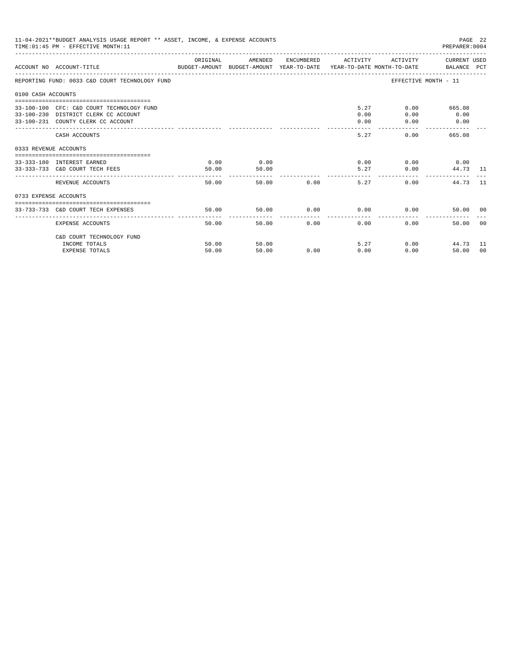| 11-04-2021**BUDGET ANALYSIS USAGE REPORT ** ASSET, INCOME, & EXPENSE ACCOUNTS<br>PAGE 22<br>TIME: 01:45 PM - EFFECTIVE MONTH: 11<br>PREPARER: 0004<br>ORIGINAL<br>CURRENT USED<br>AMENDED<br>ENCUMBERED ACTIVITY<br>ACTIVITY |                                                                                                                         |               |                                 |               |                                     |                         |                                 |                |  |
|------------------------------------------------------------------------------------------------------------------------------------------------------------------------------------------------------------------------------|-------------------------------------------------------------------------------------------------------------------------|---------------|---------------------------------|---------------|-------------------------------------|-------------------------|---------------------------------|----------------|--|
|                                                                                                                                                                                                                              | ACCOUNT NO ACCOUNT-TITLE COMPUTE SUDGET-AMOUNT BUDGET-AMOUNT VEAR-TO-DATE YEAR-TO-DATE MONTH-TO-DATE BALANCE PCT        |               |                                 |               |                                     |                         |                                 |                |  |
|                                                                                                                                                                                                                              | REPORTING FUND: 0033 C&D COURT TECHNOLOGY FUND                                                                          |               |                                 |               |                                     | EFFECTIVE MONTH - 11    |                                 |                |  |
| 0100 CASH ACCOUNTS                                                                                                                                                                                                           |                                                                                                                         |               |                                 |               |                                     |                         |                                 |                |  |
|                                                                                                                                                                                                                              | 33-100-100 CFC: C&D COURT TECHNOLOGY FUND<br>33-100-230 DISTRICT CLERK CC ACCOUNT<br>33-100-231 COUNTY CLERK CC ACCOUNT |               |                                 |               | 0.00<br>0.00<br>المواطنات والمنافذة | 5.27<br>0.00<br>0.00    | $0.00$ 665.08<br>0.00<br>0.00   |                |  |
|                                                                                                                                                                                                                              | CASH ACCOUNTS                                                                                                           |               |                                 |               | 5.27                                | $0.00$ and $0.00$       | 665.08                          |                |  |
| 0333 REVENUE ACCOUNTS                                                                                                                                                                                                        |                                                                                                                         |               |                                 |               |                                     |                         |                                 |                |  |
|                                                                                                                                                                                                                              | 33-333-180 INTEREST EARNED<br>33-333-733 C&D COURT TECH FEES                                                            | 0.00<br>50.00 | 0.00<br>50.00<br>______________ |               |                                     | 0.00<br>5.27            | $0.00$ 0.00<br>0.00<br>44.73 11 |                |  |
|                                                                                                                                                                                                                              | REVENUE ACCOUNTS                                                                                                        | 50.00         |                                 | 50.00 0.00    | 5.27                                | 0.00                    | 44.73 11                        |                |  |
| 0733 EXPENSE ACCOUNTS                                                                                                                                                                                                        |                                                                                                                         |               |                                 |               |                                     |                         |                                 |                |  |
|                                                                                                                                                                                                                              | 33-733-733 C&D COURT TECH EXPENSES                                                                                      | 50.00         | 50.00                           |               | $0.00$ 0.00                         | 0.00                    | 50.00 00                        |                |  |
|                                                                                                                                                                                                                              | EXPENSE ACCOUNTS                                                                                                        | 50.00         |                                 | 0.00<br>50.00 | 0.00                                | ---------------<br>0.00 | 50.00                           | - 0.0          |  |
|                                                                                                                                                                                                                              | C&D COURT TECHNOLOGY FUND                                                                                               |               |                                 |               |                                     |                         |                                 |                |  |
|                                                                                                                                                                                                                              | INCOME TOTALS                                                                                                           | 50.00         | 50.00                           |               |                                     | 5.27                    | 0.00<br>44.73 11                |                |  |
|                                                                                                                                                                                                                              | <b>EXPENSE TOTALS</b>                                                                                                   | 50.00         | 50.00                           | 0.00          | 0.00                                | 0.00                    | 50.00                           | 0 <sup>0</sup> |  |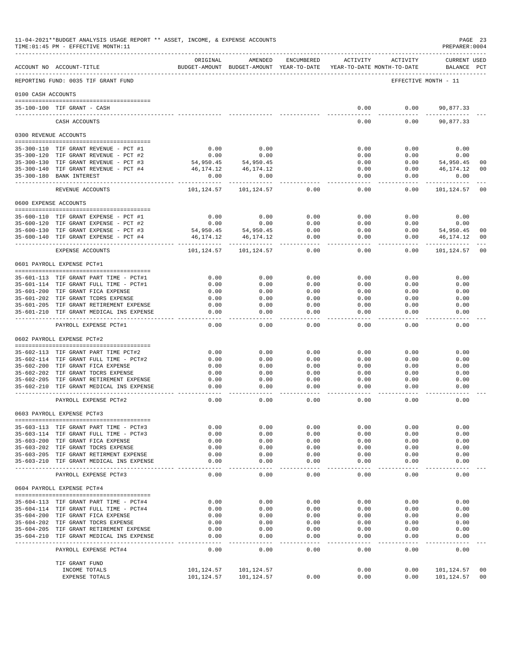|                       | 11-04-2021**BUDGET ANALYSIS USAGE REPORT ** ASSET, INCOME, & EXPENSE ACCOUNTS<br>PAGE 23<br>TIME: 01:45 PM - EFFECTIVE MONTH: 11<br>PREPARER:0004 |                          |                                                     |                   |               |                                        |                                    |                      |  |  |
|-----------------------|---------------------------------------------------------------------------------------------------------------------------------------------------|--------------------------|-----------------------------------------------------|-------------------|---------------|----------------------------------------|------------------------------------|----------------------|--|--|
|                       | ACCOUNT NO ACCOUNT-TITLE                                                                                                                          | ORIGINAL                 | AMENDED<br>BUDGET-AMOUNT BUDGET-AMOUNT YEAR-TO-DATE | ENCUMBERED        | ACTIVITY      | ACTIVITY<br>YEAR-TO-DATE MONTH-TO-DATE | <b>CURRENT USED</b><br>BALANCE PCT |                      |  |  |
|                       | REPORTING FUND: 0035 TIF GRANT FUND                                                                                                               |                          |                                                     |                   |               |                                        | EFFECTIVE MONTH - 11               |                      |  |  |
| 0100 CASH ACCOUNTS    |                                                                                                                                                   |                          |                                                     |                   |               |                                        |                                    |                      |  |  |
|                       | 35-100-100 TIF GRANT - CASH                                                                                                                       |                          |                                                     |                   | 0.00          | 0.00                                   | 90,877.33                          |                      |  |  |
|                       |                                                                                                                                                   |                          |                                                     |                   | $- - - - - -$ | -------                                | -----------                        |                      |  |  |
|                       | CASH ACCOUNTS                                                                                                                                     |                          |                                                     |                   | 0.00          | 0.00                                   | 90,877.33                          |                      |  |  |
| 0300 REVENUE ACCOUNTS |                                                                                                                                                   |                          |                                                     |                   |               |                                        |                                    |                      |  |  |
|                       | 35-300-110 TIF GRANT REVENUE - PCT #1                                                                                                             | 0.00                     | 0.00                                                |                   | 0.00          | 0.00                                   | 0.00                               |                      |  |  |
|                       | 35-300-120 TIF GRANT REVENUE - PCT #2                                                                                                             | 0.00                     | 0.00                                                |                   | 0.00          | 0.00                                   | 0.00                               |                      |  |  |
|                       | 35-300-130 TIF GRANT REVENUE - PCT #3                                                                                                             | 54,950.45                | 54,950.45                                           |                   | 0.00          | 0.00                                   | 54,950.45                          | 00                   |  |  |
|                       | 35-300-140 TIF GRANT REVENUE - PCT #4<br>35-300-180 BANK INTEREST                                                                                 | 46,174.12<br>0.00        | 46,174.12<br>0.00                                   |                   | 0.00<br>0.00  | 0.00<br>0.00                           | 46,174.12<br>0.00                  | 00                   |  |  |
|                       |                                                                                                                                                   |                          |                                                     |                   | $---$         |                                        |                                    |                      |  |  |
|                       | REVENUE ACCOUNTS                                                                                                                                  | 101,124.57               | 101,124.57                                          | 0.00              | 0.00          | 0.00                                   | 101,124.57                         | 00                   |  |  |
| 0600 EXPENSE ACCOUNTS |                                                                                                                                                   |                          |                                                     |                   |               |                                        |                                    |                      |  |  |
|                       | 35-600-110 TIF GRANT EXPENSE - PCT #1                                                                                                             | 0.00                     | 0.00                                                | 0.00              | 0.00          | 0.00                                   | 0.00                               |                      |  |  |
|                       | 35-600-120 TIF GRANT EXPENSE - PCT #2                                                                                                             | 0.00                     | 0.00                                                | 0.00              | 0.00          | 0.00                                   | 0.00                               |                      |  |  |
|                       | 35-600-130 TIF GRANT EXPENSE - PCT #3                                                                                                             | 54,950.45                | 54,950.45                                           | 0.00              | 0.00          | 0.00                                   | 54,950.45                          | 00                   |  |  |
|                       | 35-600-140 TIF GRANT EXPENSE - PCT #4                                                                                                             | 46,174.12                | 46,174.12                                           | 0.00<br>$- - - -$ | 0.00<br>$---$ | 0.00                                   | 46,174.12                          | 00                   |  |  |
|                       | EXPENSE ACCOUNTS                                                                                                                                  | 101,124.57               | 101,124.57                                          | 0.00              | 0.00          | 0.00                                   | 101,124.57                         | 0 <sub>0</sub>       |  |  |
|                       | 0601 PAYROLL EXPENSE PCT#1                                                                                                                        |                          |                                                     |                   |               |                                        |                                    |                      |  |  |
|                       | 35-601-113 TIF GRANT PART TIME - PCT#1                                                                                                            | 0.00                     | 0.00                                                | 0.00              | 0.00          | 0.00                                   | 0.00                               |                      |  |  |
|                       | 35-601-114 TIF GRANT FULL TIME - PCT#1                                                                                                            | 0.00                     | 0.00                                                | 0.00              | 0.00          | 0.00                                   | 0.00                               |                      |  |  |
|                       | 35-601-200 TIF GRANT FICA EXPENSE                                                                                                                 | 0.00                     | 0.00                                                | 0.00              | 0.00          | 0.00                                   | 0.00                               |                      |  |  |
|                       | 35-601-202 TIF GRANT TCDRS EXPENSE                                                                                                                | 0.00                     | 0.00                                                | 0.00              | 0.00          | 0.00                                   | 0.00                               |                      |  |  |
|                       | 35-601-205 TIF GRANT RETIREMENT EXPENSE<br>35-601-210 TIF GRANT MEDICAL INS EXPENSE                                                               | 0.00<br>0.00             | 0.00<br>0.00                                        | 0.00<br>0.00      | 0.00<br>0.00  | 0.00<br>0.00                           | 0.00<br>0.00                       |                      |  |  |
|                       |                                                                                                                                                   | $- - - - -$              | $- - - - -$                                         | $- - - -$         | $- - - -$     |                                        | - - - - -                          |                      |  |  |
|                       | PAYROLL EXPENSE PCT#1                                                                                                                             | 0.00                     | 0.00                                                | 0.00              | 0.00          | 0.00                                   | 0.00                               |                      |  |  |
|                       | 0602 PAYROLL EXPENSE PCT#2                                                                                                                        |                          |                                                     |                   |               |                                        |                                    |                      |  |  |
|                       | 35-602-113 TIF GRANT PART TIME PCT#2                                                                                                              | 0.00                     | 0.00                                                | 0.00              | 0.00          | 0.00                                   | 0.00                               |                      |  |  |
|                       | 35-602-114 TIF GRANT FULL TIME - PCT#2                                                                                                            | 0.00                     | 0.00                                                | 0.00              | 0.00          | 0.00                                   | 0.00                               |                      |  |  |
|                       | 35-602-200 TIF GRANT FICA EXPENSE                                                                                                                 | 0.00                     | 0.00                                                | 0.00              | 0.00          | 0.00                                   | 0.00                               |                      |  |  |
|                       | 35-602-202 TIF GRANT TDCRS EXPENSE                                                                                                                | 0.00                     | 0.00                                                | 0.00              | 0.00          | 0.00                                   | 0.00                               |                      |  |  |
|                       | 35-602-205 TIF GRANT RETIREMENT EXPENSE                                                                                                           | 0.00                     | 0.00                                                | 0.00              | 0.00          | 0.00                                   | 0.00                               |                      |  |  |
|                       | 35-602-210 TIF GRANT MEDICAL INS EXPENSE                                                                                                          | 0.00<br>$---$            | 0.00<br>$- - - -$                                   | 0.00<br>$- - - -$ | 0.00          | 0.00                                   | 0.00                               |                      |  |  |
|                       | PAYROLL EXPENSE PCT#2                                                                                                                             | 0.00                     | 0.00                                                | 0.00              | 0.00          | 0.00                                   | 0.00                               |                      |  |  |
|                       | 0603 PAYROLL EXPENSE PCT#3                                                                                                                        |                          |                                                     |                   |               |                                        |                                    |                      |  |  |
|                       | 35-603-113 TIF GRANT PART TIME - PCT#3                                                                                                            | 0.00                     | 0.00                                                | 0.00              | 0.00          | 0.00                                   | 0.00                               |                      |  |  |
|                       | 35-603-114 TIF GRANT FULL TIME - PCT#3                                                                                                            | 0.00                     | 0.00                                                | 0.00              | 0.00          | 0.00                                   | 0.00                               |                      |  |  |
|                       | 35-603-200 TIF GRANT FICA EXPENSE                                                                                                                 | 0.00                     | 0.00                                                | 0.00              | 0.00          | 0.00                                   | 0.00                               |                      |  |  |
|                       | 35-603-202 TIF GRANT TDCRS EXPENSE                                                                                                                | 0.00                     | 0.00                                                | 0.00              | 0.00          | 0.00                                   | 0.00                               |                      |  |  |
|                       | 35-603-205 TIF GRANT RETIRMENT EXPENSE<br>35-603-210 TIF GRANT MEDICAL INS EXPENSE                                                                | 0.00<br>0.00             | 0.00<br>0.00                                        | 0.00<br>0.00      | 0.00<br>0.00  | 0.00<br>0.00                           | 0.00<br>0.00                       |                      |  |  |
|                       |                                                                                                                                                   | $- - - - -$              | $- - - -$                                           | $- - - -$         | $- - - - -$   | $- - - - -$                            | $- - - - -$                        |                      |  |  |
|                       | PAYROLL EXPENSE PCT#3                                                                                                                             | 0.00                     | 0.00                                                | 0.00              | 0.00          | 0.00                                   | 0.00                               |                      |  |  |
|                       | 0604 PAYROLL EXPENSE PCT#4                                                                                                                        |                          |                                                     |                   |               |                                        |                                    |                      |  |  |
|                       | 35-604-113 TIF GRANT PART TIME - PCT#4                                                                                                            | 0.00                     | 0.00                                                | 0.00              | 0.00          | 0.00                                   | 0.00                               |                      |  |  |
|                       | 35-604-114 TIF GRANT FULL TIME - PCT#4                                                                                                            | 0.00                     | 0.00                                                | 0.00              | 0.00          | 0.00                                   | 0.00                               |                      |  |  |
|                       | 35-604-200 TIF GRANT FICA EXPENSE                                                                                                                 | 0.00                     | 0.00                                                | 0.00              | 0.00          | 0.00                                   | 0.00                               |                      |  |  |
|                       | 35-604-202 TIF GRANT TDCRS EXPENSE                                                                                                                | 0.00                     | 0.00                                                | 0.00              | 0.00          | 0.00                                   | 0.00                               |                      |  |  |
|                       | 35-604-205 TIF GRANT RETIREMENT EXPENSE<br>35-604-210 TIF GRANT MEDICAL INS EXPENSE                                                               | 0.00<br>0.00             | 0.00<br>0.00                                        | 0.00<br>0.00      | 0.00<br>0.00  | 0.00<br>0.00                           | 0.00<br>0.00                       |                      |  |  |
|                       |                                                                                                                                                   | $---$                    | $- - - - -$                                         | $- - - -$         | $- - - - -$   | $- - - -$                              |                                    |                      |  |  |
|                       | PAYROLL EXPENSE PCT#4                                                                                                                             | 0.00                     | 0.00                                                | 0.00              | 0.00          | 0.00                                   | 0.00                               |                      |  |  |
|                       | TIF GRANT FUND                                                                                                                                    |                          |                                                     |                   |               |                                        |                                    |                      |  |  |
|                       | INCOME TOTALS<br>EXPENSE TOTALS                                                                                                                   | 101,124.57<br>101,124.57 | 101,124.57<br>101,124.57                            | 0.00              | 0.00<br>0.00  | 0.00<br>0.00                           | 101,124.57<br>101,124.57           | 00<br>0 <sub>0</sub> |  |  |
|                       |                                                                                                                                                   |                          |                                                     |                   |               |                                        |                                    |                      |  |  |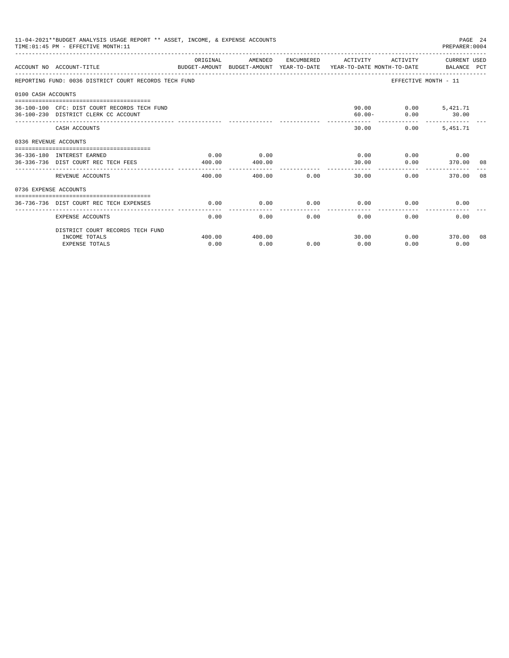| 11-04-2021**BUDGET ANALYSIS USAGE REPORT ** ASSET, INCOME, & EXPENSE ACCOUNTS<br>PAGE 24<br>PREPARER: 0004<br>TIME: 01:45 PM - EFFECTIVE MONTH: 11 |                                                                                                                   |                      |                |      |                     |               |                          |  |
|----------------------------------------------------------------------------------------------------------------------------------------------------|-------------------------------------------------------------------------------------------------------------------|----------------------|----------------|------|---------------------|---------------|--------------------------|--|
|                                                                                                                                                    | ACCOUNT NO ACCOUNT-TITLE<br>BUDGET-AMOUNT BUDGET-AMOUNT YEAR-TO-DATE  YEAR-TO-DATE MONTH-TO-DATE      BALANCE PCT | ORIGINAL             | AMENDED        |      | ENCUMBERED ACTIVITY |               | ACTIVITY CURRENT USED    |  |
|                                                                                                                                                    | REPORTING FUND: 0036 DISTRICT COURT RECORDS TECH FUND                                                             |                      |                |      |                     |               | EFFECTIVE MONTH - 11     |  |
| 0100 CASH ACCOUNTS                                                                                                                                 |                                                                                                                   |                      |                |      |                     |               |                          |  |
|                                                                                                                                                    | 36-100-100 CFC: DIST COURT RECORDS TECH FUND<br>36-100-230 DISTRICT CLERK CC ACCOUNT                              |                      |                |      | $60.00 -$           | 90.00<br>0.00 | $0.00$ 5,421.71<br>30.00 |  |
|                                                                                                                                                    | CASH ACCOUNTS                                                                                                     |                      |                |      |                     | 30.00<br>0.00 | 5,451.71                 |  |
| 0336 REVENUE ACCOUNTS                                                                                                                              |                                                                                                                   |                      |                |      |                     |               |                          |  |
|                                                                                                                                                    | 36-336-180 INTEREST EARNED<br>36-336-736 DIST COURT REC TECH FEES                                                 | 0.00<br>400.00       | 0.00<br>400.00 |      | 0.00<br>30.00       | 0.00          | $0.00$ 0.00<br>370.00 08 |  |
|                                                                                                                                                    | REVENUE ACCOUNTS                                                                                                  | ----------<br>400.00 | 400.00         | 0.00 | 30.00               | 0.00          | 370.00 08                |  |
| 0736 EXPENSE ACCOUNTS                                                                                                                              |                                                                                                                   |                      |                |      |                     |               |                          |  |
|                                                                                                                                                    | 36-736-736 DIST COURT REC TECH EXPENSES                                                                           | 0.00                 | 0.00           | 0.00 | 0.00                | 0.00          | 0.00                     |  |
|                                                                                                                                                    | EXPENSE ACCOUNTS                                                                                                  | 0.00                 | 0.00           | 0.00 | 0.00                | 0.00          | 0.00                     |  |
|                                                                                                                                                    | DISTRICT COURT RECORDS TECH FUND                                                                                  |                      |                |      |                     |               |                          |  |
|                                                                                                                                                    | INCOME TOTALS<br><b>EXPENSE TOTALS</b>                                                                            | 400.00<br>0.00       | 400.00<br>0.00 | 0.00 | 30.00<br>0.00       | 0.00          | $0.00$ 370.00 08<br>0.00 |  |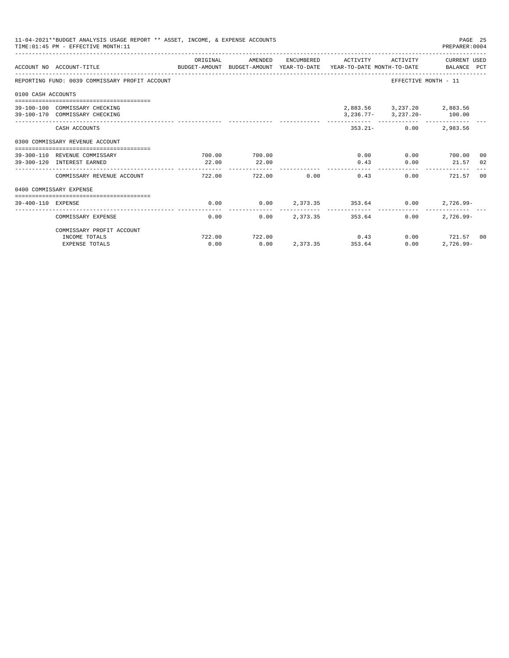| 11-04-2021**BUDGET ANALYSIS USAGE REPORT ** ASSET, INCOME, & EXPENSE ACCOUNTS<br>PAGE 25<br>PREPARER: 0004<br>TIME: 01:45 PM - EFFECTIVE MONTH: 11 |                                                                                                             |                 |                 |                        |                     |                                                                                              |                                    |  |  |
|----------------------------------------------------------------------------------------------------------------------------------------------------|-------------------------------------------------------------------------------------------------------------|-----------------|-----------------|------------------------|---------------------|----------------------------------------------------------------------------------------------|------------------------------------|--|--|
|                                                                                                                                                    | ACCOUNT NO ACCOUNT-TITLE<br>BUDGET-AMOUNT BUDGET-AMOUNT YEAR-TO-DATE YEAR-TO-DATE MONTH-TO-DATE BALANCE PCT | ORIGINAL        | AMENDED         |                        | ENCUMBERED ACTIVITY |                                                                                              | ACTIVITY CURRENT USED              |  |  |
|                                                                                                                                                    | REPORTING FUND: 0039 COMMISSARY PROFIT ACCOUNT                                                              |                 |                 |                        |                     | EFFECTIVE MONTH - 11                                                                         |                                    |  |  |
| 0100 CASH ACCOUNTS                                                                                                                                 |                                                                                                             |                 |                 |                        |                     |                                                                                              |                                    |  |  |
|                                                                                                                                                    | 39-100-100 COMMISSARY CHECKING<br>39-100-170 COMMISSARY CHECKING                                            |                 |                 |                        |                     | 2,883.56 3,237.20 2,883.56<br>$3,236.77 - 3,237.20 - 100.00$<br>------------- -------------- |                                    |  |  |
|                                                                                                                                                    | CASH ACCOUNTS                                                                                               |                 |                 |                        |                     | $353.21 - 0.00$                                                                              | 2,983.56                           |  |  |
|                                                                                                                                                    | 0300 COMMISSARY REVENUE ACCOUNT                                                                             |                 |                 |                        |                     |                                                                                              |                                    |  |  |
|                                                                                                                                                    | 39-300-110 REVENUE COMMISSARY<br>39-300-120 INTEREST EARNED                                                 | 700.00<br>22.00 | 700.00<br>22.00 |                        | 0.43                | $0.00$ $0.00$ $700.00$ 00<br>0.00                                                            | 21.57 02                           |  |  |
|                                                                                                                                                    | COMMISSARY REVENUE ACCOUNT                                                                                  | 722.00          | 722.00          | 0.00                   | . <u>.</u>          | 0.00<br>0.43                                                                                 | 721.57 00                          |  |  |
|                                                                                                                                                    | 0400 COMMISSARY EXPENSE                                                                                     |                 |                 |                        |                     |                                                                                              |                                    |  |  |
| 39-400-110 EXPENSE                                                                                                                                 |                                                                                                             | 0.00            |                 |                        |                     | $0.00$ $2,373.35$ $353.64$ $0.00$                                                            | $2,726.99 -$                       |  |  |
|                                                                                                                                                    | COMMISSARY EXPENSE                                                                                          | 0.00            |                 | $0.00$ 2.373.35 353.64 |                     | $0.00 -$                                                                                     | $2.726.99 -$                       |  |  |
|                                                                                                                                                    | COMMISSARY PROFIT ACCOUNT                                                                                   |                 |                 |                        |                     |                                                                                              |                                    |  |  |
|                                                                                                                                                    | INCOME TOTALS<br><b>EXPENSE TOTALS</b>                                                                      | 722.00<br>0.00  | 722.00<br>0.00  | 2,373.35 353.64        | 0.43                | 0.00                                                                                         | $0.00$ $721.57$ 00<br>$2,726.99 -$ |  |  |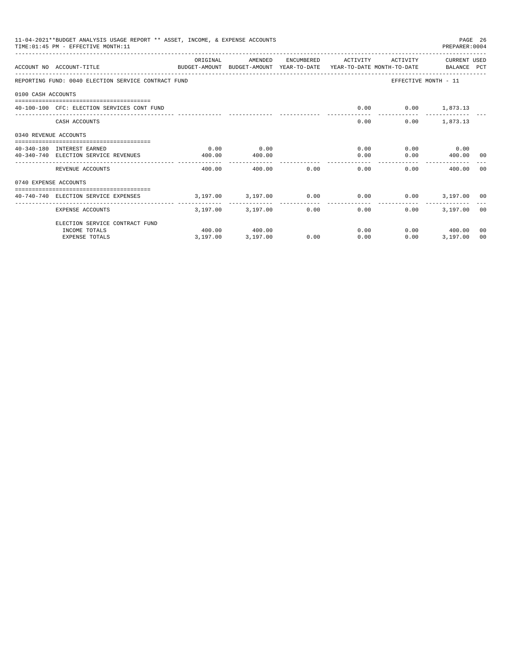|                       | 11-04-2021**BUDGET ANALYSIS USAGE REPORT ** ASSET, INCOME, & EXPENSE ACCOUNTS<br>PAGE 26<br>TIME: 01:45 PM - EFFECTIVE MONTH: 11<br>PREPARER: 0004<br>ENCUMBERED ACTIVITY<br>ACTIVITY CURRENT USED |                              |                                   |                |                                   |                             |                      |    |  |  |
|-----------------------|----------------------------------------------------------------------------------------------------------------------------------------------------------------------------------------------------|------------------------------|-----------------------------------|----------------|-----------------------------------|-----------------------------|----------------------|----|--|--|
|                       | ACCOUNT NO ACCOUNT-TITLE<br>BUDGET-AMOUNT BUDGET-AMOUNT YEAR-TO-DATE YEAR-TO-DATE MONTH-TO-DATE BALANCE PCT                                                                                        | ORIGINAL                     | AMENDED                           |                |                                   |                             |                      |    |  |  |
|                       | REPORTING FUND: 0040 ELECTION SERVICE CONTRACT FUND                                                                                                                                                |                              |                                   |                |                                   |                             | EFFECTIVE MONTH - 11 |    |  |  |
| 0100 CASH ACCOUNTS    |                                                                                                                                                                                                    |                              |                                   |                |                                   |                             |                      |    |  |  |
|                       | 40-100-100 CFC: ELECTION SERVICES CONT FUND                                                                                                                                                        |                              |                                   |                |                                   | $0.00$ $0.00$ $1,873.13$    |                      |    |  |  |
|                       | CASH ACCOUNTS                                                                                                                                                                                      |                              |                                   |                | 0.00                              |                             | $0.00$ 1,873.13      |    |  |  |
| 0340 REVENUE ACCOUNTS |                                                                                                                                                                                                    |                              |                                   |                |                                   |                             |                      |    |  |  |
|                       | 40-340-180 INTEREST EARNED                                                                                                                                                                         | 0.00                         | 0.00                              |                |                                   | 0.00                        | $0.00$ 0.00          |    |  |  |
|                       | 40-340-740 ELECTION SERVICE REVENUES                                                                                                                                                               | 400.00                       | 400.00                            |                | 0.00                              |                             | $0.00$ 400.00 00     |    |  |  |
|                       | REVENUE ACCOUNTS                                                                                                                                                                                   | 400.00                       |                                   | 0.00<br>400.00 | 0.00                              |                             | 0.00<br>400.00 00    |    |  |  |
| 0740 EXPENSE ACCOUNTS |                                                                                                                                                                                                    |                              |                                   |                |                                   |                             |                      |    |  |  |
|                       | 40-740-740 ELECTION SERVICE EXPENSES                                                                                                                                                               | $3,197,00$ $3,197,00$ $0.00$ |                                   |                |                                   | $0.00$ $0.00$ $3,197.00$ 00 |                      |    |  |  |
|                       | EXPENSE ACCOUNTS                                                                                                                                                                                   | ---------                    | ------------<br>3,197.00 3,197.00 |                | ------------<br>$0.00$ and $0.00$ | 0.00<br>0.00                | 3,197.00 00          |    |  |  |
|                       | ELECTION SERVICE CONTRACT FUND                                                                                                                                                                     |                              |                                   |                |                                   |                             |                      |    |  |  |
|                       | INCOME TOTALS                                                                                                                                                                                      |                              | 400.00 400.00                     |                |                                   | 0.00                        | $0.00$ 400.00        | 00 |  |  |
|                       | <b>EXPENSE TOTALS</b>                                                                                                                                                                              | 3,197.00                     | 3,197.00                          | 0.00           | 0.00                              | 0.00                        | 3,197.00             | 00 |  |  |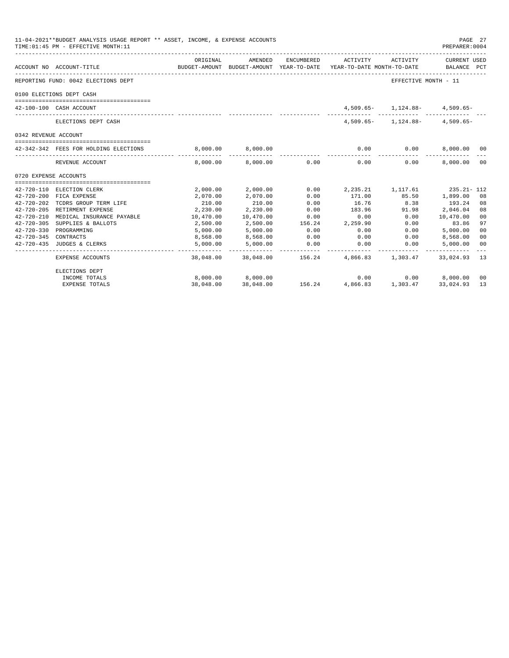| 11-04-2021**BUDGET ANALYSIS USAGE REPORT ** ASSET, INCOME, & EXPENSE ACCOUNTS<br>PAGE 27<br>TIME: 01:45 PM - EFFECTIVE MONTH: 11<br>PREPARER:0004<br>ORIGINAL<br>AMENDED<br>ENCUMBERED<br>ACTIVITY ACTIVITY<br>CURRENT USED<br>BUDGET-AMOUNT BUDGET-AMOUNT YEAR-TO-DATE YEAR-TO-DATE MONTH-TO-DATE BALANCE PCT<br>ACCOUNT NO ACCOUNT-TITLE |                                                      |                    |                      |                 |                                                     |                                    |                            |                |
|--------------------------------------------------------------------------------------------------------------------------------------------------------------------------------------------------------------------------------------------------------------------------------------------------------------------------------------------|------------------------------------------------------|--------------------|----------------------|-----------------|-----------------------------------------------------|------------------------------------|----------------------------|----------------|
|                                                                                                                                                                                                                                                                                                                                            |                                                      |                    |                      |                 |                                                     |                                    |                            |                |
|                                                                                                                                                                                                                                                                                                                                            | REPORTING FUND: 0042 ELECTIONS DEPT                  |                    |                      |                 |                                                     | EFFECTIVE MONTH - 11               |                            |                |
|                                                                                                                                                                                                                                                                                                                                            | 0100 ELECTIONS DEPT CASH                             |                    |                      |                 |                                                     |                                    |                            |                |
|                                                                                                                                                                                                                                                                                                                                            | 42-100-100 CASH ACCOUNT                              |                    |                      |                 |                                                     | $4,509.65 - 1,124.88 - 4,509.65 -$ |                            |                |
|                                                                                                                                                                                                                                                                                                                                            | ELECTIONS DEPT CASH                                  |                    |                      |                 |                                                     | $4,509.65 - 1,124.88 - 4,509.65 -$ |                            |                |
| 0342 REVENUE ACCOUNT                                                                                                                                                                                                                                                                                                                       |                                                      |                    |                      |                 |                                                     |                                    |                            |                |
|                                                                                                                                                                                                                                                                                                                                            | 42-342-342 FEES FOR HOLDING ELECTIONS                |                    | 8,000.00 8,000.00    |                 |                                                     | $0.00$ $0.00$ $8,000.00$           |                            | 00             |
|                                                                                                                                                                                                                                                                                                                                            | REVENUE ACCOUNT                                      |                    |                      |                 | ___________<br>8,000.00 8,000.00 0.00 0.00          | ------------<br>0.00               | --------------<br>8,000.00 | 00             |
| 0720 EXPENSE ACCOUNTS                                                                                                                                                                                                                                                                                                                      |                                                      |                    |                      |                 |                                                     |                                    |                            |                |
|                                                                                                                                                                                                                                                                                                                                            |                                                      |                    |                      | 0.00            |                                                     |                                    |                            |                |
|                                                                                                                                                                                                                                                                                                                                            | 42-720-110 ELECTION CLERK<br>42-720-200 FICA EXPENSE | 2,000.00           | 2,000.00<br>2,070.00 |                 | 2, 235. 21 1, 117. 61 235. 21 - 112<br>171.00 85.50 |                                    | 1,899.00                   |                |
| $42 - 720 - 202$                                                                                                                                                                                                                                                                                                                           | TCDRS GROUP TERM LIFE                                | 2,070.00<br>210.00 | 210.00               | 0.00<br>0.00    | 16.76                                               | 8.38                               | 193.24                     | 08             |
| $42 - 720 - 205$                                                                                                                                                                                                                                                                                                                           | RETIRMENT EXPENSE                                    | 2,230.00           | 2,230.00             | 0.00            | 183.96                                              | 91.98                              | 2,046.04                   | 08<br>08       |
| $42 - 720 - 210$                                                                                                                                                                                                                                                                                                                           | MEDICAL INSURANCE PAYABLE                            | 10,470.00          | 10,470.00            | 0.00            | 0.00                                                | 0.00                               | 10,470.00                  | 00             |
| $42 - 720 - 305$                                                                                                                                                                                                                                                                                                                           | SUPPLIES & BALLOTS                                   | 2,500.00           | 2,500.00             |                 | 156.24 2,259.90                                     | 0.00                               | 83.86                      | 97             |
|                                                                                                                                                                                                                                                                                                                                            | 42-720-330 PROGRAMMING                               | 5,000.00           | 5,000.00             | 0.00            | 0.00                                                | 0.00                               | 5,000.00                   | 0 <sub>0</sub> |
| 42-720-345 CONTRACTS                                                                                                                                                                                                                                                                                                                       |                                                      | 8,568.00           | 8,568.00             | 0.00            | 0.00                                                | 0.00                               | 8,568.00                   | 0 <sup>0</sup> |
|                                                                                                                                                                                                                                                                                                                                            | 42-720-435 JUDGES & CLERKS                           | 5,000.00           | 5,000.00             | 0.00            | 0.00                                                | 0.00                               | 5,000.00                   | 0 <sub>0</sub> |
|                                                                                                                                                                                                                                                                                                                                            | EXPENSE ACCOUNTS                                     | .                  | ____________         | --------------- | .<br>38,048.00 38,048.00 156.24 4,866.83 1,303.47   |                                    | 33,024.93                  | 13             |
|                                                                                                                                                                                                                                                                                                                                            | ELECTIONS DEPT                                       |                    |                      |                 |                                                     |                                    |                            |                |
|                                                                                                                                                                                                                                                                                                                                            | INCOME TOTALS                                        |                    | 8,000.00 8,000.00    | 156.24          | 0.00                                                |                                    | $0.00$ $8,000.00$          | 00             |
|                                                                                                                                                                                                                                                                                                                                            | <b>EXPENSE TOTALS</b>                                | 38,048.00          | 38,048,00            |                 | 4,866.83                                            | 1,303.47                           | 33,024.93                  | 13             |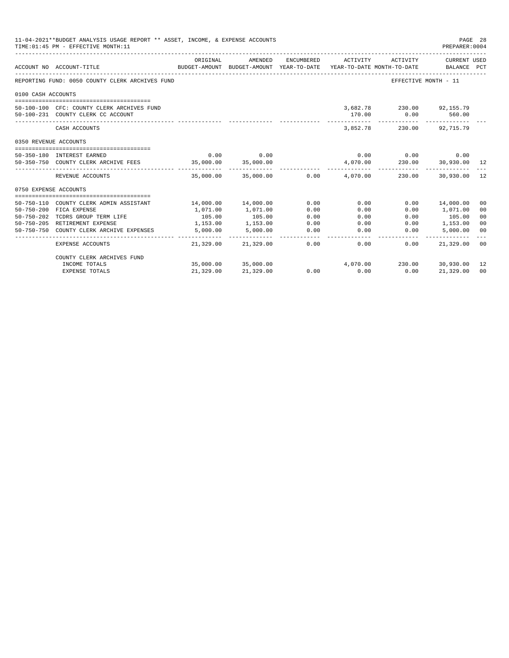| 11-04-2021**BUDGET ANALYSIS USAGE REPORT ** ASSET, INCOME, & EXPENSE ACCOUNTS<br>PAGE 28<br>TIME: 01:45 PM - EFFECTIVE MONTH: 11<br>PREPARER: 0004 |                                                                                  |                       |                                                                                |            |                       |                                                    |                                    |                      |
|----------------------------------------------------------------------------------------------------------------------------------------------------|----------------------------------------------------------------------------------|-----------------------|--------------------------------------------------------------------------------|------------|-----------------------|----------------------------------------------------|------------------------------------|----------------------|
|                                                                                                                                                    | ACCOUNT NO ACCOUNT-TITLE                                                         | ORIGINAL              | AMENDED<br>BUDGET-AMOUNT BUDGET-AMOUNT YEAR-TO-DATE YEAR-TO-DATE MONTH-TO-DATE | ENCUMBERED | ACTIVITY              | ACTIVITY                                           | <b>CURRENT USED</b><br>BALANCE PCT |                      |
|                                                                                                                                                    | REPORTING FUND: 0050 COUNTY CLERK ARCHIVES FUND                                  |                       |                                                                                |            |                       |                                                    | EFFECTIVE MONTH - 11               |                      |
| 0100 CASH ACCOUNTS                                                                                                                                 |                                                                                  |                       |                                                                                |            |                       |                                                    |                                    |                      |
|                                                                                                                                                    | 50-100-100 CFC: COUNTY CLERK ARCHIVES FUND<br>50-100-231 COUNTY CLERK CC ACCOUNT |                       |                                                                                |            | 170.00<br>----------- | 3,682.78 230.00 92,155.79<br>0.00<br>------------- | 560.00                             |                      |
|                                                                                                                                                    | CASH ACCOUNTS                                                                    |                       |                                                                                |            | 3,852,78              |                                                    | 230.00 92.715.79                   |                      |
| 0350 REVENUE ACCOUNTS                                                                                                                              |                                                                                  |                       |                                                                                |            |                       |                                                    |                                    |                      |
|                                                                                                                                                    | 50-350-180 INTEREST EARNED                                                       | 0.00                  | 0.00                                                                           |            |                       | 0.00 0.00                                          | 0.00                               |                      |
|                                                                                                                                                    | 50-350-750 COUNTY CLERK ARCHIVE FEES                                             | 35,000.00             | 35,000.00                                                                      |            |                       | $4,070.00$ $230.00$ $30,930.00$ $12$               |                                    |                      |
|                                                                                                                                                    | REVENUE ACCOUNTS                                                                 |                       | --------------<br>35,000.00 35,000.00 0.00                                     |            | 4,070.00              | _______________________________<br>230.00          | 30,930.00                          | 12                   |
| 0750 EXPENSE ACCOUNTS                                                                                                                              |                                                                                  |                       |                                                                                |            |                       |                                                    |                                    |                      |
| $50 - 750 - 110$                                                                                                                                   |                                                                                  |                       |                                                                                | 0.00       |                       | 0.00                                               |                                    |                      |
| $50 - 750 - 200$                                                                                                                                   | COUNTY CLERK ADMIN ASSISTANT<br>FICA EXPENSE                                     | 14,000.00<br>1,071.00 | 14,000.00<br>1,071.00                                                          | 0.00       | 0.00<br>0.00          | 0.00                                               | 14,000.00<br>1,071.00              | 00<br>0 <sup>0</sup> |
| $50 - 750 - 202$                                                                                                                                   | TCDRS GROUP TERM LIFE                                                            | 105.00                | 105.00                                                                         | 0.00       | 0.00                  | 0.00                                               | 105.00                             | 00                   |
|                                                                                                                                                    | 50-750-205 RETIREMENT EXPENSE                                                    | 1,153.00              | 1,153.00                                                                       | 0.00       | 0.00                  | 0.00                                               | 1,153.00                           | 0 <sup>0</sup>       |
| $50 - 750 - 750$                                                                                                                                   | COUNTY CLERK ARCHIVE EXPENSES                                                    | 5,000.00              | 5,000.00                                                                       | 0.00       | 0.00                  | 0.00                                               | 5.000.00                           | 0 <sup>0</sup>       |
|                                                                                                                                                    | EXPENSE ACCOUNTS                                                                 | 21,329.00             | 21,329.00                                                                      | 0.00       | 0.00                  | 0.00                                               | 21,329.00                          | 0 <sup>0</sup>       |
|                                                                                                                                                    | COUNTY CLERK ARCHIVES FUND                                                       |                       |                                                                                |            |                       |                                                    |                                    |                      |
|                                                                                                                                                    | INCOME TOTALS                                                                    |                       | 35,000.00 35,000.00                                                            |            |                       | 4,070.00 230.00 30,930.00                          |                                    | 12                   |
|                                                                                                                                                    | <b>EXPENSE TOTALS</b>                                                            | 21,329.00             | 21,329.00                                                                      | 0.00       | 0.00                  | 0.00                                               | 21,329.00                          | 0 <sup>0</sup>       |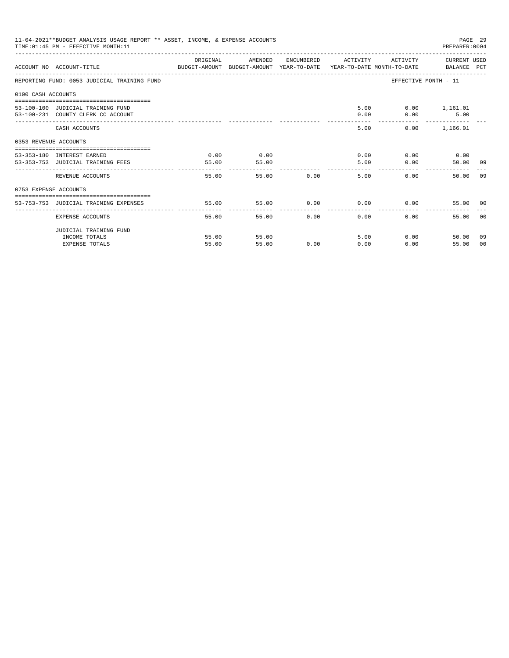| 11-04-2021**BUDGET ANALYSIS USAGE REPORT ** ASSET, INCOME, & EXPENSE ACCOUNTS<br>PAGE 29<br>TIME: 01:45 PM - EFFECTIVE MONTH: 11<br>PREPARER: 0004 |                                                                                                                   |          |                |               |                                                  |                        |                                  |                |  |
|----------------------------------------------------------------------------------------------------------------------------------------------------|-------------------------------------------------------------------------------------------------------------------|----------|----------------|---------------|--------------------------------------------------|------------------------|----------------------------------|----------------|--|
|                                                                                                                                                    | ACCOUNT NO ACCOUNT-TITLE CONTROL PROTECT-AMOUNT BUDGET-AMOUNT YEAR-TO-DATE YEAR-TO-DATE MONTH-TO-DATE BALANCE PCT | ORIGINAL | AMENDED        |               | ENCUMBERED ACTIVITY                              | ACTIVITY CURRENT USED  |                                  |                |  |
|                                                                                                                                                    | REPORTING FUND: 0053 JUDICIAL TRAINING FUND                                                                       |          |                |               |                                                  | EFFECTIVE MONTH - 11   |                                  |                |  |
| 0100 CASH ACCOUNTS                                                                                                                                 |                                                                                                                   |          |                |               |                                                  |                        |                                  |                |  |
|                                                                                                                                                    | 53-100-100 JUDICIAL TRAINING FUND                                                                                 |          |                |               |                                                  | 5.00   0.00   1,161.01 |                                  |                |  |
|                                                                                                                                                    | 53-100-231 COUNTY CLERK CC ACCOUNT                                                                                |          |                |               | 0.00                                             | 0.00                   | 5.00                             |                |  |
|                                                                                                                                                    | CASH ACCOUNTS                                                                                                     |          |                |               | 5.00                                             |                        | -------------<br>$0.00$ 1,166.01 |                |  |
| 0353 REVENUE ACCOUNTS                                                                                                                              |                                                                                                                   |          |                |               |                                                  |                        |                                  |                |  |
|                                                                                                                                                    | 53-353-180 INTEREST EARNED                                                                                        | 0.00     | 0.00           |               |                                                  | $0.00$ $0.00$ $0.00$   |                                  |                |  |
|                                                                                                                                                    | 53-353-753 JUDICIAL TRAINING FEES                                                                                 | 55.00    | 55.00          |               | 5.00                                             | 0.00                   | 50.00 09                         |                |  |
|                                                                                                                                                    | REVENUE ACCOUNTS                                                                                                  | 55.00    | ------ ------- | 55.00         | ________________________________<br>0.00<br>5.00 | 0.00                   | 50.00 09                         |                |  |
| 0753 EXPENSE ACCOUNTS                                                                                                                              |                                                                                                                   |          |                |               |                                                  |                        |                                  |                |  |
|                                                                                                                                                    | 53-753-753 JUDICIAL TRAINING EXPENSES                                                                             | 55.00    | 55.00          |               | $0.00$ $0.00$ $0.00$ $0.00$                      |                        | 55.00 00                         |                |  |
|                                                                                                                                                    |                                                                                                                   |          |                |               |                                                  |                        |                                  |                |  |
|                                                                                                                                                    | EXPENSE ACCOUNTS                                                                                                  | 55.00    |                | 0.00<br>55.00 | 0.00                                             | 0.00                   | 55.00                            | 0 <sub>0</sub> |  |
|                                                                                                                                                    | JUDICIAL TRAINING FUND                                                                                            |          |                |               |                                                  |                        |                                  |                |  |
|                                                                                                                                                    | INCOME TOTALS                                                                                                     | 55.00    | 55.00          |               | 5.00                                             | 0.00                   | 50.00                            | 09             |  |
|                                                                                                                                                    | <b>EXPENSE TOTALS</b>                                                                                             | 55.00    | 55.00          | 0.00          | 0.00                                             | 0.00                   | 55.00                            | - 0.0          |  |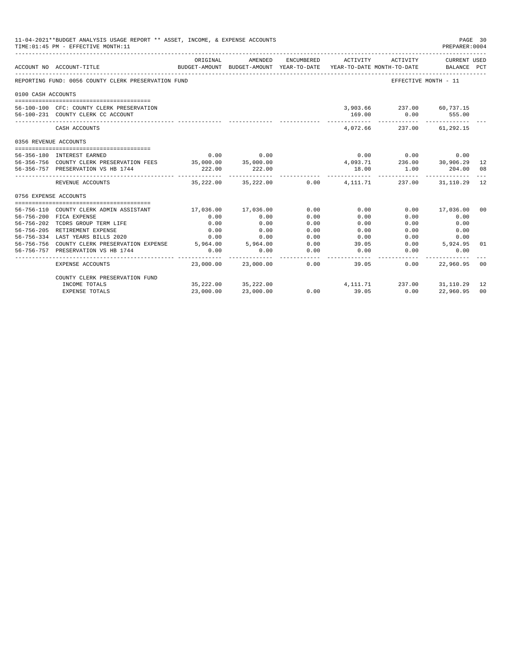|                       | 11-04-2021**BUDGET ANALYSIS USAGE REPORT ** ASSET, INCOME, & EXPENSE ACCOUNTS<br>PAGE 30<br>TIME: 01:45 PM - EFFECTIVE MONTH: 11<br>PREPARER: 0004 |                     |                                                                                |            |          |                                                                                                                                          |                             |                |  |
|-----------------------|----------------------------------------------------------------------------------------------------------------------------------------------------|---------------------|--------------------------------------------------------------------------------|------------|----------|------------------------------------------------------------------------------------------------------------------------------------------|-----------------------------|----------------|--|
|                       | ACCOUNT NO ACCOUNT-TITLE                                                                                                                           | ORIGINAL            | AMENDED<br>BUDGET-AMOUNT BUDGET-AMOUNT YEAR-TO-DATE YEAR-TO-DATE MONTH-TO-DATE | ENCUMBERED | ACTIVITY | ACTIVITY                                                                                                                                 | CURRENT USED<br>BALANCE PCT |                |  |
|                       | REPORTING FUND: 0056 COUNTY CLERK PRESERVATION FUND                                                                                                |                     |                                                                                |            |          |                                                                                                                                          | EFFECTIVE MONTH - 11        |                |  |
| 0100 CASH ACCOUNTS    |                                                                                                                                                    |                     |                                                                                |            |          |                                                                                                                                          |                             |                |  |
|                       | 56-100-100 CFC: COUNTY CLERK PRESERVATION<br>56-100-231 COUNTY CLERK CC ACCOUNT                                                                    |                     |                                                                                |            | 169.00   | 3,903.66 237.00 60,737.15                                                                                                                | $0.00$ 555.00               |                |  |
|                       | CASH ACCOUNTS                                                                                                                                      |                     |                                                                                |            |          | 4.072.66 237.00 61.292.15                                                                                                                |                             |                |  |
| 0356 REVENUE ACCOUNTS |                                                                                                                                                    |                     |                                                                                |            |          |                                                                                                                                          |                             |                |  |
|                       |                                                                                                                                                    |                     |                                                                                |            |          |                                                                                                                                          |                             |                |  |
|                       | 56-356-180 INTEREST EARNED                                                                                                                         | 0.00                | 0.00                                                                           |            |          | $\begin{array}{cccc} & 0.00 & & 0.00 & & 0.00 \\ 4,093.71 & & 236.00 & & 30,906.29 & 12 \\ & 18.00 & & 1.00 & & 204.00 & 08 \end{array}$ |                             |                |  |
|                       | 56-356-756 COUNTY CLERK PRESERVATION FEES 35,000.00 35,000.00                                                                                      |                     |                                                                                |            |          |                                                                                                                                          |                             |                |  |
|                       | 56-356-757 PRESERVATION VS HB 1744                                                                                                                 | 222.00              | 222.00                                                                         |            |          |                                                                                                                                          | 204.00 08                   |                |  |
|                       | REVENUE ACCOUNTS                                                                                                                                   |                     | $35.222.00$ $35.222.00$ $0.00$ $4.111.71$ $237.00$ $31.110.29$ 12              |            |          |                                                                                                                                          |                             |                |  |
| 0756 EXPENSE ACCOUNTS |                                                                                                                                                    |                     |                                                                                |            |          |                                                                                                                                          |                             |                |  |
|                       |                                                                                                                                                    |                     |                                                                                |            |          |                                                                                                                                          |                             |                |  |
|                       | 56-756-110 COUNTY CLERK ADMIN ASSISTANT                                                                                                            | 17,036.00 17,036.00 |                                                                                | 0.00       | 0.00     |                                                                                                                                          | $0.00$ 17,036.00            | - 0.0          |  |
|                       | 56-756-200 FICA EXPENSE                                                                                                                            | 0.00                | 0.00                                                                           | 0.00       | 0.00     | 0.00                                                                                                                                     | 0.00                        |                |  |
|                       | 56-756-202 TCDRS GROUP TERM LIFE                                                                                                                   | 0.00                | 0.00                                                                           | 0.00       | 0.00     | 0.00                                                                                                                                     | 0.00                        |                |  |
|                       | 56-756-205 RETIREMENT EXPENSE                                                                                                                      | 0.00                | 0.00                                                                           | 0.00       | 0.00     | 0.00                                                                                                                                     | 0.00                        |                |  |
|                       | 56-756-334 LAST YEARS BILLS 2020                                                                                                                   | 0.00                | 0.00                                                                           | 0.00       | 0.00     | 0.00                                                                                                                                     | 0.00                        |                |  |
|                       | 56-756-756 COUNTY CLERK PRESERVATION EXPENSE 5,964.00 5,964.00                                                                                     |                     |                                                                                | 0.00       | 39.05    | 0.00                                                                                                                                     | 5,924.95                    | 01             |  |
|                       | 56-756-757 PRESERVATION VS HB 1744                                                                                                                 | 0.00                | 0.00                                                                           | 0.00       | 0.00     | 0.00                                                                                                                                     | 0.00                        |                |  |
|                       | EXPENSE ACCOUNTS                                                                                                                                   |                     | $23,000.00$ $23,000.00$ 0.00                                                   |            | 39.05    | 0.00                                                                                                                                     | 22,960.95                   | -00            |  |
|                       | COUNTY CLERK PRESERVATION FUND                                                                                                                     |                     |                                                                                |            |          |                                                                                                                                          |                             |                |  |
|                       | INCOME TOTALS                                                                                                                                      |                     | 35,222.00 35,222.00                                                            |            |          | $4, 111.71$ $237.00$ $31, 110.29$ 12                                                                                                     |                             |                |  |
|                       | <b>EXPENSE TOTALS</b>                                                                                                                              | 23,000.00           | 23,000.00                                                                      | 0.00       | 39.05    | 0.00                                                                                                                                     | 22,960.95                   | 0 <sup>0</sup> |  |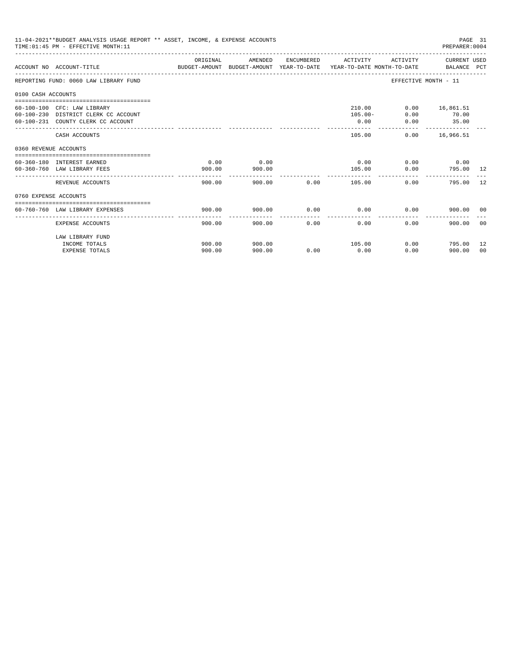| 11-04-2021**BUDGET ANALYSIS USAGE REPORT ** ASSET, INCOME, & EXPENSE ACCOUNTS<br>PAGE 31<br>TIME: 01:45 PM - EFFECTIVE MONTH: 11<br>PREPARER: 0004 |                                                                                                                        |                  |                  |                |                              |                      |                                           |          |
|----------------------------------------------------------------------------------------------------------------------------------------------------|------------------------------------------------------------------------------------------------------------------------|------------------|------------------|----------------|------------------------------|----------------------|-------------------------------------------|----------|
|                                                                                                                                                    | ACCOUNT NO ACCOUNT-TITLE CONTROL PORT ANOUNT BUDGET-AMOUNT AND THE TEAR-TO-DATE TEAR-TO-DATE MONTH-TO-DATE BALANCE PCT | ORIGINAL         | AMENDED          |                | ENCUMBERED ACTIVITY          |                      | ACTIVITY CURRENT USED                     |          |
|                                                                                                                                                    | REPORTING FUND: 0060 LAW LIBRARY FUND                                                                                  |                  |                  |                |                              | EFFECTIVE MONTH - 11 |                                           |          |
| 0100 CASH ACCOUNTS                                                                                                                                 |                                                                                                                        |                  |                  |                |                              |                      |                                           |          |
|                                                                                                                                                    | 60-100-100 CFC: LAW LIBRARY<br>60-100-230 DISTRICT CLERK CC ACCOUNT<br>60-100-231 COUNTY CLERK CC ACCOUNT              |                  |                  |                | 210.00<br>$105.00 -$<br>0.00 | 0.00                 | $0.00$ 16,861.51<br>$0.00$ 70.00<br>35.00 |          |
|                                                                                                                                                    | CASH ACCOUNTS                                                                                                          |                  |                  |                | 105.00                       |                      | ------------<br>$0.00$ 16,966.51          |          |
| 0360 REVENUE ACCOUNTS                                                                                                                              |                                                                                                                        |                  |                  |                |                              |                      |                                           |          |
|                                                                                                                                                    | 60-360-180 INTEREST EARNED<br>60-360-760 LAW LIBRARY FEES                                                              | 0.00<br>900.00   | 0.00<br>900.00   |                | 0.00<br>105.00               | 0.00                 | $0.00$ 0.00<br>795.00 12                  |          |
|                                                                                                                                                    | REVENUE ACCOUNTS                                                                                                       | 900.00           |                  | 900.00 0.00    | ----------<br>105.00         | 0.00                 | 795.00                                    | 12       |
| 0760 EXPENSE ACCOUNTS                                                                                                                              |                                                                                                                        |                  |                  |                |                              |                      |                                           |          |
|                                                                                                                                                    | 60-760-760 LAW LIBRARY EXPENSES                                                                                        | 900.00           | 900.00           | 0.00           | 0.00                         | 0.00                 | 900.00 00                                 |          |
|                                                                                                                                                    | EXPENSE ACCOUNTS                                                                                                       | 900.00           |                  | 900.00<br>0.00 | 0.00                         | 0.00                 | 900.00                                    | - 0.0    |
|                                                                                                                                                    | LAW LIBRARY FUND<br>INCOME TOTALS<br><b>EXPENSE TOTALS</b>                                                             | 900.00<br>900.00 | 900.00<br>900.00 | 0.00           | 105.00<br>0.00               | 0.00                 | $0.00$ 795.00<br>900.00                   | 12<br>00 |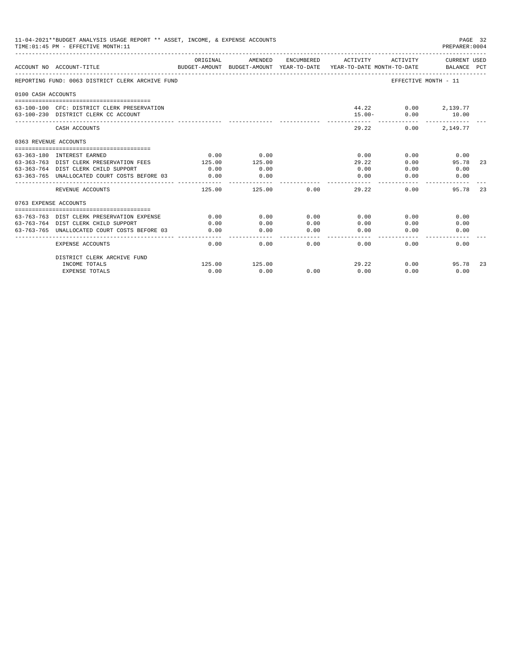|                       | 11-04-2021**BUDGET ANALYSIS USAGE REPORT ** ASSET, INCOME, & EXPENSE ACCOUNTS<br>TIME: 01:45 PM - EFFECTIVE MONTH: 11 |                |                    |                                                                                                                                                                                                                                                                                                                                                                                                      |                                                                                 |                                            | PAGE 32<br>PREPARER: 0004   |     |
|-----------------------|-----------------------------------------------------------------------------------------------------------------------|----------------|--------------------|------------------------------------------------------------------------------------------------------------------------------------------------------------------------------------------------------------------------------------------------------------------------------------------------------------------------------------------------------------------------------------------------------|---------------------------------------------------------------------------------|--------------------------------------------|-----------------------------|-----|
|                       | ACCOUNT NO ACCOUNT-TITLE                                                                                              | ORIGINAL       | AMENDED            | ENCUMBERED                                                                                                                                                                                                                                                                                                                                                                                           | ACTIVITY<br>BUDGET-AMOUNT BUDGET-AMOUNT YEAR-TO-DATE YEAR-TO-DATE MONTH-TO-DATE | ACTIVITY                                   | CURRENT USED<br>BALANCE PCT |     |
|                       | REPORTING FUND: 0063 DISTRICT CLERK ARCHIVE FUND                                                                      |                |                    |                                                                                                                                                                                                                                                                                                                                                                                                      |                                                                                 | EFFECTIVE MONTH - 11                       |                             |     |
| 0100 CASH ACCOUNTS    |                                                                                                                       |                |                    |                                                                                                                                                                                                                                                                                                                                                                                                      |                                                                                 |                                            |                             |     |
|                       | 63-100-100 CFC: DISTRICT CLERK PRESERVATION<br>63-100-230 DISTRICT CLERK CC ACCOUNT                                   |                |                    |                                                                                                                                                                                                                                                                                                                                                                                                      | $15.00 -$                                                                       | 44.22 0.00 2,139.77<br>0.00<br>----------- | 10.00<br>-------------      |     |
|                       | CASH ACCOUNTS                                                                                                         |                |                    |                                                                                                                                                                                                                                                                                                                                                                                                      | 29.22                                                                           | 0.00                                       | 2,149.77                    |     |
| 0363 REVENUE ACCOUNTS |                                                                                                                       |                |                    |                                                                                                                                                                                                                                                                                                                                                                                                      |                                                                                 |                                            |                             |     |
|                       |                                                                                                                       |                |                    |                                                                                                                                                                                                                                                                                                                                                                                                      |                                                                                 |                                            |                             |     |
|                       | 63-363-180 INTEREST EARNED                                                                                            | 0.00<br>125.00 | 0.00<br>125.00     |                                                                                                                                                                                                                                                                                                                                                                                                      | 0.00                                                                            | 0.00                                       | 0.00                        |     |
|                       | 63-363-763 DIST CLERK PRESERVATION FEES<br>63-363-764 DIST CLERK CHILD SUPPORT                                        | 0.00           | 0.00               |                                                                                                                                                                                                                                                                                                                                                                                                      | 29.22<br>0.00                                                                   | 0.00<br>0.00                               | 95.78<br>0.00               | 23  |
|                       |                                                                                                                       |                |                    |                                                                                                                                                                                                                                                                                                                                                                                                      |                                                                                 |                                            |                             |     |
|                       | 63-363-765 UNALLOCATED COURT COSTS BEFORE 03                                                                          | 0.00           | 0.00<br>---------- |                                                                                                                                                                                                                                                                                                                                                                                                      | 0.00<br>$\frac{1}{2}$                                                           | 0.00                                       | 0.00                        |     |
|                       | REVENUE ACCOUNTS                                                                                                      | 125.00         | 125.00             | 0.00                                                                                                                                                                                                                                                                                                                                                                                                 | 29.22                                                                           | 0.00                                       | 95.78                       | 23  |
| 0763 EXPENSE ACCOUNTS |                                                                                                                       |                |                    |                                                                                                                                                                                                                                                                                                                                                                                                      |                                                                                 |                                            |                             |     |
|                       |                                                                                                                       |                |                    |                                                                                                                                                                                                                                                                                                                                                                                                      |                                                                                 |                                            |                             |     |
|                       | 63-763-763 DIST CLERK PRESERVATION EXPENSE                                                                            | 0.00           | 0.00               | 0.00                                                                                                                                                                                                                                                                                                                                                                                                 | 0.00                                                                            | 0.00                                       | 0.00                        |     |
|                       | 63-763-764 DIST CLERK CHILD SUPPORT                                                                                   | 0.00           | 0.00               | 0.00                                                                                                                                                                                                                                                                                                                                                                                                 | 0.00                                                                            | 0.00                                       | 0.00                        |     |
|                       | 63-763-765 UNALLOCATED COURT COSTS BEFORE 03                                                                          | 0.00           | 0.00<br>.          | 0.00<br>$\frac{1}{2} \frac{1}{2} \frac{1}{2} \frac{1}{2} \frac{1}{2} \frac{1}{2} \frac{1}{2} \frac{1}{2} \frac{1}{2} \frac{1}{2} \frac{1}{2} \frac{1}{2} \frac{1}{2} \frac{1}{2} \frac{1}{2} \frac{1}{2} \frac{1}{2} \frac{1}{2} \frac{1}{2} \frac{1}{2} \frac{1}{2} \frac{1}{2} \frac{1}{2} \frac{1}{2} \frac{1}{2} \frac{1}{2} \frac{1}{2} \frac{1}{2} \frac{1}{2} \frac{1}{2} \frac{1}{2} \frac{$ | 0.00<br>-------                                                                 | 0.00                                       | 0.00                        |     |
|                       | <b>EXPENSE ACCOUNTS</b>                                                                                               | 0.00           | 0.00               | 0.00                                                                                                                                                                                                                                                                                                                                                                                                 | 0.00                                                                            | 0.00                                       | 0.00                        |     |
|                       | DISTRICT CLERK ARCHIVE FUND                                                                                           |                |                    |                                                                                                                                                                                                                                                                                                                                                                                                      |                                                                                 |                                            |                             |     |
|                       | INCOME TOTALS                                                                                                         | 125.00         | 125.00             |                                                                                                                                                                                                                                                                                                                                                                                                      | 29.22                                                                           | 0.00                                       | 95.78                       | -23 |
|                       | <b>EXPENSE TOTALS</b>                                                                                                 | 0.00           | 0.00               | 0.00                                                                                                                                                                                                                                                                                                                                                                                                 | 0.00                                                                            | 0.00                                       | 0.00                        |     |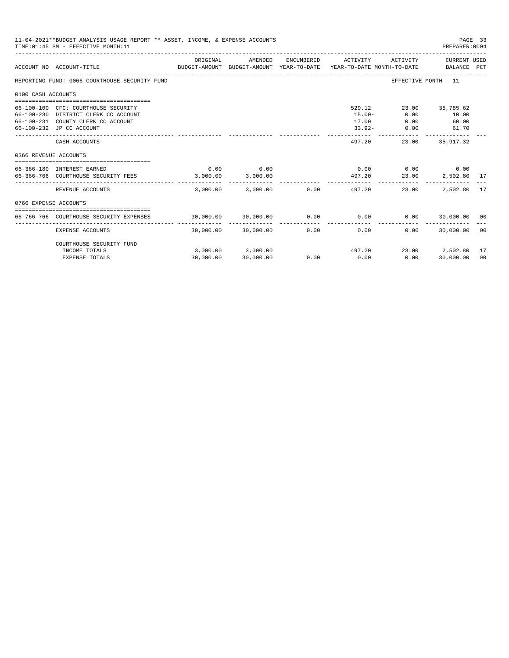|                       | 11-04-2021**BUDGET ANALYSIS USAGE REPORT ** ASSET, INCOME, & EXPENSE ACCOUNTS<br>PAGE 33<br>TIME: 01:45 PM - EFFECTIVE MONTH: 11<br>PREPARER: 0004 |                       |                     |            |                             |                      |                             |                |  |
|-----------------------|----------------------------------------------------------------------------------------------------------------------------------------------------|-----------------------|---------------------|------------|-----------------------------|----------------------|-----------------------------|----------------|--|
|                       | BUDGET-AMOUNT BUDGET-AMOUNT YEAR-TO-DATE YEAR-TO-DATE MONTH-TO-DATE<br>ACCOUNT NO ACCOUNT-TITLE                                                    | ORIGINAL              | AMENDED             | ENCUMBERED | ACTIVITY                    | ACTIVITY             | CURRENT USED<br>BALANCE PCT |                |  |
|                       | REPORTING FUND: 0066 COURTHOUSE SECURITY FUND                                                                                                      |                       |                     |            |                             | EFFECTIVE MONTH - 11 |                             |                |  |
| 0100 CASH ACCOUNTS    |                                                                                                                                                    |                       |                     |            |                             |                      |                             |                |  |
|                       |                                                                                                                                                    |                       |                     |            |                             |                      |                             |                |  |
|                       | 66-100-100 CFC: COURTHOUSE SECURITY                                                                                                                |                       |                     |            | 529.12                      |                      | 23.00 35,785.62             |                |  |
|                       | 66-100-230 DISTRICT CLERK CC ACCOUNT                                                                                                               |                       |                     |            | $15.00 -$                   | 0.00                 | 10.00                       |                |  |
|                       | 66-100-231 COUNTY CLERK CC ACCOUNT                                                                                                                 |                       |                     |            | 17.00                       | 0.00                 | 60.00                       |                |  |
|                       | 66-100-232 JP CC ACCOUNT                                                                                                                           |                       |                     |            | $33.92 -$                   | 0.00                 | 61.70                       |                |  |
|                       | CASH ACCOUNTS                                                                                                                                      |                       |                     |            | 497.20                      | 23.00                | 35,917.32                   |                |  |
| 0366 REVENUE ACCOUNTS |                                                                                                                                                    |                       |                     |            |                             |                      |                             |                |  |
|                       |                                                                                                                                                    |                       |                     |            |                             |                      |                             |                |  |
|                       | 66-366-180 INTEREST EARNED                                                                                                                         | 0.00                  | 0.00                |            | 0.00                        | 0.00                 | 0.00                        |                |  |
|                       | 66-366-766 COURTHOUSE SECURITY FEES                                                                                                                | 3.000.00              | 3,000.00            |            | 497.20                      | 23.00                | 2,502.80 17                 |                |  |
|                       | REVENUE ACCOUNTS                                                                                                                                   | 3,000.00              | 3,000.00            |            | $0.00$ and $0.00$<br>497.20 | 23.00                | 2,502.80                    | 17             |  |
| 0766 EXPENSE ACCOUNTS |                                                                                                                                                    |                       |                     |            |                             |                      |                             |                |  |
|                       |                                                                                                                                                    |                       |                     |            |                             |                      |                             |                |  |
|                       | 66-766-766 COURTHOUSE SECURITY EXPENSES                                                                                                            | $30,000.00$ 30,000.00 |                     | 0.00       | 0.00                        |                      | $0.00$ 30,000.00 00         |                |  |
|                       | EXPENSE ACCOUNTS                                                                                                                                   |                       | 30,000.00 30,000.00 | 0.00       | 0.00                        | 0.00                 | 30,000.00                   | - 00           |  |
|                       | COURTHOUSE SECURITY FUND                                                                                                                           |                       |                     |            |                             |                      |                             |                |  |
|                       | INCOME TOTALS                                                                                                                                      |                       | 3,000.00 3,000.00   |            | 497.20                      |                      | 23.00 2,502.80              | 17             |  |
|                       | <b>EXPENSE TOTALS</b>                                                                                                                              | 30,000.00             | 30,000.00           | 0.00       | 0.00                        | 0.00                 | 30,000.00                   | 0 <sup>0</sup> |  |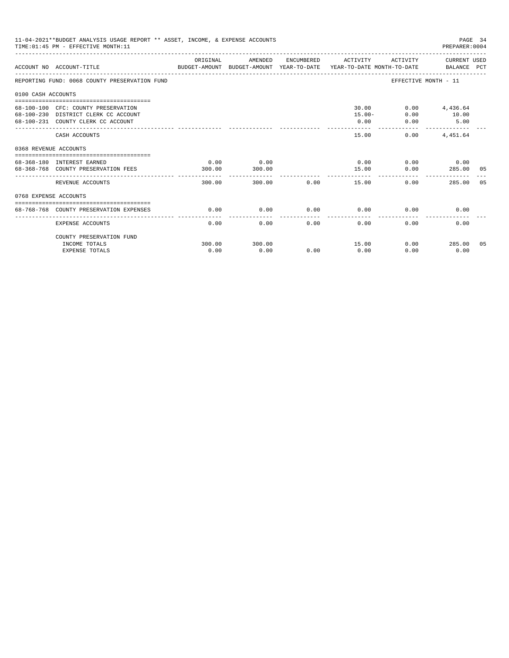| 11-04-2021**BUDGET ANALYSIS USAGE REPORT ** ASSET, INCOME, & EXPENSE ACCOUNTS<br>PAGE 34<br>TIME: 01:45 PM - EFFECTIVE MONTH: 11<br>PREPARER: 0004 |                                                                                                                   |                |                |      |                     |                                     |                                  |    |  |
|----------------------------------------------------------------------------------------------------------------------------------------------------|-------------------------------------------------------------------------------------------------------------------|----------------|----------------|------|---------------------|-------------------------------------|----------------------------------|----|--|
|                                                                                                                                                    | BUDGET-AMOUNT BUDGET-AMOUNT YEAR-TO-DATE  YEAR-TO-DATE MONTH-TO-DATE     BALANCE PCT<br>ACCOUNT NO ACCOUNT-TITLE  | ORIGINAL       | AMENDED        |      | ENCUMBERED ACTIVITY |                                     | ACTIVITY CURRENT USED            |    |  |
|                                                                                                                                                    | REPORTING FUND: 0068 COUNTY PRESERVATION FUND                                                                     |                |                |      |                     |                                     | EFFECTIVE MONTH - 11             |    |  |
| 0100 CASH ACCOUNTS                                                                                                                                 |                                                                                                                   |                |                |      |                     |                                     |                                  |    |  |
|                                                                                                                                                    | 68-100-100 CFC: COUNTY PRESERVATION<br>68-100-230 DISTRICT CLERK CC ACCOUNT<br>68-100-231 COUNTY CLERK CC ACCOUNT |                |                |      | 0.00                | 30.00<br>$15.00 -$<br>0.00<br>0.00  | $0.00$ 4,436.64<br>10.00<br>5.00 |    |  |
|                                                                                                                                                    | CASH ACCOUNTS                                                                                                     |                |                |      | 15.00               | 0.00                                | 4,451.64                         |    |  |
| 0368 REVENUE ACCOUNTS                                                                                                                              |                                                                                                                   |                |                |      |                     |                                     |                                  |    |  |
|                                                                                                                                                    | 68-368-180 INTEREST EARNED<br>68-368-768 COUNTY PRESERVATION FEES                                                 | 0.00<br>300.00 | 0.00<br>300.00 |      | 15.00<br>---------  | $0.00$ $0.00$ $0.00$ $0.00$<br>0.00 | 285.00 05                        |    |  |
|                                                                                                                                                    | REVENUE ACCOUNTS                                                                                                  | 300.00         | 300.00         | 0.00 | 15.00               |                                     | 0.00<br>285.00                   | 05 |  |
| 0768 EXPENSE ACCOUNTS                                                                                                                              |                                                                                                                   |                |                |      |                     |                                     |                                  |    |  |
|                                                                                                                                                    | 68-768-768 COUNTY PRESERVATION EXPENSES                                                                           | 0.00           | 0.00           | 0.00 | 0.00                | 0.00                                | 0.00                             |    |  |
|                                                                                                                                                    | <b>EXPENSE ACCOUNTS</b>                                                                                           | 0.00           | 0.00           | 0.00 | 0.00                | 0.00                                | 0.00                             |    |  |
|                                                                                                                                                    | COUNTY PRESERVATION FUND                                                                                          |                |                |      |                     |                                     |                                  |    |  |
|                                                                                                                                                    | INCOME TOTALS<br><b>EXPENSE TOTALS</b>                                                                            | 300.00<br>0.00 | 300.00<br>0.00 | 0.00 | 15.00<br>0.00       | 0.00                                | $0.00$ 285.00 05<br>0.00         |    |  |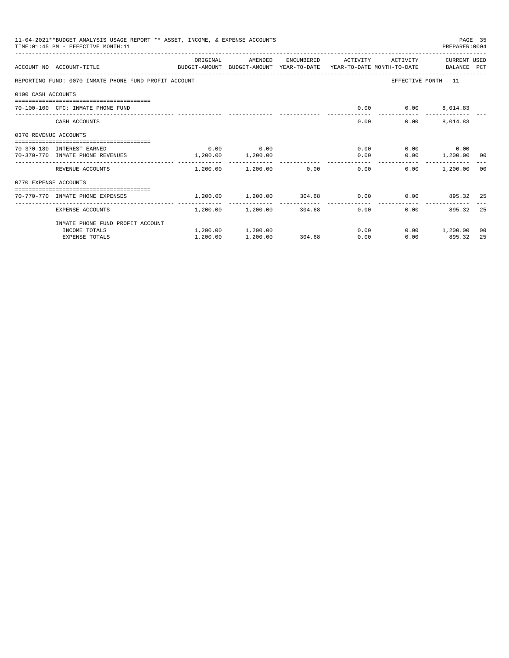|                       | 11-04-2021**BUDGET ANALYSIS USAGE REPORT ** ASSET, INCOME, & EXPENSE ACCOUNTS<br>TIME: 01:45 PM - EFFECTIVE MONTH: 11 |           |                                |              |                                                      |                          | PAGE 35<br>PREPARER: 0004 |    |
|-----------------------|-----------------------------------------------------------------------------------------------------------------------|-----------|--------------------------------|--------------|------------------------------------------------------|--------------------------|---------------------------|----|
|                       |                                                                                                                       | ORIGINAL  | AMENDED                        | ENCUMBERED   | ACTIVITY                                             | ACTIVITY                 | CURRENT USED              |    |
|                       | ACCOUNT NO ACCOUNT-TITLE<br>BUDGET-AMOUNT BUDGET-AMOUNT YEAR-TO-DATE YEAR-TO-DATE MONTH-TO-DATE BALANCE PCT           |           |                                |              |                                                      |                          |                           |    |
|                       | REPORTING FUND: 0070 INMATE PHONE FUND PROFIT ACCOUNT                                                                 |           |                                |              |                                                      | EFFECTIVE MONTH - 11     |                           |    |
| 0100 CASH ACCOUNTS    |                                                                                                                       |           |                                |              |                                                      |                          |                           |    |
|                       | 70-100-100 CFC: INMATE PHONE FUND                                                                                     |           |                                |              |                                                      | $0.00$ $0.00$ $8,014.83$ |                           |    |
|                       | CASH ACCOUNTS                                                                                                         |           |                                |              | 0.00                                                 | 0.00                     | 8,014.83                  |    |
| 0370 REVENUE ACCOUNTS |                                                                                                                       |           |                                |              |                                                      |                          |                           |    |
|                       | 70-370-180 INTEREST EARNED                                                                                            | 0.00      | 0.00                           |              | 0.00                                                 |                          | $0.00$ 0.00               |    |
|                       | 70-370-770 INMATE PHONE REVENUES                                                                                      | 1, 200.00 | 1,200.00                       |              | 0.00                                                 |                          | $0.00$ 1,200.00 00        |    |
|                       | REVENUE ACCOUNTS                                                                                                      |           |                                |              | $1,200.00$ $1,200.00$ $0.00$ $0.00$                  | 0.00                     | 1,200.00 00               |    |
| 0770 EXPENSE ACCOUNTS |                                                                                                                       |           |                                |              |                                                      |                          |                           |    |
|                       | ----------------------------------<br>70-770-770 INMATE PHONE EXPENSES                                                |           |                                |              | $1,200.00$ $1,200.00$ $304.68$ 0.00 0.00 $895.32$ 25 |                          |                           |    |
|                       | EXPENSE ACCOUNTS                                                                                                      | --------  | $1,200.00$ $1,200.00$ $304.68$ | ------------ | -------------<br>0.00                                | 0.00                     | 895.32                    | 25 |
|                       | INMATE PHONE FUND PROFIT ACCOUNT                                                                                      |           |                                |              |                                                      |                          |                           |    |
|                       | INCOME TOTALS                                                                                                         |           | 1,200.00 1,200.00              |              | 0.00                                                 |                          | $0.00$ 1,200.00           | 00 |
|                       | <b>EXPENSE TOTALS</b>                                                                                                 | 1,200.00  | 1,200.00                       | 304.68       | 0.00                                                 | 0.00                     | 895.32                    | 25 |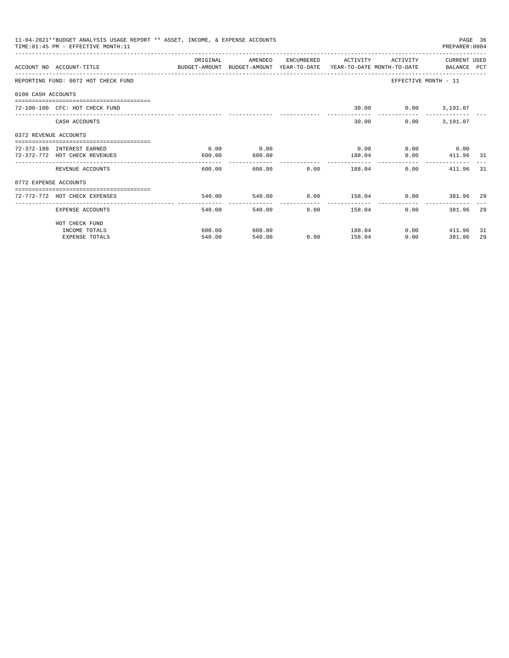|                       | 11-04-2021**BUDGET ANALYSIS USAGE REPORT ** ASSET, INCOME, & EXPENSE ACCOUNTS<br>TIME: 01:45 PM - EFFECTIVE MONTH: 11  |          |              |                        |                                |                         | PAGE 36<br>PREPARER: 0004 |    |
|-----------------------|------------------------------------------------------------------------------------------------------------------------|----------|--------------|------------------------|--------------------------------|-------------------------|---------------------------|----|
|                       |                                                                                                                        | ORIGINAL | AMENDED      |                        | ENCUMBERED ACTIVITY            |                         | ACTIVITY CURRENT USED     |    |
|                       | ACCOUNT NO ACCOUNT-TITLE COMMONICATION BUDGET-AMOUNT BUDGET-AMOUNT YEAR-TO-DATE YEAR-TO-DATE MONTH-TO-DATE BALANCE PCT |          |              |                        |                                |                         |                           |    |
|                       | REPORTING FUND: 0072 HOT CHECK FUND                                                                                    |          |              |                        |                                | EFFECTIVE MONTH - 11    |                           |    |
| 0100 CASH ACCOUNTS    |                                                                                                                        |          |              |                        |                                |                         |                           |    |
|                       | 72-100-100 CFC: HOT CHECK FUND                                                                                         |          |              |                        |                                | 30.00   0.00   3,191.07 |                           |    |
|                       | CASH ACCOUNTS                                                                                                          |          |              |                        | 30.00                          |                         | $0.00$ $3,191.07$         |    |
| 0372 REVENUE ACCOUNTS |                                                                                                                        |          |              |                        |                                |                         |                           |    |
|                       | 72-372-180 INTEREST EARNED                                                                                             | 0.00     | 0.00         |                        | 0.00                           |                         | $0.00$ 0.00               |    |
|                       | 72-372-772 HOT CHECK REVENUES                                                                                          | 600.00   | 600.00       |                        | 188.04                         |                         | $0.00$ 411.96 31          |    |
|                       | REVENUE ACCOUNTS                                                                                                       | 600.00   |              |                        | 600.00 0.00 188.04             | 0.00                    | 411.96 31                 |    |
| 0772 EXPENSE ACCOUNTS |                                                                                                                        |          |              |                        |                                |                         |                           |    |
|                       | :====================================<br>72-772-772 HOT CHECK EXPENSES                                                 | 540.00   |              |                        |                                |                         |                           |    |
|                       | EXPENSE ACCOUNTS                                                                                                       | 540.00   | ------------ | ------------<br>540.00 | -------------<br>$0.00$ 158.04 | ---------------<br>0.00 | 381.96                    | 29 |
|                       | HOT CHECK FUND                                                                                                         |          |              |                        |                                |                         |                           |    |
|                       | INCOME TOTALS                                                                                                          | 600.00   | 600.00       |                        | 188.04                         |                         | $0.00$ 411.96             | 31 |
|                       | <b>EXPENSE TOTALS</b>                                                                                                  | 540.00   | 540.00       |                        | $0.00$ 158.04                  | 0.00                    | 381.96                    | 29 |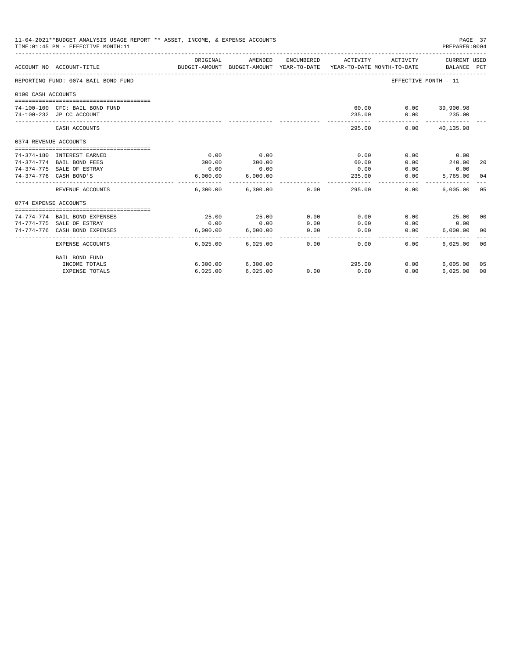| 11-04-2021**BUDGET ANALYSIS USAGE REPORT ** ASSET, INCOME, & EXPENSE ACCOUNTS<br>PREPARER: 0004<br>TIME: 01:45 PM - EFFECTIVE MONTH: 11 |                                     |                           |                                       |            |                                        |                      |                             | PAGE 37 |
|-----------------------------------------------------------------------------------------------------------------------------------------|-------------------------------------|---------------------------|---------------------------------------|------------|----------------------------------------|----------------------|-----------------------------|---------|
|                                                                                                                                         | ACCOUNT NO ACCOUNT-TITLE            | ORIGINAL<br>BUDGET-AMOUNT | AMENDED<br>BUDGET-AMOUNT YEAR-TO-DATE | ENCUMBERED | ACTIVITY<br>YEAR-TO-DATE MONTH-TO-DATE | ACTIVITY             | CURRENT USED<br>BALANCE PCT |         |
|                                                                                                                                         | REPORTING FUND: 0074 BAIL BOND FUND |                           |                                       |            |                                        | EFFECTIVE MONTH - 11 |                             |         |
| 0100 CASH ACCOUNTS                                                                                                                      |                                     |                           |                                       |            |                                        |                      |                             |         |
|                                                                                                                                         | 74-100-100 CFC: BAIL BOND FUND      |                           |                                       |            | 60.00                                  |                      | $0.00$ 39,900.98            |         |
|                                                                                                                                         | 74-100-232 JP CC ACCOUNT            |                           |                                       |            | 235.00                                 | 0.00                 | 235.00                      |         |
|                                                                                                                                         | CASH ACCOUNTS                       |                           |                                       |            | 295.00                                 | 0.00                 | -------------<br>40,135.98  |         |
| 0374 REVENUE ACCOUNTS                                                                                                                   |                                     |                           |                                       |            |                                        |                      |                             |         |
|                                                                                                                                         | 74-374-180 INTEREST EARNED          | 0.00                      | 0.00                                  |            | 0.00                                   | 0.00                 | 0.00                        |         |
|                                                                                                                                         | 74-374-774 BAIL BOND FEES           | 300.00                    | 300.00                                |            | 60.00                                  | 0.00                 | 240.00                      | 20      |
|                                                                                                                                         | 74-374-775 SALE OF ESTRAY           | 0.00                      | 0.00                                  |            | 0.00                                   | 0.00                 | 0.00                        |         |
|                                                                                                                                         | 74-374-776 CASH BOND'S              | 6,000.00                  | 6,000.00                              |            | 235.00                                 | 0.00                 | 5,765.00                    | 04      |
|                                                                                                                                         | REVENUE ACCOUNTS                    |                           | $6,300.00$ $6,300.00$ 0.00            |            | 295.00                                 | 0.00                 | 6.005.00                    | 05      |
| 0774 EXPENSE ACCOUNTS                                                                                                                   |                                     |                           |                                       |            |                                        |                      |                             |         |
|                                                                                                                                         |                                     |                           |                                       |            |                                        |                      |                             |         |
|                                                                                                                                         | 74-774-774 BAIL BOND EXPENSES       | 25.00                     | 25.00                                 | 0.00       | 0.00                                   | 0.00                 | 25.00 00                    |         |
|                                                                                                                                         | 74-774-775 SALE OF ESTRAY           | 0.00                      | 0.00                                  | 0.00       | 0.00                                   | 0.00                 | 0.00                        |         |
|                                                                                                                                         | 74-774-776 CASH BOND EXPENSES       | 6.000.00                  | 6.000.00                              | 0.00       | 0.00                                   | 0.00                 | 6.000.00                    | 00      |
|                                                                                                                                         | EXPENSE ACCOUNTS                    | 6.025.00                  | 6,025.00                              | 0.00       | 0.00                                   | 0.00                 | 6.025.00                    | 00      |
|                                                                                                                                         | <b>BAIL BOND FUND</b>               |                           |                                       |            |                                        |                      |                             |         |
|                                                                                                                                         | INCOME TOTALS                       | 6,300.00                  | 6,300.00                              |            | 295.00                                 | 0.00                 | 6.005.00                    | 05      |
|                                                                                                                                         | <b>EXPENSE TOTALS</b>               | 6,025.00                  | 6,025.00                              | 0.00       | 0.00                                   | 0.00                 | 6.025.00                    | 00      |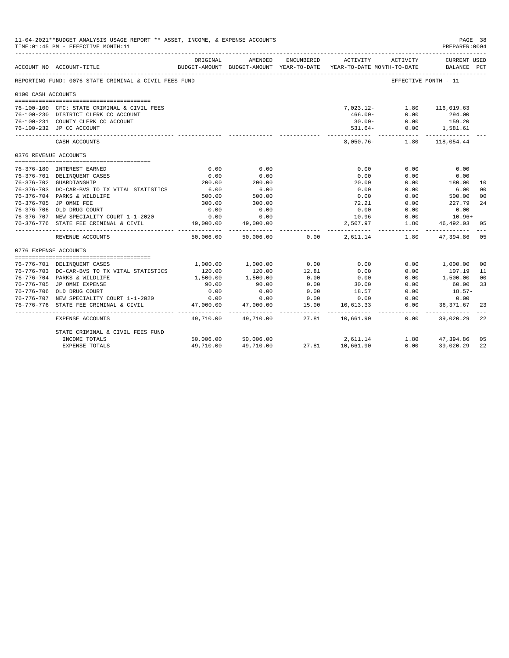|                       | 11-04-2021**BUDGET ANALYSIS USAGE REPORT ** ASSET, INCOME, & EXPENSE ACCOUNTS<br>TIME: 01:45 PM - EFFECTIVE MONTH: 11 |           |                          |                  |                                                                                 |                      | PAGE 38<br>PREPARER: 0004          |                |
|-----------------------|-----------------------------------------------------------------------------------------------------------------------|-----------|--------------------------|------------------|---------------------------------------------------------------------------------|----------------------|------------------------------------|----------------|
|                       | ACCOUNT NO ACCOUNT-TITLE                                                                                              | ORIGINAL  | AMENDED                  | ENCUMBERED       | ACTIVITY<br>BUDGET-AMOUNT BUDGET-AMOUNT YEAR-TO-DATE YEAR-TO-DATE MONTH-TO-DATE | ACTIVITY             | <b>CURRENT USED</b><br>BALANCE PCT |                |
|                       | REPORTING FUND: 0076 STATE CRIMINAL & CIVIL FEES FUND                                                                 |           |                          |                  |                                                                                 | EFFECTIVE MONTH - 11 |                                    |                |
| 0100 CASH ACCOUNTS    |                                                                                                                       |           |                          |                  |                                                                                 |                      |                                    |                |
|                       | 76-100-100 CFC: STATE CRIMINAL & CIVIL FEES                                                                           |           |                          |                  | 7,023.12-                                                                       | 1.80                 | 116,019.63                         |                |
|                       | 76-100-230 DISTRICT CLERK CC ACCOUNT                                                                                  |           |                          |                  | $466.00 -$                                                                      | 0.00                 | 294.00                             |                |
|                       | 76-100-231 COUNTY CLERK CC ACCOUNT                                                                                    |           |                          |                  |                                                                                 | $30.00 - 0.00$       | 159.20                             |                |
|                       | 76-100-232 JP CC ACCOUNT                                                                                              |           |                          |                  | $531.64-$                                                                       | 0.00                 | 1,581.61                           |                |
|                       | CASH ACCOUNTS                                                                                                         |           |                          |                  | 8,050.76-                                                                       | ------------<br>1.80 | -----------<br>118,054.44          |                |
| 0376 REVENUE ACCOUNTS |                                                                                                                       |           |                          |                  |                                                                                 |                      |                                    |                |
|                       | 76-376-180 INTEREST EARNED                                                                                            | 0.00      | 0.00                     |                  | 0.00                                                                            | 0.00                 | 0.00                               |                |
|                       | 76-376-701 DELINQUENT CASES                                                                                           | 0.00      | 0.00                     |                  | 0.00                                                                            | 0.00                 | 0.00                               |                |
|                       | 76-376-702 GUARDIANSHIP                                                                                               | 200.00    | 200.00                   |                  | 20.00                                                                           | 0.00                 | 180.00                             | 10             |
|                       | 76-376-703 DC-CAR-BVS TO TX VITAL STATISTICS                                                                          | 6.00      | 6.00                     |                  | 0.00                                                                            | 0.00                 | 6.00                               | 0 <sup>0</sup> |
|                       | 76-376-704 PARKS & WILDLIFE                                                                                           | 500.00    | 500.00                   |                  | 0.00                                                                            | 0.00                 | 500.00                             | 0 <sup>0</sup> |
|                       | 76-376-705 JP OMNI FEE                                                                                                | 300.00    | 300.00                   |                  | 72.21                                                                           | 0.00                 | 227.79                             | 24             |
|                       | 76-376-706 OLD DRUG COURT                                                                                             | 0.00      | 0.00                     |                  | 0.00                                                                            | 0.00                 | 0.00                               |                |
|                       | 76-376-707 NEW SPECIALITY COURT 1-1-2020                                                                              | 0.00      | 0.00                     |                  | 10.96                                                                           | 0.00                 | $10.96+$                           |                |
| 76-376-776            | STATE FEE CRIMINAL & CIVIL                                                                                            | 49,000.00 | 49,000.00                |                  | 2,507.97                                                                        | 1.80                 | 46,492.03                          | 05             |
|                       | REVENUE ACCOUNTS                                                                                                      | 50,006.00 |                          | 50,006.00 0.00   | 2,611.14                                                                        |                      | 1.80 47,394.86                     | 05             |
| 0776 EXPENSE ACCOUNTS |                                                                                                                       |           |                          |                  |                                                                                 |                      |                                    |                |
|                       |                                                                                                                       |           |                          |                  |                                                                                 |                      |                                    |                |
|                       | 76-776-701 DELINQUENT CASES                                                                                           | 1,000.00  | 1,000.00                 | 0.00             | 0.00                                                                            | 0.00                 | 1,000.00                           | 00             |
|                       | 76-776-703 DC-CAR-BVS TO TX VITAL STATISTICS                                                                          | 120.00    | 120.00                   | 12.81            | 0.00                                                                            | 0.00                 | 107.19                             | 11             |
|                       | 76-776-704 PARKS & WILDLIFE                                                                                           | 1,500.00  | 1,500.00                 | 0.00             | 0.00                                                                            | 0.00                 | 1,500.00                           | 00             |
|                       | 76-776-705 JP OMNI EXPENSE                                                                                            | 90.00     | 90.00                    | 0.00             | 30.00                                                                           | 0.00                 | 60.00                              | 33             |
|                       | 76-776-706 OLD DRUG COURT                                                                                             | 0.00      | 0.00                     | 0.00             | 18.57                                                                           | 0.00                 | $18.57-$                           |                |
|                       | 76-776-707 NEW SPECIALITY COURT 1-1-2020                                                                              | 0.00      | 0.00                     | 0.00             | 0.00                                                                            | 0.00                 | 0.00                               |                |
|                       | 76-776-776 STATE FEE CRIMINAL & CIVIL                                                                                 | 47,000.00 | 47,000.00<br>----------- | 15.00<br>------- | 10,613.33<br>.                                                                  | 0.00<br>----------   | 36,371.67<br>------------          | 23             |
|                       | EXPENSE ACCOUNTS                                                                                                      | 49,710.00 | 49,710.00                | 27.81            | 10,661.90                                                                       | 0.00                 | 39,020.29                          | 22             |
|                       | STATE CRIMINAL & CIVIL FEES FUND                                                                                      |           |                          |                  |                                                                                 |                      |                                    |                |
|                       | INCOME TOTALS                                                                                                         | 50,006.00 | 50,006.00                |                  | 2,611.14                                                                        | 1.80                 | 47,394.86                          | 05             |
|                       | <b>EXPENSE TOTALS</b>                                                                                                 | 49,710.00 | 49,710.00                | 27.81            | 10,661.90                                                                       | 0.00                 | 39,020.29                          | 2.2            |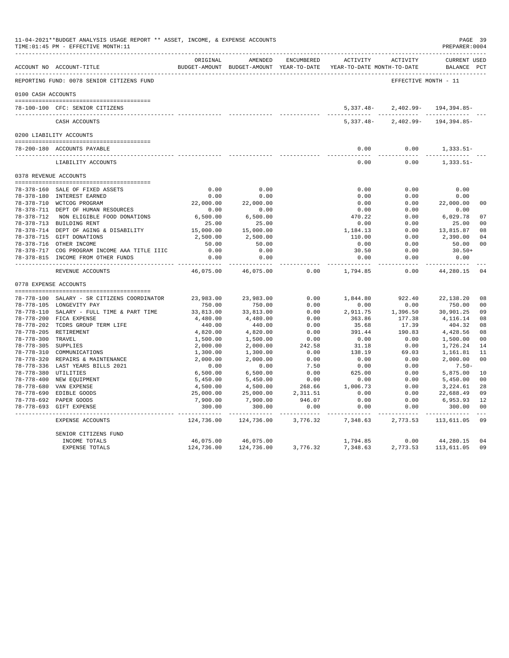|                     | TIME: 01:45 PM - EFFECTIVE MONTH: 11                                |                           |                                                     |            |                                        |                      | PREPARER: 0004                     |                |
|---------------------|---------------------------------------------------------------------|---------------------------|-----------------------------------------------------|------------|----------------------------------------|----------------------|------------------------------------|----------------|
|                     | ACCOUNT NO ACCOUNT-TITLE                                            | ORIGINAL                  | AMENDED<br>BUDGET-AMOUNT BUDGET-AMOUNT YEAR-TO-DATE | ENCUMBERED | ACTIVITY<br>YEAR-TO-DATE MONTH-TO-DATE | ACTIVITY             | <b>CURRENT USED</b><br>BALANCE PCT |                |
|                     | REPORTING FUND: 0078 SENIOR CITIZENS FUND                           |                           |                                                     |            |                                        | EFFECTIVE MONTH - 11 |                                    |                |
| 0100 CASH ACCOUNTS  |                                                                     |                           |                                                     |            |                                        |                      |                                    |                |
|                     |                                                                     |                           |                                                     |            |                                        |                      |                                    |                |
|                     | 78-100-100 CFC: SENIOR CITIZENS<br>-------------------------------  |                           |                                                     |            | 5,337.48-                              |                      | $2,402.99 - 194,394.85 -$          |                |
|                     | CASH ACCOUNTS                                                       |                           |                                                     |            | $5,337.48-$                            | 2,402.99-            | 194,394.85-                        |                |
|                     | 0200 LIABILITY ACCOUNTS                                             |                           |                                                     |            |                                        |                      |                                    |                |
|                     |                                                                     |                           |                                                     |            |                                        |                      |                                    |                |
|                     | 78-200-180 ACCOUNTS PAYABLE<br>____________________________________ |                           |                                                     |            | 0.00                                   | 0.00                 | $1,333.51-$                        |                |
|                     | LIABILITY ACCOUNTS                                                  |                           |                                                     |            | 0.00                                   | 0.00                 | $1,333.51-$                        |                |
|                     | 0378 REVENUE ACCOUNTS                                               |                           |                                                     |            |                                        |                      |                                    |                |
|                     |                                                                     | 0.00                      |                                                     |            |                                        |                      | 0.00                               |                |
|                     | 78-378-160 SALE OF FIXED ASSETS<br>78-378-180 INTEREST EARNED       | 0.00                      | 0.00<br>0.00                                        |            | 0.00<br>0.00                           | 0.00<br>0.00         | 0.00                               |                |
|                     | 78-378-710 WCTCOG PROGRAM                                           | 22,000.00                 | 22,000.00                                           |            | 0.00                                   | 0.00                 | 22,000.00                          | 0 <sup>0</sup> |
|                     | 78-378-711 DEPT OF HUMAN RESOURCES                                  | 0.00                      | 0.00                                                |            | 0.00                                   | 0.00                 | 0.00                               |                |
|                     | 78-378-712 NON ELIGIBLE FOOD DONATIONS                              | 6,500.00                  | 6,500.00                                            |            | 470.22                                 | 0.00                 | 6,029.78                           | 07             |
|                     | 78-378-713 BUILDING RENT                                            | 25.00                     | 25.00                                               |            | 0.00                                   | 0.00                 | 25.00                              | 0 <sup>0</sup> |
|                     | 78-378-714 DEPT OF AGING & DISABILITY                               | 15,000.00                 | 15,000.00                                           |            | 1,184.13                               | 0.00                 | 13,815.87                          | 08             |
|                     | 78-378-715 GIFT DONATIONS                                           | 2,500.00                  | 2,500.00                                            |            | 110.00                                 | 0.00                 | 2,390.00                           | 04             |
|                     | 78-378-716 OTHER INCOME                                             | 50.00                     | 50.00                                               |            | 0.00                                   | 0.00                 | 50.00                              | 0 <sub>0</sub> |
|                     | 78-378-717 COG PROGRAM INCOME AAA TITLE IIIC                        | 0.00                      | 0.00                                                |            | 30.50                                  | 0.00                 | $30.50+$                           |                |
|                     | 78-378-815 INCOME FROM OTHER FUNDS                                  | 0.00                      | 0.00                                                |            | 0.00                                   | 0.00                 | 0.00                               |                |
|                     | REVENUE ACCOUNTS                                                    | ------------<br>46,075.00 | ----------<br>46,075.00                             | 0.00       | ----------<br>1,794.85                 | $- - - - -$<br>0.00  | -----------<br>44,280.15           | 04             |
|                     | 0778 EXPENSE ACCOUNTS                                               |                           |                                                     |            |                                        |                      |                                    |                |
|                     |                                                                     |                           |                                                     |            |                                        |                      |                                    |                |
|                     | 78-778-100 SALARY - SR CITIZENS COORDINATOR                         | 23,983.00                 | 23,983.00                                           | 0.00       | 1,844.80                               | 922.40               | 22,138.20                          | 08             |
|                     | 78-778-105 LONGEVITY PAY                                            | 750.00                    | 750.00                                              | 0.00       | 0.00                                   | 0.00                 | 750.00                             | 0 <sub>0</sub> |
|                     | 78-778-110 SALARY - FULL TIME & PART TIME                           | 33,813.00                 | 33,813.00                                           | 0.00       | 2,911.75                               | 1,396.50             | 30,901.25                          | 09             |
|                     | 78-778-200 FICA EXPENSE                                             | 4,480.00                  | 4,480.00                                            | 0.00       | 363.86                                 | 177.38               | 4,116.14                           | 08             |
|                     | 78-778-202 TCDRS GROUP TERM LIFE                                    | 440.00                    | 440.00                                              | 0.00       | 35.68                                  | 17.39                | 404.32                             | 08             |
|                     | 78-778-205 RETIREMENT                                               | 4,820.00                  | 4,820.00                                            | 0.00       | 391.44                                 | 190.83               | 4,428.56                           | 08             |
| 78-778-300 TRAVEL   |                                                                     | 1,500.00                  | 1,500.00                                            | 0.00       | 0.00                                   | 0.00                 | 1,500.00                           | 0 <sub>0</sub> |
| 78-778-305 SUPPLIES |                                                                     | 2,000.00                  | 2,000.00                                            | 242.58     | 31.18                                  | 0.00                 | 1,726.24                           | 14             |
|                     | 78-778-310 COMMUNICATIONS                                           | 1,300.00                  | 1,300.00                                            | 0.00       | 138.19                                 | 69.03                | 1,161.81                           | 11             |
|                     | 78-778-320 REPAIRS & MAINTENANCE                                    | 2,000.00                  | 2,000.00                                            | 0.00       | 0.00                                   | 0.00                 | 2,000.00                           | 0 <sup>0</sup> |
|                     | 78-778-336 LAST YEARS BILLS 2021                                    | 0.00                      | 0.00                                                | 7.50       | 0.00                                   | 0.00                 | $7.50 -$                           |                |
|                     | 78-778-380 UTILITIES                                                | 6,500.00                  | 6,500.00                                            | 0.00       | 625.00                                 | 0.00                 | 5,875.00                           | 10             |
|                     | 78-778-400 NEW EQUIPMENT                                            | 5,450.00                  | 5,450.00                                            | 0.00       | 0.00                                   | 0.00                 | 5,450.00                           | 0 <sub>0</sub> |
|                     | 78-778-680 VAN EXPENSE                                              | 4,500.00                  | 4,500.00                                            | 268.66     | 1,006.73                               | 0.00                 | 3,224.61                           | 28             |
|                     | 78-778-690 EDIBLE GOODS                                             | 25,000.00                 | 25,000.00                                           | 2,311.51   | 0.00                                   | 0.00                 | 22,688.49                          | 09             |
|                     | 78-778-692 PAPER GOODS                                              | 7,900.00                  | 7,900.00                                            | 946.07     | 0.00                                   | 0.00                 | 6,953.93                           | 12             |
|                     | 78-778-693 GIFT EXPENSE                                             | 300.00                    | 300.00                                              | 0.00       | 0.00<br>$- - - - - -$                  | 0.00<br>$- - - - -$  | 300.00                             | 0 <sub>0</sub> |
|                     | EXPENSE ACCOUNTS                                                    | 124,736.00                | 124,736.00                                          | 3,776.32   | 7,348.63                               | 2,773.53             | 113,611.05                         | 09             |
|                     | SENIOR CITIZENS FUND                                                |                           |                                                     |            |                                        |                      |                                    |                |
|                     | INCOME TOTALS                                                       | 46,075.00                 | 46,075.00                                           |            | 1,794.85                               | 0.00                 | 44,280.15                          | 04             |
|                     | <b>EXPENSE TOTALS</b>                                               | 124,736.00                | 124,736.00                                          | 3,776.32   | 7,348.63                               | 2,773.53             | 113,611.05                         | 09             |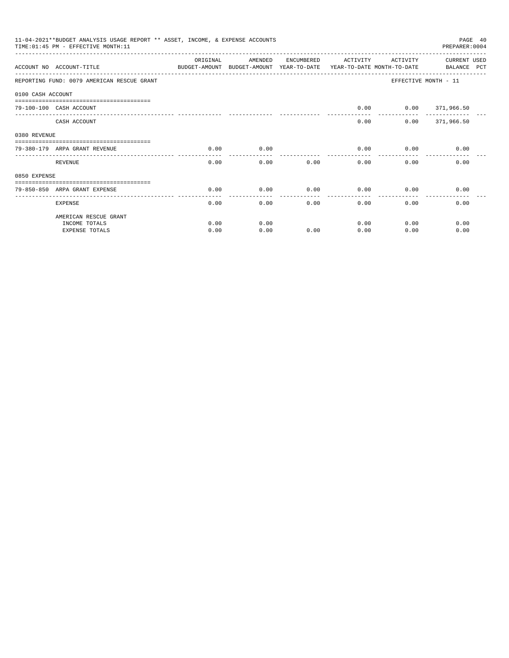|                   | 11-04-2021**BUDGET ANALYSIS USAGE REPORT ** ASSET, INCOME, & EXPENSE ACCOUNTS<br>PAGE 40<br>PREPARER: 0004<br>TIME: 01:45 PM - EFFECTIVE MONTH: 11 |          |                                                     |            |                                        |                   |                                   |  |  |
|-------------------|----------------------------------------------------------------------------------------------------------------------------------------------------|----------|-----------------------------------------------------|------------|----------------------------------------|-------------------|-----------------------------------|--|--|
|                   | ACCOUNT NO ACCOUNT-TITLE                                                                                                                           | ORIGINAL | AMENDED<br>BUDGET-AMOUNT BUDGET-AMOUNT YEAR-TO-DATE | ENCUMBERED | ACTIVITY<br>YEAR-TO-DATE MONTH-TO-DATE | ACTIVITY          | CURRENT USED<br>BALANCE PCT       |  |  |
|                   | REPORTING FUND: 0079 AMERICAN RESCUE GRANT                                                                                                         |          |                                                     |            |                                        |                   | EFFECTIVE MONTH - 11              |  |  |
| 0100 CASH ACCOUNT |                                                                                                                                                    |          |                                                     |            |                                        |                   |                                   |  |  |
|                   | ------------------------------<br>79-100-100 CASH ACCOUNT                                                                                          |          |                                                     |            | 0.00                                   | $0.00$ 371,966.50 |                                   |  |  |
|                   | CASH ACCOUNT                                                                                                                                       |          |                                                     |            | 0.00                                   |                   | ------------<br>$0.00$ 371,966.50 |  |  |
| 0380 REVENUE      |                                                                                                                                                    |          |                                                     |            |                                        |                   |                                   |  |  |
|                   | 79-380-179 ARPA GRANT REVENUE                                                                                                                      | 0.00     | 0.00                                                |            | 0.00                                   | 0.00              | 0.00                              |  |  |
|                   | <b>REVENUE</b>                                                                                                                                     | 0.00     | 0.00                                                | 0.00       | 0.00                                   | 0.00              | 0.00                              |  |  |
| 0850 EXPENSE      |                                                                                                                                                    |          |                                                     |            |                                        |                   |                                   |  |  |
|                   | 79-850-850 ARPA GRANT EXPENSE                                                                                                                      | 0.00     | 0.00                                                | 0.00       | 0.00                                   | 0.00              | 0.00                              |  |  |
|                   | <b>EXPENSE</b>                                                                                                                                     | 0.00     | 0.00                                                | 0.00       | 0.00                                   | 0.00              | 0.00                              |  |  |
|                   | AMERICAN RESCUE GRANT                                                                                                                              |          |                                                     |            |                                        |                   |                                   |  |  |
|                   | INCOME TOTALS                                                                                                                                      | 0.00     | 0.00                                                |            | 0.00                                   | 0.00              | 0.00                              |  |  |
|                   | <b>EXPENSE TOTALS</b>                                                                                                                              | 0.00     | 0.00                                                | 0.00       | 0.00                                   | 0.00              | 0.00                              |  |  |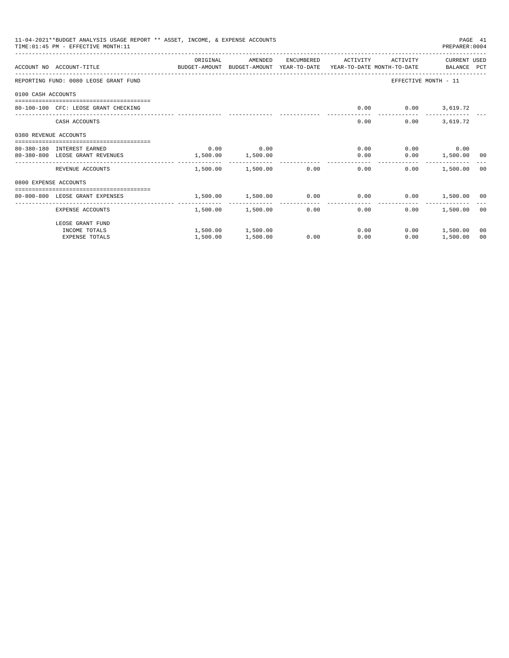|                       | 11-04-2021**BUDGET ANALYSIS USAGE REPORT ** ASSET, INCOME, & EXPENSE ACCOUNTS<br>TIME: 01:45 PM - EFFECTIVE MONTH: 11 |          |                        |      |                     |                               | PAGE 41<br>PREPARER: 0004 |    |
|-----------------------|-----------------------------------------------------------------------------------------------------------------------|----------|------------------------|------|---------------------|-------------------------------|---------------------------|----|
|                       | ACCOUNT NO ACCOUNT-TITLE CONTROL SUDGET-AMOUNT BUDGET-AMOUNT YEAR-TO-DATE YEAR-TO-DATE MONTH-TO-DATE BALANCE PCT      | ORIGINAL | AMENDED                |      | ENCUMBERED ACTIVITY | ACTIVITY                      | CURRENT USED              |    |
|                       |                                                                                                                       |          |                        |      |                     |                               |                           |    |
|                       | REPORTING FUND: 0080 LEOSE GRANT FUND                                                                                 |          |                        |      |                     |                               | EFFECTIVE MONTH - 11      |    |
| 0100 CASH ACCOUNTS    |                                                                                                                       |          |                        |      |                     |                               |                           |    |
|                       | 80-100-100 CFC: LEOSE GRANT CHECKING                                                                                  |          |                        |      | 0.00                | $0.00$ 3,619.72               |                           |    |
|                       | CASH ACCOUNTS                                                                                                         |          |                        |      | 0.00                | 0.00                          | 3,619.72                  |    |
| 0380 REVENUE ACCOUNTS |                                                                                                                       |          |                        |      |                     |                               |                           |    |
|                       | 80-380-180 INTEREST EARNED                                                                                            | 0.00     | 0.00                   |      |                     | $0.00$ $0.00$ $0.00$          |                           |    |
|                       | 80-380-800 LEOSE GRANT REVENUES                                                                                       | 1,500.00 | 1,500.00               |      | 0.00                |                               | $0.00$ 1,500.00 00        |    |
|                       | REVENUE ACCOUNTS                                                                                                      |          | 1,500.00 1,500.00 0.00 |      |                     | 0.00<br>0.00                  | 1,500.00 00               |    |
| 0800 EXPENSE ACCOUNTS |                                                                                                                       |          |                        |      |                     |                               |                           |    |
|                       | =================================<br>80-800-800 LEOSE GRANT EXPENSES                                                  |          | 1,500.00 1,500.00 0.00 |      |                     | $0.00$ $0.00$ $1,500.00$ $00$ |                           |    |
|                       |                                                                                                                       | -------  | ------------           |      | . <u>.</u>          |                               |                           |    |
|                       | EXPENSE ACCOUNTS                                                                                                      |          | 1,500.00 1,500.00      |      | $0.00$ and $0.00$   | 0.00<br>0.00                  | 1,500.00 00               |    |
|                       | LEOSE GRANT FUND                                                                                                      |          |                        |      |                     |                               |                           |    |
|                       | INCOME TOTALS                                                                                                         |          | 1,500.00 1,500.00      |      | 0.00                |                               | $0.00$ 1,500.00           | 00 |
|                       | <b>EXPENSE TOTALS</b>                                                                                                 | 1,500.00 | 1,500.00               | 0.00 | 0.00                | 0.00                          | 1,500.00                  | 00 |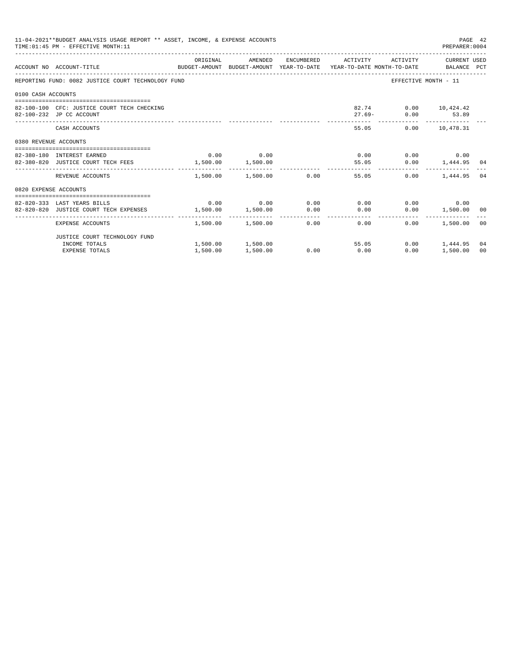|                       | 11-04-2021**BUDGET ANALYSIS USAGE REPORT ** ASSET, INCOME, & EXPENSE ACCOUNTS<br>TIME: 01:45 PM - EFFECTIVE MONTH: 11 |                   |                            |      |                                           |                                           | PAGE 42<br>PREPARER: 0004   |    |
|-----------------------|-----------------------------------------------------------------------------------------------------------------------|-------------------|----------------------------|------|-------------------------------------------|-------------------------------------------|-----------------------------|----|
|                       | ACCOUNT NO ACCOUNT-TITLE CONTROL SUDGET-AMOUNT BUDGET-AMOUNT YEAR-TO-DATE YEAR-TO-DATE MONTH-TO-DATE BALANCE PCT      | ORIGINAL          | AMENDED                    |      | ENCUMBERED ACTIVITY ACTIVITY CURRENT USED |                                           |                             |    |
|                       | REPORTING FUND: 0082 JUSTICE COURT TECHNOLOGY FUND                                                                    |                   |                            |      |                                           | EFFECTIVE MONTH - 11                      |                             |    |
| 0100 CASH ACCOUNTS    |                                                                                                                       |                   |                            |      |                                           |                                           |                             |    |
|                       | 82-100-100 CFC: JUSTICE COURT TECH CHECKING<br>82-100-232 JP CC ACCOUNT                                               |                   |                            |      |                                           | 82.74 0.00 10,424.42<br>27.69- 0.00 53.89 |                             |    |
|                       | CASH ACCOUNTS                                                                                                         |                   |                            |      | 55.05                                     |                                           | $0.00$ 10.478.31            |    |
| 0380 REVENUE ACCOUNTS |                                                                                                                       |                   |                            |      |                                           |                                           |                             |    |
|                       |                                                                                                                       |                   | $0.00$ 0.00                |      |                                           |                                           | $0.00$ $0.00$ $0.00$ $0.00$ |    |
|                       | 82-380-180 INTEREST EARNED<br>82-380-820 JUSTICE COURT TECH FEES 1,500.00 1,500.00                                    |                   |                            |      | 55.05                                     |                                           | $0.00$ 1,444.95 04          |    |
|                       | REVENUE ACCOUNTS                                                                                                      |                   | $1.500.00$ $1.500.00$ 0.00 |      | 55.05                                     | 0.00                                      | 1,444.95                    | 04 |
| 0820 EXPENSE ACCOUNTS |                                                                                                                       |                   |                            |      |                                           |                                           |                             |    |
|                       | 82-820-333 LAST YEARS BILLS                                                                                           |                   |                            |      | $0.00$ $0.00$ $0.00$ $0.00$ $0.00$        |                                           | $0.00$ 0.00                 |    |
|                       | 82-820-820 JUSTICE COURT TECH EXPENSES                                                                                | 1,500.00 1,500.00 |                            |      | $0.00$ 0.00                               |                                           | $0.00$ 1,500.00 00          |    |
|                       |                                                                                                                       |                   |                            |      |                                           |                                           |                             |    |
|                       | EXPENSE ACCOUNTS                                                                                                      |                   |                            |      | $1.500.00$ $1.500.00$ 0.00 0.00           | 0.00                                      | 1,500.00 00                 |    |
|                       | JUSTICE COURT TECHNOLOGY FUND                                                                                         |                   |                            |      |                                           |                                           |                             |    |
|                       | INCOME TOTALS                                                                                                         |                   | 1,500.00 1,500.00          |      | 55.05                                     |                                           | $0.00$ 1,444.95             | 04 |
|                       | <b>EXPENSE TOTALS</b>                                                                                                 | 1,500.00          | 1,500.00                   | 0.00 | 0.00                                      |                                           | $0.00$ 1,500.00             | 00 |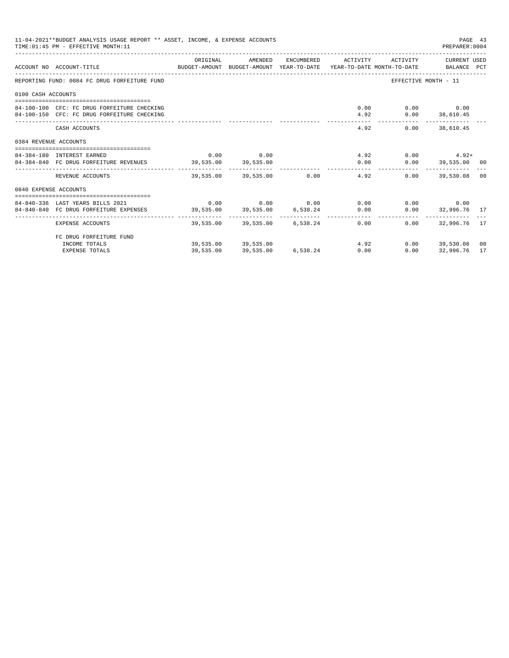|                       | 11-04-2021**BUDGET ANALYSIS USAGE REPORT ** ASSET, INCOME, & EXPENSE ACCOUNTS<br>TIME: 01:45 PM - EFFECTIVE MONTH: 11 |                     |                                                           |                                             | PAGE 43<br>PREPARER: 0004 |                |
|-----------------------|-----------------------------------------------------------------------------------------------------------------------|---------------------|-----------------------------------------------------------|---------------------------------------------|---------------------------|----------------|
|                       | ACCOUNT NO ACCOUNT-TITLE CONTROL BUDGET-AMOUNT BUDGET-AMOUNT YEAR-TO-DATE YEAR-TO-DATE MONTH-TO-DATE BALANCE PCT      |                     | ORIGINAL AMENDED ENCUMBERED ACTIVITY ACTIVITY CURRENTUSED |                                             |                           |                |
|                       | REPORTING FUND: 0084 FC DRUG FORFEITURE FUND                                                                          |                     |                                                           | EFFECTIVE MONTH - 11                        |                           |                |
| 0100 CASH ACCOUNTS    |                                                                                                                       |                     |                                                           |                                             |                           |                |
|                       | 84-100-100 CFC: FC DRUG FORFEITURE CHECKING<br>84-100-150 CFC: FC DRUG FORFEITURE CHECKING                            |                     |                                                           | $0.00$ $0.00$ $0.00$<br>4.92 0.00 38,610.45 |                           |                |
|                       | CASH ACCOUNTS                                                                                                         |                     | 4.92                                                      |                                             | $0.00$ 38,610.45          |                |
| 0384 REVENUE ACCOUNTS |                                                                                                                       |                     |                                                           |                                             |                           |                |
|                       | 84-384-180 INTEREST EARNED                                                                                            | $0.00$ 0.00         |                                                           |                                             | $4.92$ 0.00 $4.92+$       |                |
|                       | 84-384-840 FC DRUG FORFEITURE REVENUES 39,535.00 39,535.00                                                            |                     | 0.00                                                      |                                             | $0.00$ 39,535.00 00       |                |
|                       | REVENUE ACCOUNTS                                                                                                      |                     | $39,535.00$ $39,535.00$ $0.00$ $4.92$                     | 0.00                                        | 39,530.08                 | 0 <sub>0</sub> |
| 0840 EXPENSE ACCOUNTS |                                                                                                                       |                     |                                                           |                                             |                           |                |
|                       | 84-840-336 LAST YEARS BILLS 2021                                                                                      |                     | $0.00$ $0.00$ $0.00$ $0.00$ $0.00$ $0.00$                 |                                             | $0.00$ 0.00               |                |
|                       | 84-840-840 FC DRUG FORFEITURE EXPENSES 39,535.00 39,535.00 6,538.24 0.00                                              |                     |                                                           |                                             | $0.00$ 32,996.76 17       |                |
|                       | EXPENSE ACCOUNTS                                                                                                      |                     | 39,535.00 39,535.00 6,538.24 0.00                         | 0.00                                        | 32,996.76 17              |                |
|                       | FC DRUG FORFEITURE FUND                                                                                               |                     |                                                           |                                             |                           |                |
|                       | INCOME TOTALS                                                                                                         | 39,535.00 39,535.00 | 4.92                                                      |                                             | $0.00$ 39,530.08 00       |                |
|                       | <b>EXPENSE TOTALS</b>                                                                                                 |                     | $39.535.00$ $39.535.00$ $6.538.24$ 0.00                   | 0.00                                        | 32,996.76                 | 17             |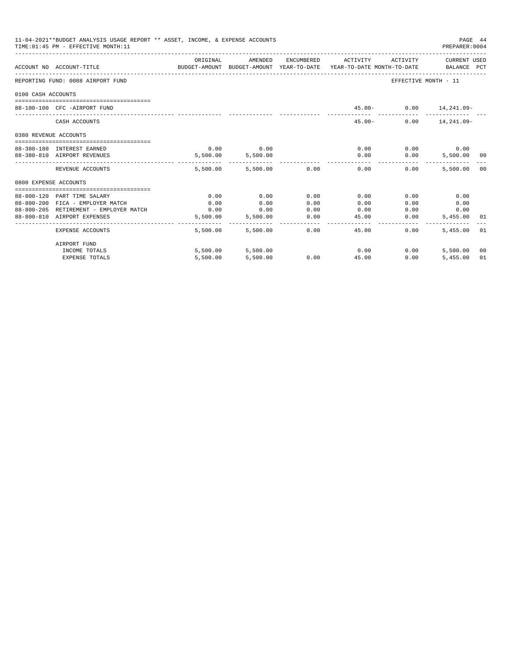| 11-04-2021**BUDGET ANALYSIS USAGE REPORT ** ASSET, INCOME, & EXPENSE ACCOUNTS<br>PAGE 44<br>TIME: 01:45 PM - EFFECTIVE MONTH: 11<br>PREPARER: 0004 |                                                                       |                                                                                             |                        |              |                      |                                            |                     |    |
|----------------------------------------------------------------------------------------------------------------------------------------------------|-----------------------------------------------------------------------|---------------------------------------------------------------------------------------------|------------------------|--------------|----------------------|--------------------------------------------|---------------------|----|
|                                                                                                                                                    | ACCOUNT NO ACCOUNT-TITLE                                              | ORIGINAL<br>BUDGET-AMOUNT BUDGET-AMOUNT YEAR-TO-DATE YEAR-TO-DATE MONTH-TO-DATE BALANCE PCT | AMENDED                |              | ENCUMBERED ACTIVITY  | ACTIVITY                                   | CURRENT USED        |    |
|                                                                                                                                                    | REPORTING FUND: 0088 AIRPORT FUND                                     |                                                                                             |                        |              |                      | EFFECTIVE MONTH - 11                       |                     |    |
| 0100 CASH ACCOUNTS                                                                                                                                 |                                                                       |                                                                                             |                        |              |                      |                                            |                     |    |
|                                                                                                                                                    | 88-100-100 CFC -AIRPORT FUND                                          |                                                                                             |                        |              |                      | 45.00- 0.00 14,241.09-                     |                     |    |
|                                                                                                                                                    | CASH ACCOUNTS                                                         |                                                                                             |                        |              | $45.00 -$            |                                            | $0.00$ 14, 241, 09- |    |
| 0380 REVENUE ACCOUNTS                                                                                                                              |                                                                       |                                                                                             |                        |              |                      |                                            |                     |    |
|                                                                                                                                                    | 88-380-180 INTEREST EARNED                                            | 0.00                                                                                        | 0.00                   |              | 0.00                 | $0.00$ 0.00                                |                     |    |
|                                                                                                                                                    | 88-380-810 AIRPORT REVENUES                                           |                                                                                             | 5,500.00 5,500.00      |              |                      | $0.00$ $0.00$                              | 5,500.00 00         |    |
|                                                                                                                                                    | REVENUE ACCOUNTS                                                      |                                                                                             | 5,500.00 5,500.00 0.00 |              | ------------<br>0.00 | ______________________________<br>$0.00 -$ | 5,500.00 00         |    |
| 0800 EXPENSE ACCOUNTS                                                                                                                              |                                                                       |                                                                                             |                        |              |                      |                                            |                     |    |
|                                                                                                                                                    |                                                                       |                                                                                             |                        |              |                      |                                            |                     |    |
|                                                                                                                                                    | 88-800-120 PART TIME SALARY                                           | 0.00                                                                                        | 0.00                   | 0.00         | 0.00                 | 0.00                                       | 0.00                |    |
|                                                                                                                                                    | 88-800-200 FICA - EMPLOYER MATCH                                      | 0.00                                                                                        | 0.00                   | 0.00         | 0.00                 | 0.00                                       | 0.00                |    |
|                                                                                                                                                    | 88-800-205 RETIREMENT - EMPLOYER MATCH<br>88-800-810 AIRPORT EXPENSES | 0.00<br>5,500.00                                                                            | 0.00<br>5,500.00       | 0.00<br>0.00 | 0.00<br>45.00        | 0.00                                       | 0.00<br>5,455.00 01 |    |
|                                                                                                                                                    |                                                                       |                                                                                             |                        |              | -------------        | 0.00                                       |                     |    |
|                                                                                                                                                    | EXPENSE ACCOUNTS                                                      | 5,500.00                                                                                    | 5,500.00               | 0.00         | 45.00                | $0.00 -$                                   | 5,455.00 01         |    |
|                                                                                                                                                    | AIRPORT FUND                                                          |                                                                                             |                        |              |                      |                                            |                     |    |
|                                                                                                                                                    | INCOME TOTALS                                                         |                                                                                             | 5,500.00 5,500.00      |              | 0.00                 | 0.00                                       | 5,500.00 00         |    |
|                                                                                                                                                    | <b>EXPENSE TOTALS</b>                                                 | 5,500.00                                                                                    | 5,500.00               | 0.00         | 45.00                | 0.00                                       | 5.455.00            | 01 |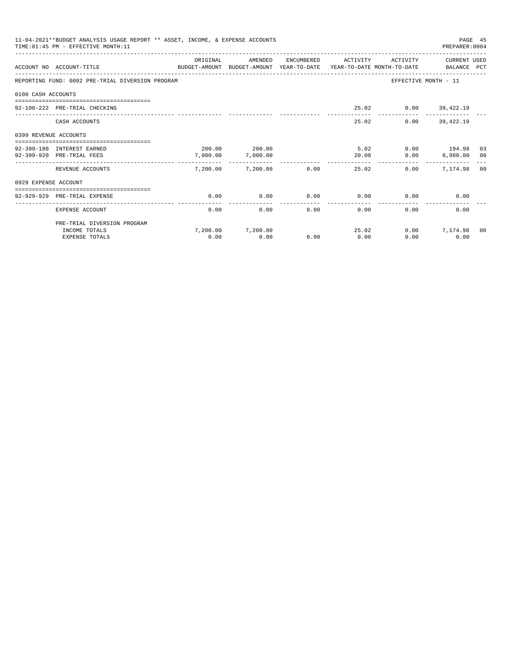|                       | 11-04-2021**BUDGET ANALYSIS USAGE REPORT ** ASSET, INCOME, & EXPENSE ACCOUNTS<br>TIME: 01:45 PM - EFFECTIVE MONTH: 11 |                                                                                     |                   |              |                  |                      | PREPARER: 0004       | PAGE 45 |
|-----------------------|-----------------------------------------------------------------------------------------------------------------------|-------------------------------------------------------------------------------------|-------------------|--------------|------------------|----------------------|----------------------|---------|
|                       |                                                                                                                       | ORIGINAL                                                                            | AMENDED           | ENCUMBERED   | ACTIVITY         | ACTIVITY             | CURRENT USED         |         |
|                       | ACCOUNT NO ACCOUNT-TITLE                                                                                              | BUDGET-AMOUNT BUDGET-AMOUNT YEAR-TO-DATE YEAR-TO-DATE MONTH-TO-DATE     BALANCE PCT |                   |              |                  |                      |                      |         |
|                       | REPORTING FUND: 0092 PRE-TRIAL DIVERSION PROGRAM                                                                      |                                                                                     |                   |              |                  |                      | EFFECTIVE MONTH - 11 |         |
| 0100 CASH ACCOUNTS    |                                                                                                                       |                                                                                     |                   |              |                  |                      |                      |         |
|                       | 92-100-222 PRE-TRIAL CHECKING                                                                                         |                                                                                     |                   |              |                  | 25.02 0.00 39,422.19 |                      |         |
|                       | CASH ACCOUNTS                                                                                                         |                                                                                     |                   |              | 25.02            |                      | $0.00$ 39,422.19     |         |
| 0399 REVENUE ACCOUNTS |                                                                                                                       |                                                                                     |                   |              |                  |                      |                      |         |
|                       | 92-399-180 INTEREST EARNED                                                                                            |                                                                                     | 200.00 200.00     |              |                  | 5.02 0.00 194.98 03  |                      |         |
|                       | 92-399-920 PRE-TRIAL FEES                                                                                             | 7,000.00                                                                            | 7,000.00          |              | 20.00            | 0.00                 | 6,980.00 00          |         |
|                       | REVENUE ACCOUNTS                                                                                                      |                                                                                     | 7,200.00 7,200.00 | 0.00         | -------<br>25.02 | 0.00                 | 7.174.98 00          |         |
| 0929 EXPENSE ACCOUNT  |                                                                                                                       |                                                                                     |                   |              |                  |                      |                      |         |
|                       | ----------------------------<br>92-929-929 PRE-TRIAL EXPENSE                                                          | 0.00                                                                                | 0.00              | 0.00         | 0.00             |                      | 0.00<br>0.00         |         |
|                       |                                                                                                                       |                                                                                     |                   | ------------ | ------------     |                      |                      |         |
|                       | EXPENSE ACCOUNT                                                                                                       | 0.00                                                                                | 0.00              | 0.00         | 0.00             | 0.00                 | 0.00                 |         |
|                       | PRE-TRIAL DIVERSION PROGRAM                                                                                           |                                                                                     |                   |              |                  |                      |                      |         |
|                       | INCOME TOTALS                                                                                                         |                                                                                     | 7.200.00 7.200.00 |              | 25.02            |                      | $0.00$ $7,174.98$    | 00      |
|                       | <b>EXPENSE TOTALS</b>                                                                                                 | 0.00                                                                                | 0.00              | 0.00         | 0.00             | 0.00                 | 0.00                 |         |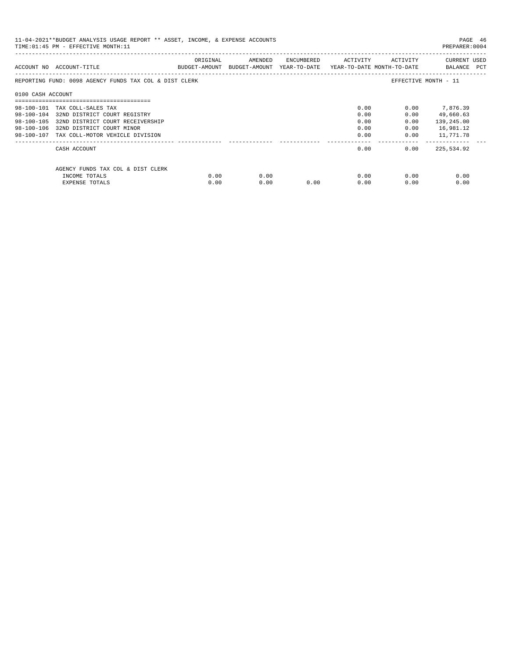| 11-04-2021**BUDGET ANALYSIS USAGE REPORT ** ASSET, INCOME, & EXPENSE ACCOUNTS<br>PAGE 46<br>TIME: 01:45 PM - EFFECTIVE MONTH: 11<br>PREPARER: 0004 |                                                        |          |                                                                                |      |                     |                           |                             |  |  |
|----------------------------------------------------------------------------------------------------------------------------------------------------|--------------------------------------------------------|----------|--------------------------------------------------------------------------------|------|---------------------|---------------------------|-----------------------------|--|--|
|                                                                                                                                                    | ACCOUNT NO ACCOUNT-TITLE                               | ORIGINAL | AMENDED<br>BUDGET-AMOUNT BUDGET-AMOUNT YEAR-TO-DATE YEAR-TO-DATE MONTH-TO-DATE |      | ENCUMBERED ACTIVITY | ACTIVITY                  | CURRENT USED<br>BALANCE PCT |  |  |
|                                                                                                                                                    | REPORTING FUND: 0098 AGENCY FUNDS TAX COL & DIST CLERK |          |                                                                                |      |                     |                           | EFFECTIVE MONTH - 11        |  |  |
| 0100 CASH ACCOUNT                                                                                                                                  |                                                        |          |                                                                                |      |                     |                           |                             |  |  |
|                                                                                                                                                    | 98-100-101 TAX COLL-SALES TAX                          |          |                                                                                |      | 0.00                | 0.00                      | 7,876.39                    |  |  |
|                                                                                                                                                    | 98-100-104 32ND DISTRICT COURT REGISTRY                |          |                                                                                |      | 0.00                | 0.00                      | 49,660.63                   |  |  |
|                                                                                                                                                    | 98-100-105 32ND DISTRICT COURT RECEIVERSHIP            |          |                                                                                |      | 0.00                | 0.00                      | 139,245.00                  |  |  |
|                                                                                                                                                    | 98-100-106 32ND DISTRICT COURT MINOR                   |          |                                                                                |      | 0.00                | 0.00                      | 16,981.12                   |  |  |
|                                                                                                                                                    | 98-100-107 TAX COLL-MOTOR VEHICLE DIVISION             |          |                                                                                |      | 0.00                | 0.00                      | 11,771.78                   |  |  |
|                                                                                                                                                    | CASH ACCOUNT                                           |          |                                                                                |      | 0.00                | 0.00                      | 225,534.92                  |  |  |
|                                                                                                                                                    | AGENCY FUNDS TAX COL & DIST CLERK                      |          |                                                                                |      |                     |                           |                             |  |  |
|                                                                                                                                                    | INCOME TOTALS                                          | 0.00     | 0.00                                                                           |      |                     | $0.00$ and $0.00$<br>0.00 | 0.00                        |  |  |
|                                                                                                                                                    | <b>EXPENSE TOTALS</b>                                  | 0.00     | 0.00                                                                           | 0.00 | 0.00                | 0.00                      | 0.00                        |  |  |